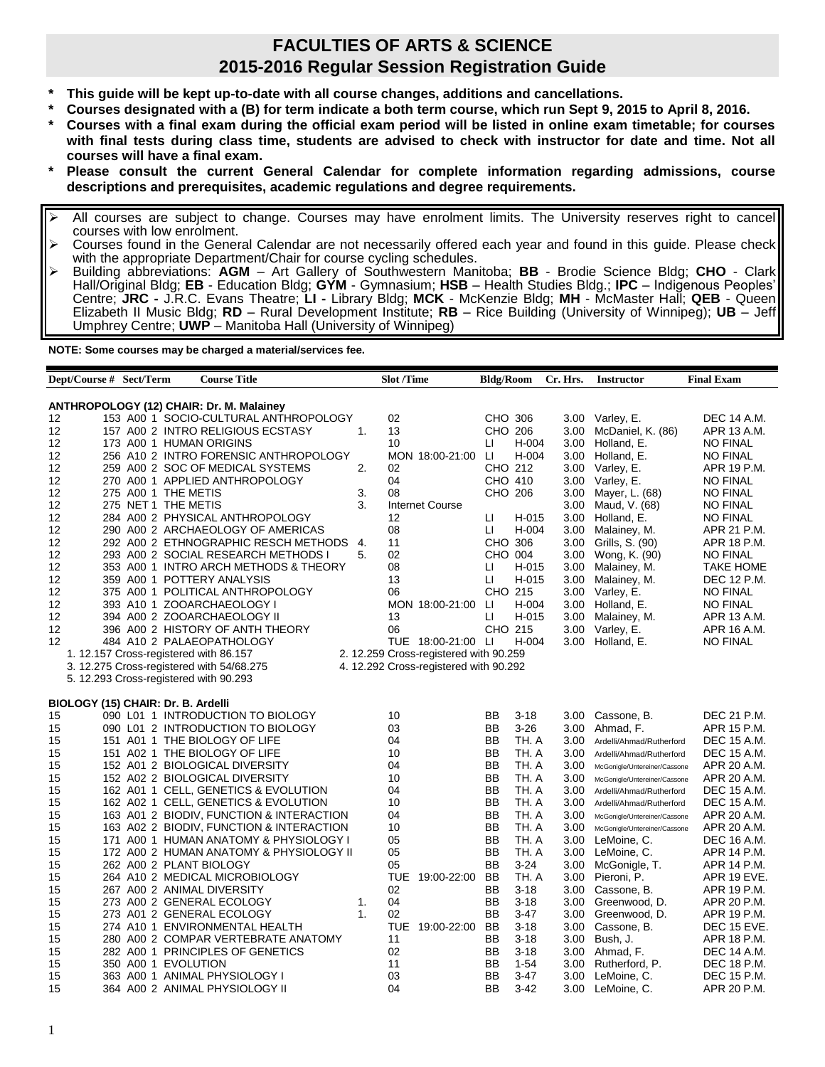## **FACULTIES OF ARTS & SCIENCE 2015-2016 Regular Session Registration Guide**

- **\* This guide will be kept up-to-date with all course changes, additions and cancellations.**
- **\* Courses designated with a (B) for term indicate a both term course, which run Sept 9, 2015 to April 8, 2016.**
- **\* Courses with a final exam during the official exam period will be listed in online exam timetable; for courses with final tests during class time, students are advised to check with instructor for date and time. Not all courses will have a final exam.**
- **\* Please consult the current General Calendar for complete information regarding admissions, course descriptions and prerequisites, academic regulations and degree requirements.**
- All courses are subject to change. Courses may have enrolment limits. The University reserves right to cancel courses with low enrolment.
- Courses found in the General Calendar are not necessarily offered each year and found in this guide. Please check with the appropriate Department/Chair for course cycling schedules.
- Building abbreviations: **AGM** Art Gallery of Southwestern Manitoba; **BB** Brodie Science Bldg; **CHO** Clark Hall/Original Bldg; **EB** - Education Bldg; **GYM** - Gymnasium; **HSB** – Health Studies Bldg.; **IPC** – Indigenous Peoples' Centre; **JRC -** J.R.C. Evans Theatre; **LI -** Library Bldg; **MCK** - McKenzie Bldg; **MH** - McMaster Hall; **QEB** - Queen Elizabeth II Music Bldg; **RD** – Rural Development Institute; **RB** – Rice Building (University of Winnipeg); **UB** – Jeff Umphrey Centre; **UWP** – Manitoba Hall (University of Winnipeg)

**NOTE: Some courses may be charged a material/services fee.** 

| Dept/Course # Sect/Term            |                     | <b>Course Title</b>                                                                      |           | <b>Slot /Time</b> |                                        | <b>Bldg/Room</b> |          | Cr. Hrs.     | <b>Instructor</b>             | <b>Final Exam</b>                   |
|------------------------------------|---------------------|------------------------------------------------------------------------------------------|-----------|-------------------|----------------------------------------|------------------|----------|--------------|-------------------------------|-------------------------------------|
|                                    |                     |                                                                                          |           |                   |                                        |                  |          |              |                               |                                     |
|                                    |                     | <b>ANTHROPOLOGY (12) CHAIR: Dr. M. Malainey</b><br>153 A00 1 SOCIO-CULTURAL ANTHROPOLOGY |           | 02                |                                        | CHO 306          |          | 3.00         |                               | DEC 14 A.M.                         |
| 12                                 |                     |                                                                                          |           | 13                |                                        | CHO 206          |          |              | Varley, E.                    |                                     |
| 12<br>12                           |                     | 157 A00 2 INTRO RELIGIOUS ECSTASY<br>173 A00 1 HUMAN ORIGINS                             | 1.        | 10                |                                        | LI               | $H-004$  | 3.00         | McDaniel, K. (86)             | APR 13 A.M.                         |
| 12                                 |                     | 256 A10 2 INTRO FORENSIC ANTHROPOLOGY                                                    |           |                   | MON 18:00-21:00                        | -LI              | H-004    | 3.00<br>3.00 | Holland, E.<br>Holland, E.    | <b>NO FINAL</b>                     |
| 12                                 |                     | 259 A00 2 SOC OF MEDICAL SYSTEMS                                                         | 2.        | 02                |                                        | CHO 212          |          | 3.00         | Varley, E.                    | <b>NO FINAL</b><br>APR 19 P.M.      |
| 12                                 |                     | 270 A00 1 APPLIED ANTHROPOLOGY                                                           |           | 04                |                                        | CHO 410          |          | 3.00         |                               | <b>NO FINAL</b>                     |
| 12                                 | 275 A00 1 THE METIS |                                                                                          | 3.        | 08                |                                        | CHO 206          |          | 3.00         | Varley, E.<br>Mayer, L. (68)  | <b>NO FINAL</b>                     |
| 12                                 | 275 NET 1 THE METIS |                                                                                          | 3.        |                   | <b>Internet Course</b>                 |                  |          | 3.00         | Maud, V. (68)                 | <b>NO FINAL</b>                     |
| 12                                 |                     | 284 A00 2 PHYSICAL ANTHROPOLOGY                                                          |           | 12                |                                        | П                | H-015    | 3.00         | Holland, E.                   | <b>NO FINAL</b>                     |
| 12                                 |                     |                                                                                          |           | 08                |                                        | П                | H-004    |              |                               |                                     |
| 12                                 |                     | 290 A00 2 ARCHAEOLOGY OF AMERICAS<br>292 A00 2 ETHNOGRAPHIC RESCH METHODS                |           | 11                |                                        | CHO 306          |          | 3.00<br>3.00 | Malainey, M.                  | APR 21 P.M.<br>APR 18 P.M.          |
| 12                                 |                     |                                                                                          | -4.<br>5. | 02                |                                        | CHO 004          |          |              | Grills, S. (90)               |                                     |
|                                    |                     | 293 A00 2 SOCIAL RESEARCH METHODS I                                                      |           | 08                |                                        | П                | H-015    | 3.00         | Wong, K. (90)<br>Malainey, M. | <b>NO FINAL</b><br><b>TAKE HOME</b> |
| 12<br>12                           |                     | 353 A00 1 INTRO ARCH METHODS & THEORY                                                    |           |                   |                                        |                  | H-015    | 3.00         |                               |                                     |
|                                    |                     | 359 A00 1 POTTERY ANALYSIS                                                               |           | 13                |                                        | П                |          | 3.00         | Malainey, M.                  | DEC 12 P.M.                         |
| 12                                 |                     | 375 A00 1 POLITICAL ANTHROPOLOGY                                                         |           | 06                |                                        | CHO 215          |          | 3.00         | Varley, E.                    | <b>NO FINAL</b>                     |
| 12                                 |                     | 393 A10 1 ZOOARCHAEOLOGY I                                                               |           |                   | MON 18:00-21:00                        | IJ               | H-004    | 3.00         | Holland, E.                   | <b>NO FINAL</b>                     |
| 12                                 |                     | 394 A00 2 ZOOARCHAEOLOGY II                                                              |           | 13                |                                        | П                | H-015    | 3.00         | Malainey, M.                  | APR 13 A.M.                         |
| 12                                 |                     | 396 A00 2 HISTORY OF ANTH THEORY                                                         |           | 06                |                                        | CHO 215          |          | 3.00         | Varley, E.                    | APR 16 A.M.                         |
| 12                                 |                     | 484 A10 2 PALAEOPATHOLOGY                                                                |           |                   | TUE 18:00-21:00 LI                     |                  | H-004    | 3.00         | Holland, E.                   | <b>NO FINAL</b>                     |
|                                    |                     | 1. 12.157 Cross-registered with 86.157                                                   |           |                   | 2. 12.259 Cross-registered with 90.259 |                  |          |              |                               |                                     |
|                                    |                     | 3. 12.275 Cross-registered with 54/68.275                                                |           |                   | 4. 12.292 Cross-registered with 90.292 |                  |          |              |                               |                                     |
|                                    |                     | 5. 12.293 Cross-registered with 90.293                                                   |           |                   |                                        |                  |          |              |                               |                                     |
| BIOLOGY (15) CHAIR: Dr. B. Ardelli |                     |                                                                                          |           |                   |                                        |                  |          |              |                               |                                     |
| 15                                 |                     | 090 L01 1 INTRODUCTION TO BIOLOGY                                                        |           | 10                |                                        | BB               | $3 - 18$ | 3.00         | Cassone, B.                   | DEC 21 P.M.                         |
| 15                                 |                     | 090 L01 2 INTRODUCTION TO BIOLOGY                                                        |           | 03                |                                        | <b>BB</b>        | $3 - 26$ | 3.00         | Ahmad, F.                     | APR 15 P.M.                         |
| 15                                 |                     | 151 A01 1 THE BIOLOGY OF LIFE                                                            |           | 04                |                                        | <b>BB</b>        | TH. A    | 3.00         | Ardelli/Ahmad/Rutherford      | DEC 15 A.M.                         |
| 15                                 |                     | 151 A02 1 THE BIOLOGY OF LIFE                                                            |           | 10                |                                        | <b>BB</b>        | TH. A    | 3.00         | Ardelli/Ahmad/Rutherford      | <b>DEC 15 A.M.</b>                  |
| 15                                 |                     | 152 A01 2 BIOLOGICAL DIVERSITY                                                           |           | 04                |                                        | <b>BB</b>        | TH. A    | 3.00         | McGonigle/Untereiner/Cassone  | APR 20 A.M.                         |
| 15                                 |                     | 152 A02 2 BIOLOGICAL DIVERSITY                                                           |           | 10                |                                        | <b>BB</b>        | TH. A    | 3.00         | McGonigle/Untereiner/Cassone  | APR 20 A.M.                         |
| 15                                 |                     | 162 A01 1 CELL, GENETICS & EVOLUTION                                                     |           | 04                |                                        | BB               | TH. A    | 3.00         | Ardelli/Ahmad/Rutherford      | DEC 15 A.M.                         |
| 15                                 |                     | 162 A02 1 CELL, GENETICS & EVOLUTION                                                     |           | 10                |                                        | BB               | TH. A    | 3.00         | Ardelli/Ahmad/Rutherford      | DEC 15 A.M.                         |
| 15                                 |                     | 163 A01 2 BIODIV, FUNCTION & INTERACTION                                                 |           | 04                |                                        | BB               | TH. A    | 3.00         | McGonigle/Untereiner/Cassone  | APR 20 A.M.                         |
| 15                                 |                     | 163 A02 2 BIODIV, FUNCTION & INTERACTION                                                 |           | 10                |                                        | BB               | TH. A    | 3.00         | McGonigle/Untereiner/Cassone  | APR 20 A.M.                         |
| 15                                 |                     | 171 A00 1 HUMAN ANATOMY & PHYSIOLOGY I                                                   |           | 05                |                                        | BB               | TH. A    | 3.00         | LeMoine, C.                   | DEC 16 A.M.                         |
| 15                                 |                     | 172 A00 2 HUMAN ANATOMY & PHYSIOLOGY II                                                  |           | 05                |                                        | <b>BB</b>        | TH. A    | 3.00         | LeMoine, C.                   | APR 14 P.M.                         |
| 15                                 |                     | 262 A00 2 PLANT BIOLOGY                                                                  |           | 05                |                                        | <b>BB</b>        | $3 - 24$ | 3.00         | McGonigle, T.                 | APR 14 P.M.                         |
| 15                                 |                     | 264 A10 2 MEDICAL MICROBIOLOGY                                                           |           |                   | TUE 19:00-22:00                        | BB               | TH. A    | 3.00         | Pieroni, P.                   | APR 19 EVE.                         |
| 15                                 |                     | 267 A00 2 ANIMAL DIVERSITY                                                               |           | 02                |                                        | BB               | $3 - 18$ | 3.00         | Cassone, B.                   | APR 19 P.M.                         |
| 15                                 |                     | 273 A00 2 GENERAL ECOLOGY                                                                | 1.        | 04                |                                        | BB               | $3 - 18$ | 3.00         | Greenwood, D.                 | APR 20 P.M.                         |
| 15                                 |                     | 273 A01 2 GENERAL ECOLOGY                                                                | 1.        | 02                |                                        | BB               | $3 - 47$ | 3.00         | Greenwood, D.                 | APR 19 P.M.                         |
| 15                                 |                     | 274 A10 1 ENVIRONMENTAL HEALTH                                                           |           |                   | TUE 19:00-22:00 BB                     |                  | $3 - 18$ | 3.00         | Cassone, B.                   | DEC 15 EVE.                         |
| 15                                 |                     | 280 A00 2 COMPAR VERTEBRATE ANATOMY                                                      |           | 11                |                                        | <b>BB</b>        | $3 - 18$ | 3.00         | Bush, J.                      | APR 18 P.M.                         |
| 15                                 |                     | 282 A00 1 PRINCIPLES OF GENETICS                                                         |           | 02                |                                        | <b>BB</b>        | $3 - 18$ | 3.00         | Ahmad, F.                     | DEC 14 A.M.                         |
| 15                                 | 350 A00 1 EVOLUTION |                                                                                          |           | 11                |                                        | BB               | $1 - 54$ | 3.00         | Rutherford, P.                | DEC 18 P.M.                         |
| 15                                 |                     | 363 A00 1 ANIMAL PHYSIOLOGY I                                                            |           | 03                |                                        | BB               | $3-47$   | 3.00         | LeMoine, C.                   | DEC 15 P.M.                         |
| 15                                 |                     | 364 A00 2 ANIMAL PHYSIOLOGY II                                                           |           | 04                |                                        | <b>BB</b>        | $3-42$   | 3.00         | LeMoine, C.                   | APR 20 P.M.                         |
|                                    |                     |                                                                                          |           |                   |                                        |                  |          |              |                               |                                     |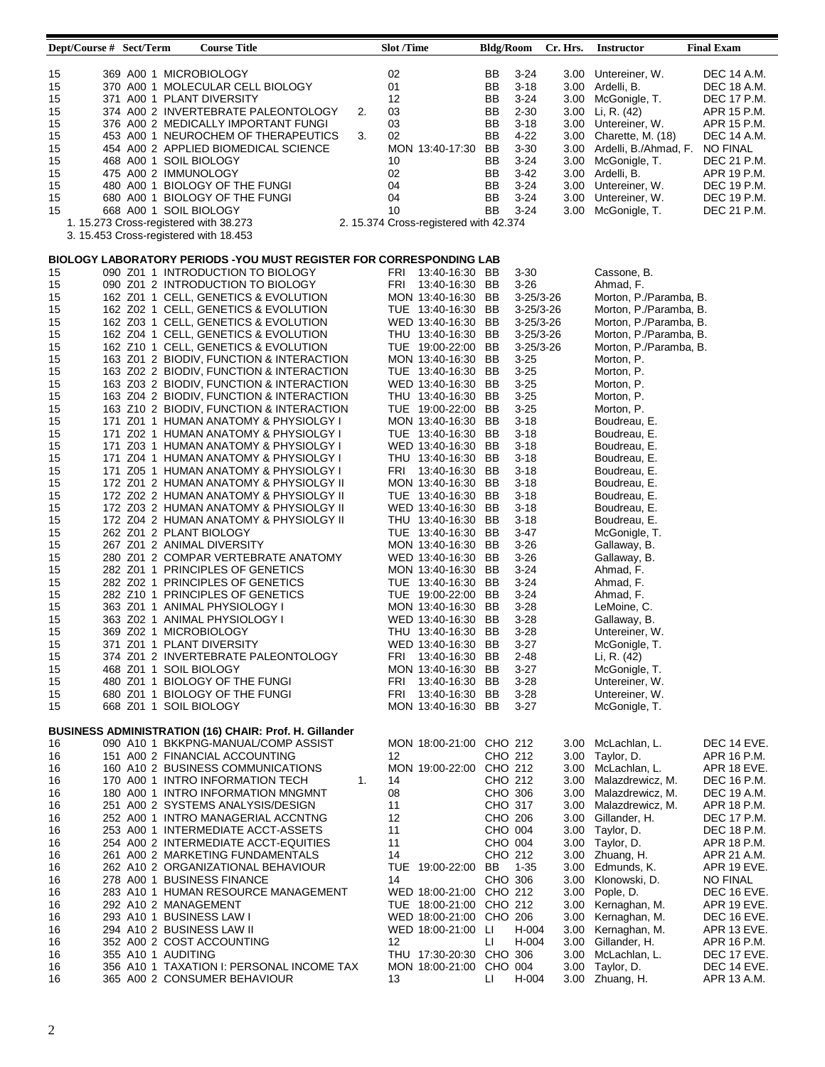| Dept/Course # Sect/Term |                    | <b>Course Title</b>                                                 |    | <b>Slot</b> /Time |                                        | <b>Bldg/Room</b> |                 | Cr. Hrs. | <b>Instructor</b>          | <b>Final Exam</b> |
|-------------------------|--------------------|---------------------------------------------------------------------|----|-------------------|----------------------------------------|------------------|-----------------|----------|----------------------------|-------------------|
|                         |                    |                                                                     |    |                   |                                        |                  |                 |          |                            |                   |
| 15                      |                    | 369 A00 1 MICROBIOLOGY                                              |    | 02                |                                        | BB               | $3 - 24$        |          | 3.00 Untereiner, W.        | DEC 14 A.M.       |
| 15                      |                    | 370 A00 1 MOLECULAR CELL BIOLOGY                                    |    | 01                |                                        | BB               | $3 - 18$        |          | 3.00 Ardelli, B.           | DEC 18 A.M.       |
| 15                      |                    | 371 A00 1 PLANT DIVERSITY                                           |    | 12                |                                        | BB               | $3 - 24$        |          | 3.00 McGonigle, T.         | DEC 17 P.M.       |
| 15                      |                    | 374 A00 2 INVERTEBRATE PALEONTOLOGY                                 | 2. | 03                |                                        | BB               | $2 - 30$        |          | 3.00 Li, R. (42)           | APR 15 P.M.       |
| 15                      |                    | 376 A00 2 MEDICALLY IMPORTANT FUNGI                                 |    | 03                |                                        | BB               | $3 - 18$        |          | 3.00 Untereiner, W.        | APR 15 P.M.       |
| 15                      |                    | 453 A00 1 NEUROCHEM OF THERAPEUTICS                                 | 3. | 02                |                                        | BB               | $4 - 22$        |          | 3.00 Charette, M. (18)     | DEC 14 A.M.       |
| 15                      |                    | 454 A00 2 APPLIED BIOMEDICAL SCIENCE                                |    |                   | MON 13:40-17:30 BB                     |                  | $3 - 30$        |          | 3.00 Ardelli, B./Ahmad, F. | <b>NO FINAL</b>   |
| 15                      |                    | 468 A00 1 SOIL BIOLOGY                                              |    | 10                |                                        | BB               | $3 - 24$        |          | 3.00 McGonigle, T.         | DEC 21 P.M.       |
| 15                      |                    | 475 A00 2 IMMUNOLOGY                                                |    | 02                |                                        | BB               | $3-42$          |          | 3.00 Ardelli, B.           | APR 19 P.M.       |
| 15                      |                    | 480 A00 1 BIOLOGY OF THE FUNGI                                      |    | 04                |                                        | BB               | 3-24            |          | 3.00 Untereiner, W.        | DEC 19 P.M.       |
| 15                      |                    | 680 A00 1 BIOLOGY OF THE FUNGI                                      |    | 04                |                                        | BB               | $3 - 24$        |          | 3.00 Untereiner, W.        | DEC 19 P.M.       |
| 15                      |                    | 668 A00 1 SOIL BIOLOGY                                              |    | 10                |                                        | BB               | $3 - 24$        | 3.00     | McGonigle, T.              | DEC 21 P.M.       |
|                         |                    | 1. 15.273 Cross-registered with 38.273                              |    |                   | 2. 15.374 Cross-registered with 42.374 |                  |                 |          |                            |                   |
|                         |                    | 3. 15.453 Cross-registered with 18.453                              |    |                   |                                        |                  |                 |          |                            |                   |
|                         |                    |                                                                     |    |                   |                                        |                  |                 |          |                            |                   |
|                         |                    | BIOLOGY LABORATORY PERIODS -YOU MUST REGISTER FOR CORRESPONDING LAB |    |                   |                                        |                  |                 |          |                            |                   |
| 15                      |                    | 090 Z01 1 INTRODUCTION TO BIOLOGY                                   |    |                   | FRI 13:40-16:30 BB                     |                  | $3 - 30$        |          | Cassone, B.                |                   |
| 15                      |                    | 090 Z01 2 INTRODUCTION TO BIOLOGY                                   |    |                   | FRI 13:40-16:30 BB                     |                  | $3 - 26$        |          | Ahmad, F.                  |                   |
| 15                      |                    | 162 Z01 1 CELL, GENETICS & EVOLUTION                                |    |                   | MON 13:40-16:30 BB                     |                  | $3 - 25/3 - 26$ |          | Morton, P./Paramba, B.     |                   |
| 15                      |                    | 162 Z02 1 CELL, GENETICS & EVOLUTION                                |    |                   | TUE 13:40-16:30 BB                     |                  | $3 - 25/3 - 26$ |          | Morton, P./Paramba, B.     |                   |
| 15                      |                    | 162 Z03 1 CELL, GENETICS & EVOLUTION                                |    |                   | WED 13:40-16:30 BB                     |                  | $3 - 25/3 - 26$ |          | Morton, P./Paramba, B.     |                   |
| 15                      |                    | 162 Z04 1 CELL, GENETICS & EVOLUTION                                |    |                   | THU 13:40-16:30 BB                     |                  | $3 - 25/3 - 26$ |          | Morton, P./Paramba, B.     |                   |
| 15                      |                    | 162 Z10 1 CELL, GENETICS & EVOLUTION                                |    |                   | TUE 19:00-22:00 BB                     |                  | $3 - 25/3 - 26$ |          | Morton, P./Paramba, B.     |                   |
|                         |                    |                                                                     |    |                   |                                        |                  |                 |          |                            |                   |
| 15                      |                    | 163 Z01 2 BIODIV, FUNCTION & INTERACTION                            |    |                   | MON 13:40-16:30 BB                     |                  | $3 - 25$        |          | Morton, P.                 |                   |
| 15                      |                    | 163 Z02 2 BIODIV, FUNCTION & INTERACTION                            |    |                   | TUE 13:40-16:30 BB                     |                  | $3 - 25$        |          | Morton, P.                 |                   |
| 15                      |                    | 163 Z03 2 BIODIV, FUNCTION & INTERACTION                            |    |                   | WED 13:40-16:30 BB                     |                  | $3 - 25$        |          | Morton, P.                 |                   |
| 15                      |                    | 163 Z04 2 BIODIV, FUNCTION & INTERACTION                            |    |                   | THU 13:40-16:30 BB                     |                  | $3 - 25$        |          | Morton, P.                 |                   |
| 15                      |                    | 163 Z10 2 BIODIV, FUNCTION & INTERACTION                            |    |                   | TUE 19:00-22:00 BB                     |                  | $3 - 25$        |          | Morton, P.                 |                   |
| 15                      |                    | 171 Z01 1 HUMAN ANATOMY & PHYSIOLGY I                               |    |                   | MON 13:40-16:30 BB                     |                  | $3 - 18$        |          | Boudreau, E.               |                   |
| 15                      |                    | 171 Z02 1 HUMAN ANATOMY & PHYSIOLGY I                               |    |                   | TUE 13:40-16:30 BB                     |                  | $3 - 18$        |          | Boudreau, E.               |                   |
| 15                      |                    | 171 Z03 1 HUMAN ANATOMY & PHYSIOLGY I                               |    |                   | WED 13:40-16:30 BB                     |                  | $3 - 18$        |          | Boudreau, E.               |                   |
| 15                      |                    | 171 Z04 1 HUMAN ANATOMY & PHYSIOLGY I                               |    |                   | THU 13:40-16:30 BB                     |                  | $3 - 18$        |          | Boudreau, E.               |                   |
| 15                      |                    | 171 Z05 1 HUMAN ANATOMY & PHYSIOLGY I                               |    |                   | FRI 13:40-16:30 BB                     |                  | $3 - 18$        |          | Boudreau, E.               |                   |
| 15                      |                    | 172 Z01 2 HUMAN ANATOMY & PHYSIOLGY II                              |    |                   | MON 13:40-16:30 BB                     |                  | $3 - 18$        |          | Boudreau, E.               |                   |
| 15                      |                    | 172 Z02 2 HUMAN ANATOMY & PHYSIOLGY II                              |    |                   | TUE 13:40-16:30 BB                     |                  | $3 - 18$        |          | Boudreau, E.               |                   |
|                         |                    |                                                                     |    |                   |                                        |                  |                 |          |                            |                   |
| 15                      |                    | 172 Z03 2 HUMAN ANATOMY & PHYSIOLGY II                              |    |                   | WED 13:40-16:30 BB                     |                  | $3 - 18$        |          | Boudreau, E.               |                   |
| 15                      |                    | 172 Z04 2 HUMAN ANATOMY & PHYSIOLGY II                              |    |                   | THU 13:40-16:30 BB                     |                  | $3 - 18$        |          | Boudreau, E.               |                   |
| 15                      |                    | 262 Z01 2 PLANT BIOLOGY                                             |    |                   | TUE 13:40-16:30 BB                     |                  | 3-47            |          | McGonigle, T.              |                   |
| 15                      |                    | 267 Z01 2 ANIMAL DIVERSITY                                          |    |                   | MON 13:40-16:30 BB                     |                  | $3 - 26$        |          | Gallaway, B.               |                   |
| 15                      |                    | 280 Z01 2 COMPAR VERTEBRATE ANATOMY                                 |    |                   | WED 13:40-16:30 BB                     |                  | $3 - 26$        |          | Gallaway, B.               |                   |
| 15                      |                    | 282 Z01 1 PRINCIPLES OF GENETICS                                    |    |                   | MON 13:40-16:30 BB                     |                  | $3 - 24$        |          | Ahmad, F.                  |                   |
| 15                      |                    | 282 Z02 1 PRINCIPLES OF GENETICS                                    |    |                   | TUE 13:40-16:30 BB                     |                  | $3 - 24$        |          | Ahmad, F.                  |                   |
| 15                      |                    | 282 Z10 1 PRINCIPLES OF GENETICS                                    |    |                   | TUE 19:00-22:00 BB                     |                  | $3 - 24$        |          | Ahmad, F.                  |                   |
| 15                      |                    | 363 Z01 1 ANIMAL PHYSIOLOGY I                                       |    |                   | MON 13:40-16:30 BB                     |                  | $3 - 28$        |          | LeMoine, C.                |                   |
| 15                      |                    | 363 Z02 1 ANIMAL PHYSIOLOGY I                                       |    |                   | WED 13:40-16:30 BB                     |                  | $3 - 28$        |          | Gallaway, B.               |                   |
| 15                      |                    | 369 Z02 1 MICROBIOLOGY                                              |    |                   | THU 13:40-16:30 BB                     |                  | $3 - 28$        |          | Untereiner, W.             |                   |
| 15                      |                    | 371 Z01 1 PLANT DIVERSITY                                           |    |                   | WED 13:40-16:30 BB                     |                  | $3 - 27$        |          | McGonigle, T.              |                   |
| 15                      |                    | 374 Z01 2 INVERTEBRATE PALEONTOLOGY                                 |    |                   | FRI 13:40-16:30 BB                     |                  | $2 - 48$        |          | Li, R. (42)                |                   |
| 15                      |                    | 468 Z01 1 SOIL BIOLOGY                                              |    |                   | MON 13:40-16:30 BB                     |                  | $3 - 27$        |          | McGonigle, T.              |                   |
| 15                      |                    | 480 Z01 1 BIOLOGY OF THE FUNGI                                      |    | FRI               | 13:40-16:30 BB                         |                  | $3 - 28$        |          | Untereiner, W.             |                   |
|                         |                    |                                                                     |    |                   |                                        |                  |                 |          |                            |                   |
| 15                      |                    | 680 Z01 1 BIOLOGY OF THE FUNGI                                      |    |                   | FRI 13:40-16:30 BB                     |                  | $3 - 28$        |          | Untereiner, W.             |                   |
| 15                      |                    | 668 Z01 1 SOIL BIOLOGY                                              |    |                   | MON 13:40-16:30 BB                     |                  | $3 - 27$        |          | McGonigle, T.              |                   |
|                         |                    | <b>BUSINESS ADMINISTRATION (16) CHAIR: Prof. H. Gillander</b>       |    |                   |                                        |                  |                 |          |                            |                   |
|                         |                    | 090 A10 1 BKKPNG-MANUAL/COMP ASSIST                                 |    |                   | MON 18:00-21:00 CHO 212                |                  |                 |          |                            |                   |
| 16                      |                    |                                                                     |    |                   |                                        |                  |                 |          | 3.00 McLachlan, L.         | DEC 14 EVE.       |
| 16                      |                    | 151 A00 2 FINANCIAL ACCOUNTING                                      |    | 12                |                                        | CHO 212          |                 |          | 3.00 Taylor, D.            | APR 16 P.M.       |
| 16                      |                    | 160 A10 2 BUSINESS COMMUNICATIONS                                   |    |                   | MON 19:00-22:00 CHO 212                |                  |                 |          | 3.00 McLachlan, L.         | APR 18 EVE.       |
| 16                      |                    | 170 A00 1 INTRO INFORMATION TECH                                    | 1. | 14                |                                        | CHO 212          |                 |          | 3.00 Malazdrewicz, M.      | DEC 16 P.M.       |
| 16                      |                    | 180 A00 1 INTRO INFORMATION MNGMNT                                  |    | 08                |                                        | CHO 306          |                 |          | 3.00 Malazdrewicz, M.      | DEC 19 A.M.       |
| 16                      |                    | 251 A00 2 SYSTEMS ANALYSIS/DESIGN                                   |    | 11                |                                        | CHO 317          |                 |          | 3.00 Malazdrewicz, M.      | APR 18 P.M.       |
| 16                      |                    | 252 A00 1 INTRO MANAGERIAL ACCNTNG                                  |    | 12                |                                        | CHO 206          |                 |          | 3.00 Gillander, H.         | DEC 17 P.M.       |
| 16                      |                    | 253 A00 1 INTERMEDIATE ACCT-ASSETS                                  |    | 11                |                                        | CHO 004          |                 |          | 3.00 Taylor, D.            | DEC 18 P.M.       |
| 16                      |                    | 254 A00 2 INTERMEDIATE ACCT-EQUITIES                                |    | 11                |                                        | CHO 004          |                 |          | 3.00 Taylor, D.            | APR 18 P.M.       |
| 16                      |                    | 261 A00 2 MARKETING FUNDAMENTALS                                    |    | 14                |                                        | CHO 212          |                 |          | 3.00 Zhuang, H.            | APR 21 A.M.       |
| 16                      |                    | 262 A10 2 ORGANIZATIONAL BEHAVIOUR                                  |    |                   | TUE 19:00-22:00 BB                     |                  | $1 - 35$        |          | 3.00 Edmunds, K.           | APR 19 EVE.       |
|                         |                    |                                                                     |    | 14                |                                        | CHO 306          |                 |          |                            |                   |
| 16                      |                    | 278 A00 1 BUSINESS FINANCE                                          |    |                   |                                        |                  |                 |          | 3.00 Klonowski, D.         | NO FINAL          |
| 16                      |                    | 283 A10 1 HUMAN RESOURCE MANAGEMENT                                 |    |                   | WED 18:00-21:00 CHO 212                |                  |                 |          | 3.00 Pople, D.             | DEC 16 EVE.       |
| 16                      |                    | 292 A10 2 MANAGEMENT                                                |    |                   | TUE 18:00-21:00 CHO 212                |                  |                 |          | 3.00 Kernaghan, M.         | APR 19 EVE.       |
| 16                      |                    | 293 A10 1 BUSINESS LAW I                                            |    |                   | WED 18:00-21:00 CHO 206                |                  |                 |          | 3.00 Kernaghan, M.         | DEC 16 EVE.       |
| 16                      |                    | 294 A10 2 BUSINESS LAW II                                           |    |                   | WED 18:00-21:00 LI                     |                  | H-004           |          | 3.00 Kernaghan, M.         | APR 13 EVE.       |
| 16                      |                    | 352 A00 2 COST ACCOUNTING                                           |    | 12                |                                        | П                | H-004           |          | 3.00 Gillander, H.         | APR 16 P.M.       |
| 16                      | 355 A10 1 AUDITING |                                                                     |    |                   | THU 17:30-20:30 CHO 306                |                  |                 |          | 3.00 McLachlan, L.         | DEC 17 EVE.       |
| 16                      |                    | 356 A10 1 TAXATION I: PERSONAL INCOME TAX                           |    |                   | MON 18:00-21:00 CHO 004                |                  |                 | 3.00     | Taylor, D.                 | DEC 14 EVE.       |
| 16                      |                    | 365 A00 2 CONSUMER BEHAVIOUR                                        |    | 13                |                                        | Ш                | H-004           |          | 3.00 Zhuang, H.            | APR 13 A.M.       |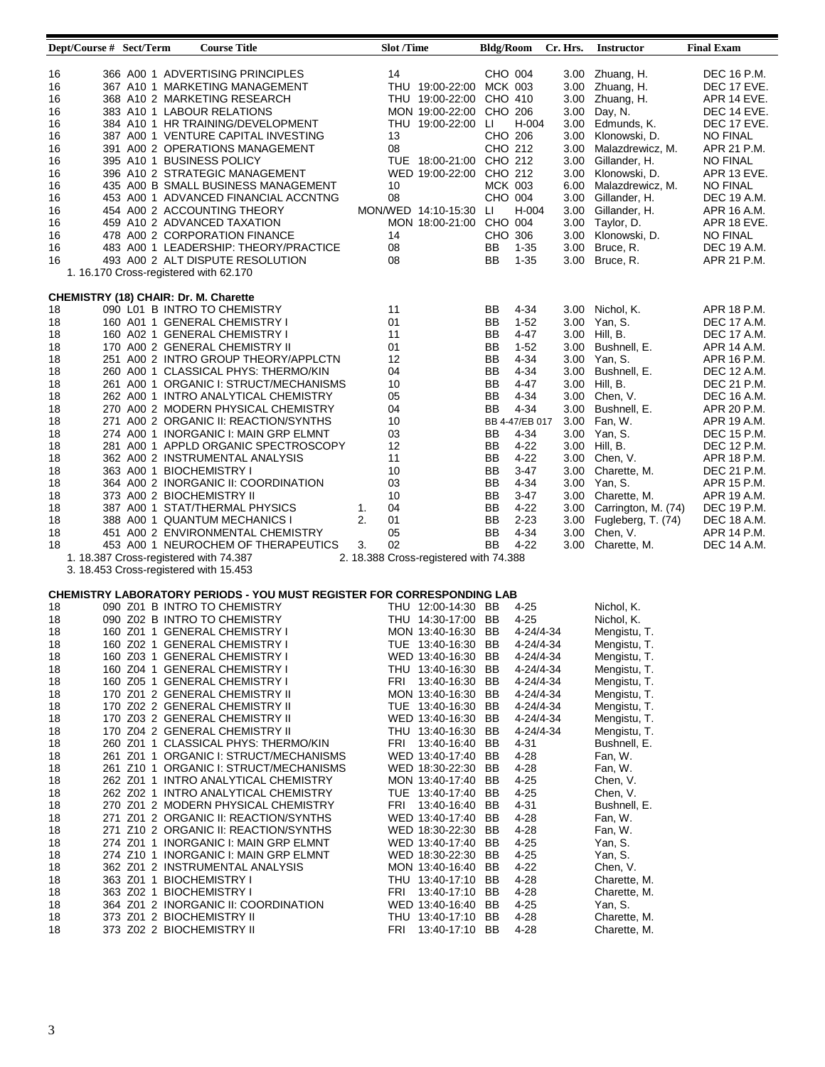| Dept/Course # Sect/Term                                                                                                                                        | <b>Course Title</b>                                                                                                                                                                                                                                                                                                                                                                                                                                                                                                                                                                                                                                                                                                                                                                                                                                                                                                                                                                                                                                                     |                | <b>Slot /Time</b>                                                                                                                                                                                                                                                                                                                                                                                                                                                                                                                                                                                              | <b>Bldg/Room</b>                                                                                               |                                                                                                                                                                                                                                                                               | Cr. Hrs.                                                                                                                             | <b>Instructor</b>                                                                                                                                                                                                                                                                                                                                                                         | <b>Final Exam</b>                                                                                                                                                                                                                                                                                                                    |
|----------------------------------------------------------------------------------------------------------------------------------------------------------------|-------------------------------------------------------------------------------------------------------------------------------------------------------------------------------------------------------------------------------------------------------------------------------------------------------------------------------------------------------------------------------------------------------------------------------------------------------------------------------------------------------------------------------------------------------------------------------------------------------------------------------------------------------------------------------------------------------------------------------------------------------------------------------------------------------------------------------------------------------------------------------------------------------------------------------------------------------------------------------------------------------------------------------------------------------------------------|----------------|----------------------------------------------------------------------------------------------------------------------------------------------------------------------------------------------------------------------------------------------------------------------------------------------------------------------------------------------------------------------------------------------------------------------------------------------------------------------------------------------------------------------------------------------------------------------------------------------------------------|----------------------------------------------------------------------------------------------------------------|-------------------------------------------------------------------------------------------------------------------------------------------------------------------------------------------------------------------------------------------------------------------------------|--------------------------------------------------------------------------------------------------------------------------------------|-------------------------------------------------------------------------------------------------------------------------------------------------------------------------------------------------------------------------------------------------------------------------------------------------------------------------------------------------------------------------------------------|--------------------------------------------------------------------------------------------------------------------------------------------------------------------------------------------------------------------------------------------------------------------------------------------------------------------------------------|
| 16<br>16<br>16<br>16<br>16<br>16<br>16<br>16<br>16<br>16<br>16<br>16<br>16<br>16<br>16<br>16                                                                   | 366 A00 1 ADVERTISING PRINCIPLES<br>367 A10 1 MARKETING MANAGEMENT<br>368 A10 2 MARKETING RESEARCH<br>383 A10 1 LABOUR RELATIONS<br>384 A10 1 HR TRAINING/DEVELOPMENT<br>387 A00 1 VENTURE CAPITAL INVESTING<br>391 A00 2 OPERATIONS MANAGEMENT<br>395 A10 1 BUSINESS POLICY<br>396 A10 2 STRATEGIC MANAGEMENT<br>435 A00 B SMALL BUSINESS MANAGEMENT<br>453 A00 1 ADVANCED FINANCIAL ACCNTNG<br>454 A00 2 ACCOUNTING THEORY<br>459 A10 2 ADVANCED TAXATION<br>478 A00 2 CORPORATION FINANCE<br>483 A00 1 LEADERSHIP: THEORY/PRACTICE<br>493 A00 2 ALT DISPUTE RESOLUTION<br>1. 16.170 Cross-registered with 62.170                                                                                                                                                                                                                                                                                                                                                                                                                                                     |                | 14<br>THU 19:00-22:00 MCK 003<br>THU 19:00-22:00 CHO 410<br>MON 19:00-22:00 CHO 206<br>THU 19:00-22:00 LI<br>13<br>08<br>TUE 18:00-21:00 CHO 212<br>WED 19:00-22:00 CHO 212<br>10<br>08<br>MON/WED 14:10-15:30 LI<br>MON 18:00-21:00 CHO 004<br>14<br>08<br>08                                                                                                                                                                                                                                                                                                                                                 | CHO 004<br>CHO 206<br>CHO 212<br><b>MCK 003</b><br>CHO 004<br>CHO 306<br>BB<br>BB                              | H-004<br>H-004<br>$1 - 35$<br>$1 - 35$                                                                                                                                                                                                                                        | 3.00<br>3.00<br>3.00<br>3.00<br>3.00<br>3.00<br>3.00<br>6.00<br>3.00<br>3.00<br>3.00<br>3.00<br>3.00<br>3.00                         | 3.00 Zhuang, H.<br>3.00 Zhuang, H.<br>Zhuang, H.<br>Day, N.<br>Edmunds, K.<br>Klonowski, D.<br>Malazdrewicz, M.<br>Gillander, H.<br>Klonowski, D.<br>Malazdrewicz, M.<br>Gillander, H.<br>Gillander, H.<br>Taylor, D.<br>Klonowski, D.<br>Bruce, R.<br>Bruce, R.                                                                                                                          | DEC 16 P.M.<br>DEC 17 EVE.<br>APR 14 EVE.<br>DEC 14 EVE.<br>DEC 17 EVE.<br><b>NO FINAL</b><br>APR 21 P.M.<br><b>NO FINAL</b><br>APR 13 EVE.<br>NO FINAL<br>DEC 19 A.M.<br>APR 16 A.M.<br>APR 18 EVE.<br><b>NO FINAL</b><br>DEC 19 A.M.<br>APR 21 P.M.                                                                                |
| 18<br>18<br>18<br>18<br>18<br>18<br>18<br>18<br>18<br>18<br>18<br>18<br>18<br>18<br>18<br>18<br>18<br>18<br>18<br>18                                           | CHEMISTRY (18) CHAIR: Dr. M. Charette<br>090 L01 B INTRO TO CHEMISTRY<br>160 A01 1 GENERAL CHEMISTRY I<br>160 A02 1 GENERAL CHEMISTRY I<br>170 A00 2 GENERAL CHEMISTRY II<br>251 A00 2 INTRO GROUP THEORY/APPLCTN<br>260 A00 1 CLASSICAL PHYS: THERMO/KIN<br>261 A00 1 ORGANIC I: STRUCT/MECHANISMS<br>262 A00 1 INTRO ANALYTICAL CHEMISTRY<br>270 A00 2 MODERN PHYSICAL CHEMISTRY<br>271 A00 2 ORGANIC II: REACTION/SYNTHS<br>274 A00 1 INORGANIC I: MAIN GRP ELMNT<br>281 A00 1 APPLD ORGANIC SPECTROSCOPY<br>362 A00 2 INSTRUMENTAL ANALYSIS<br>363 A00 1 BIOCHEMISTRY I<br>364 A00 2 INORGANIC II: COORDINATION<br>373 A00 2 BIOCHEMISTRY II<br>387 A00 1 STAT/THERMAL PHYSICS<br>388 A00 1 QUANTUM MECHANICS I<br>451 A00 2 ENVIRONMENTAL CHEMISTRY<br>453 A00 1 NEUROCHEM OF THERAPEUTICS<br>1. 18.387 Cross-registered with 74.387<br>3. 18.453 Cross-registered with 15.453                                                                                                                                                                                     | 1.<br>2.<br>3. | 11<br>01<br>11<br>01<br>12<br>04<br>10<br>05<br>04<br>10<br>03<br>12<br>11<br>10<br>03<br>10<br>04<br>01<br>05<br>02<br>2. 18.388 Cross-registered with 74.388                                                                                                                                                                                                                                                                                                                                                                                                                                                 | BB<br>BB<br>BB<br>BB<br>BB<br>BB<br>BB<br>BB<br>BB<br>BB<br>BB<br>BB<br>BB<br>BB<br>BB<br>BB<br>BB<br>BB<br>BB | 4-34<br>$1-52$<br>4-47<br>$1-52$<br>4-34<br>4-34<br>$4 - 47$<br>$4 - 34$<br>$4 - 34$<br>BB 4-47/EB 017<br>$4 - 34$<br>$4 - 22$<br>$4 - 22$<br>$3-47$<br>$4 - 34$<br>3-47<br>4-22<br>$2 - 23$<br>4-34<br>$4 - 22$                                                              | 3.00<br>3.00<br>3.00<br>3.00<br>3.00<br>3.00<br>3.00<br>3.00<br>3.00<br>3.00<br>3.00<br>3.00<br>3.00<br>3.00<br>3.00<br>3.00<br>3.00 | Nichol, K.<br>Yan, S.<br>Hill, B.<br>Bushnell, E.<br>Yan, S.<br>Bushnell, E.<br>Hill, B.<br>Chen, V.<br>Bushnell, E.<br>Fan, W.<br>Yan, S.<br>Hill, B.<br>Chen, V.<br>Charette, M.<br>3.00 Yan, S.<br>3.00 Charette, M.<br>Carrington, M. (74)<br>Fugleberg, T. (74)<br>Chen, V.<br>3.00 Charette, M.                                                                                     | APR 18 P.M.<br><b>DEC 17 A.M.</b><br><b>DEC 17 A.M.</b><br>APR 14 A.M.<br>APR 16 P.M.<br>DEC 12 A.M.<br>DEC 21 P.M.<br>DEC 16 A.M.<br>APR 20 P.M.<br>APR 19 A.M.<br><b>DEC 15 P.M.</b><br>DEC 12 P.M.<br>APR 18 P.M.<br>DEC 21 P.M.<br>APR 15 P.M.<br>APR 19 A.M.<br>DEC 19 P.M.<br>DEC 18 A.M.<br>APR 14 P.M.<br><b>DEC 14 A.M.</b> |
| 18<br>18<br>18<br>18<br>18<br>18<br>18<br>18<br>18<br>18<br>18<br>18<br>18<br>18<br>18<br>18<br>18<br>18<br>18<br>18<br>18<br>18<br>18<br>18<br>18<br>18<br>18 | CHEMISTRY LABORATORY PERIODS - YOU MUST REGISTER FOR CORRESPONDING LAB<br>090 Z01 B INTRO TO CHEMISTRY<br>090 Z02 B INTRO TO CHEMISTRY<br>160 Z01 1 GENERAL CHEMISTRY I<br>160 Z02 1 GENERAL CHEMISTRY I<br>160 Z03 1 GENERAL CHEMISTRY I<br>160 Z04 1 GENERAL CHEMISTRY I<br>160 Z05 1 GENERAL CHEMISTRY I<br>170 Z01 2 GENERAL CHEMISTRY II<br>170 Z02 2 GENERAL CHEMISTRY II<br>170 Z03 2 GENERAL CHEMISTRY II<br>170 Z04 2 GENERAL CHEMISTRY II<br>260 Z01 1 CLASSICAL PHYS: THERMO/KIN<br>261 Z01 1 ORGANIC I: STRUCT/MECHANISMS<br>261 Z10 1 ORGANIC I: STRUCT/MECHANISMS<br>262 Z01 1 INTRO ANALYTICAL CHEMISTRY<br>262 Z02 1 INTRO ANALYTICAL CHEMISTRY<br>270 Z01 2 MODERN PHYSICAL CHEMISTRY<br>271 Z01 2 ORGANIC II: REACTION/SYNTHS<br>271 Z10 2 ORGANIC II: REACTION/SYNTHS<br>274 Z01 1 INORGANIC I: MAIN GRP ELMNT<br>274 Z10 1 INORGANIC I: MAIN GRP ELMNT<br>362 Z01 2 INSTRUMENTAL ANALYSIS<br>363 Z01 1 BIOCHEMISTRY I<br>363 Z02 1 BIOCHEMISTRY I<br>364 Z01 2 INORGANIC II: COORDINATION<br>373 Z01 2 BIOCHEMISTRY II<br>373 Z02 2 BIOCHEMISTRY II |                | THU 12:00-14:30 BB<br>THU 14:30-17:00 BB<br>MON 13:40-16:30 BB<br>TUE 13:40-16:30 BB<br>WED 13:40-16:30 BB<br>THU 13:40-16:30 BB<br>FRI 13:40-16:30 BB<br>MON 13:40-16:30 BB<br>TUE 13:40-16:30 BB<br>WED 13:40-16:30 BB<br>THU 13:40-16:30 BB<br>FRI 13:40-16:40 BB<br>WED 13:40-17:40 BB<br>WED 18:30-22:30 BB<br>MON 13:40-17:40 BB<br>TUE 13:40-17:40 BB<br>FRI 13:40-16:40 BB<br>WED 13:40-17:40 BB<br>WED 18:30-22:30 BB<br>WED 13:40-17:40 BB<br>WED 18:30-22:30 BB<br>MON 13:40-16:40 BB<br>THU 13:40-17:10 BB<br>FRI 13:40-17:10 BB<br>WED 13:40-16:40 BB<br>THU 13:40-17:10 BB<br>FRI 13:40-17:10 BB |                                                                                                                | $4 - 25$<br>$4 - 25$<br>4-24/4-34<br>4-24/4-34<br>4-24/4-34<br>4-24/4-34<br>4-24/4-34<br>4-24/4-34<br>4-24/4-34<br>4-24/4-34<br>4-24/4-34<br>4-31<br>4-28<br>4-28<br>4-25<br>4-25<br>4-31<br>4-28<br>4-28<br>4-25<br>4-25<br>4-22<br>4-28<br>4-28<br>$4 - 25$<br>4-28<br>4-28 |                                                                                                                                      | Nichol, K.<br>Nichol, K.<br>Mengistu, T.<br>Mengistu, T.<br>Mengistu, T.<br>Mengistu, T.<br>Mengistu, T.<br>Mengistu, T.<br>Mengistu, T.<br>Mengistu, T.<br>Mengistu, T.<br>Bushnell, E.<br>Fan, W.<br>Fan, W.<br>Chen, V.<br>Chen, V.<br>Bushnell, E.<br>Fan, W.<br>Fan, W.<br>Yan, S.<br>Yan, S.<br>Chen, V.<br>Charette, M.<br>Charette, M.<br>Yan, S.<br>Charette, M.<br>Charette, M. |                                                                                                                                                                                                                                                                                                                                      |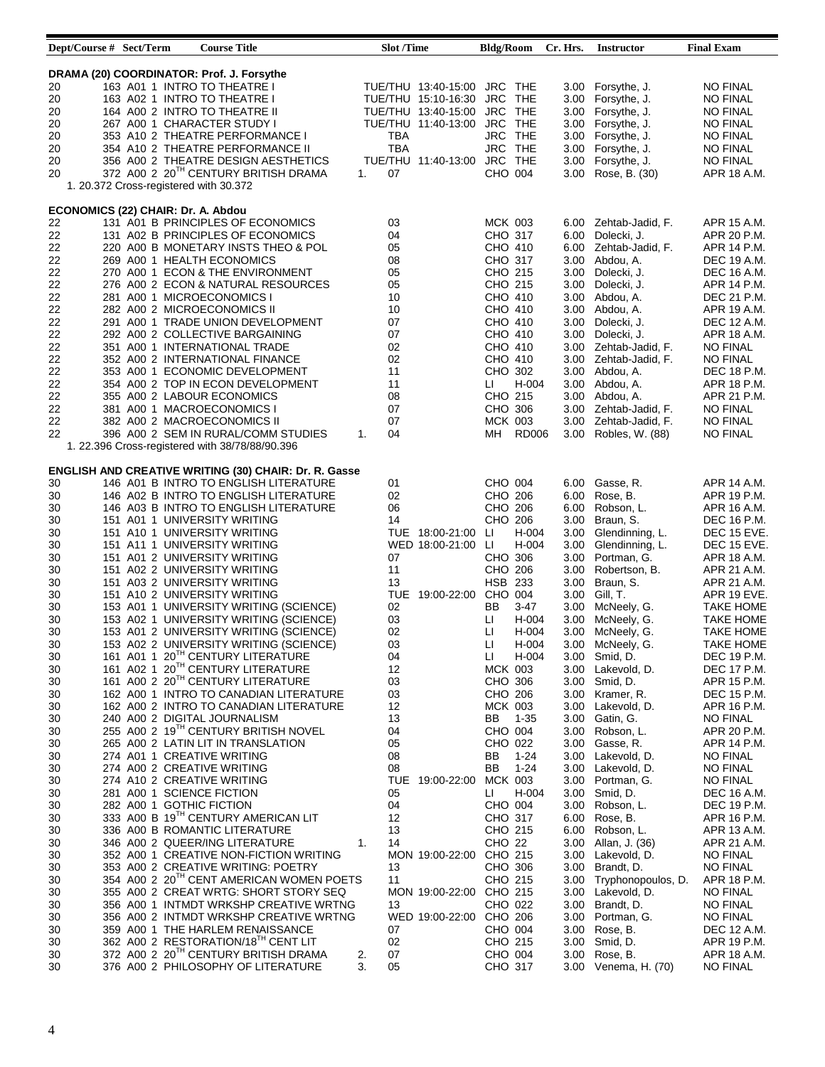| Dept/Course # Sect/Term                   |  | <b>Course Title</b>                                   |                | <b>Slot /Time</b> |                             | <b>Bldg/Room</b>  |          | Cr. Hrs. | <b>Instructor</b>       | <b>Final Exam</b>  |
|-------------------------------------------|--|-------------------------------------------------------|----------------|-------------------|-----------------------------|-------------------|----------|----------|-------------------------|--------------------|
|                                           |  |                                                       |                |                   |                             |                   |          |          |                         |                    |
|                                           |  | DRAMA (20) COORDINATOR: Prof. J. Forsythe             |                |                   |                             |                   |          |          |                         |                    |
| 20                                        |  | 163 A01 1 INTRO TO THEATRE I                          |                |                   | TUE/THU 13:40-15:00 JRC THE |                   |          |          | 3.00 Forsythe, J.       | <b>NO FINAL</b>    |
| 20                                        |  | 163 A02 1 INTRO TO THEATRE I                          |                |                   | TUE/THU 15:10-16:30 JRC THE |                   |          | 3.00     | Forsythe, J.            | NO FINAL           |
| 20                                        |  | 164 A00 2 INTRO TO THEATRE II                         |                |                   | TUE/THU 13:40-15:00         | JRC THE           |          | 3.00     | Forsythe, J.            | <b>NO FINAL</b>    |
| 20                                        |  | 267 A00 1 CHARACTER STUDY I                           |                |                   | TUE/THU 11:40-13:00 JRC THE |                   |          | 3.00     | Forsythe, J.            | <b>NO FINAL</b>    |
| 20                                        |  | 353 A10 2 THEATRE PERFORMANCE I                       |                | TBA               |                             | JRC THE           |          | 3.00     | Forsythe, J.            | <b>NO FINAL</b>    |
| 20                                        |  | 354 A10 2 THEATRE PERFORMANCE II                      |                | TBA               |                             | JRC THE           |          | 3.00     | Forsythe, J.            | <b>NO FINAL</b>    |
|                                           |  |                                                       |                |                   |                             |                   |          |          |                         |                    |
| 20                                        |  | 356 A00 2 THEATRE DESIGN AESTHETICS                   |                |                   | TUE/THU 11:40-13:00 JRC THE |                   |          | 3.00     | Forsythe, J.            | <b>NO FINAL</b>    |
| 20                                        |  | 372 A00 2 20 <sup>TH</sup> CENTURY BRITISH DRAMA      | 1.             | 07                |                             | CHO 004           |          | 3.00     | Rose, B. (30)           | APR 18 A.M.        |
|                                           |  | 1. 20.372 Cross-registered with 30.372                |                |                   |                             |                   |          |          |                         |                    |
|                                           |  |                                                       |                |                   |                             |                   |          |          |                         |                    |
| <b>ECONOMICS (22) CHAIR: Dr. A. Abdou</b> |  |                                                       |                |                   |                             |                   |          |          |                         |                    |
| 22                                        |  | 131 A01 B PRINCIPLES OF ECONOMICS                     |                | 03                |                             | <b>MCK 003</b>    |          | 6.00     | Zehtab-Jadid, F.        | APR 15 A.M.        |
| 22                                        |  | 131 A02 B PRINCIPLES OF ECONOMICS                     |                | 04                |                             | CHO 317           |          | 6.00     | Dolecki, J.             | APR 20 P.M.        |
| 22                                        |  | 220 A00 B MONETARY INSTS THEO & POL                   |                | 05                |                             | CHO 410           |          | 6.00     | Zehtab-Jadid, F.        | APR 14 P.M.        |
| 22                                        |  | 269 A00 1 HEALTH ECONOMICS                            |                | 08                |                             | CHO 317           |          | 3.00     | Abdou, A.               | DEC 19 A.M.        |
| 22                                        |  | 270 A00 1 ECON & THE ENVIRONMENT                      |                | 05                |                             | CHO 215           |          | 3.00     | Dolecki, J.             | DEC 16 A.M.        |
| 22                                        |  | 276 A00 2 ECON & NATURAL RESOURCES                    |                | 05                |                             | CHO 215           |          | 3.00     | Dolecki, J.             | APR 14 P.M.        |
| 22                                        |  | 281 A00 1 MICROECONOMICS I                            |                | 10                |                             | CHO 410           |          | 3.00     | Abdou, A.               | DEC 21 P.M.        |
| 22                                        |  | 282 A00 2 MICROECONOMICS II                           |                | 10                |                             | CHO 410           |          | 3.00     | Abdou, A.               | APR 19 A.M.        |
| 22                                        |  | 291 A00 1 TRADE UNION DEVELOPMENT                     |                | 07                |                             | CHO 410           |          | 3.00     | Dolecki, J.             | DEC 12 A.M.        |
|                                           |  | 292 A00 2 COLLECTIVE BARGAINING                       |                |                   |                             |                   |          |          |                         |                    |
| 22                                        |  |                                                       |                | 07                |                             | CHO 410           |          | 3.00     | Dolecki, J.             | APR 18 A.M.        |
| 22                                        |  | 351 A00 1 INTERNATIONAL TRADE                         |                | 02                |                             | CHO 410           |          | 3.00     | Zehtab-Jadid, F.        | <b>NO FINAL</b>    |
| 22                                        |  | 352 A00 2 INTERNATIONAL FINANCE                       |                | 02                |                             | CHO 410           |          | 3.00     | Zehtab-Jadid, F.        | <b>NO FINAL</b>    |
| 22                                        |  | 353 A00 1 ECONOMIC DEVELOPMENT                        |                | 11                |                             | CHO 302           |          | 3.00     | Abdou, A.               | DEC 18 P.M.        |
| 22                                        |  | 354 A00 2 TOP IN ECON DEVELOPMENT                     |                | 11                |                             | Ш                 | H-004    | 3.00     | Abdou, A.               | APR 18 P.M.        |
| 22                                        |  | 355 A00 2 LABOUR ECONOMICS                            |                | 08                |                             | CHO 215           |          | 3.00     | Abdou, A.               | APR 21 P.M.        |
| 22                                        |  | 381 A00 1 MACROECONOMICS I                            |                | 07                |                             | CHO 306           |          | 3.00     | Zehtab-Jadid, F.        | <b>NO FINAL</b>    |
| 22                                        |  | 382 A00 2 MACROECONOMICS II                           |                | 07                |                             | <b>MCK 003</b>    |          | 3.00     | Zehtab-Jadid, F.        | <b>NO FINAL</b>    |
| 22                                        |  | 396 A00 2 SEM IN RURAL/COMM STUDIES                   | 1.             | 04                |                             | MН                | RD006    | 3.00     | Robles, W. (88)         | <b>NO FINAL</b>    |
|                                           |  | 1. 22.396 Cross-registered with 38/78/88/90.396       |                |                   |                             |                   |          |          |                         |                    |
|                                           |  |                                                       |                |                   |                             |                   |          |          |                         |                    |
|                                           |  | ENGLISH AND CREATIVE WRITING (30) CHAIR: Dr. R. Gasse |                |                   |                             |                   |          |          |                         |                    |
| 30                                        |  | 146 A01 B INTRO TO ENGLISH LITERATURE                 |                | 01                |                             | CHO 004           |          | 6.00     | Gasse, R.               | APR 14 A.M.        |
| 30                                        |  |                                                       |                | 02                |                             | CHO 206           |          | 6.00     | Rose, B.                | APR 19 P.M.        |
|                                           |  | 146 A02 B INTRO TO ENGLISH LITERATURE                 |                |                   |                             |                   |          |          |                         |                    |
| 30                                        |  | 146 A03 B INTRO TO ENGLISH LITERATURE                 |                | 06                |                             | CHO 206           |          | 6.00     | Robson, L.              | APR 16 A.M.        |
| 30                                        |  | 151 A01 1 UNIVERSITY WRITING                          |                | 14                |                             | CHO 206           |          | 3.00     | Braun, S.               | <b>DEC 16 P.M.</b> |
| 30                                        |  | 151 A10 1 UNIVERSITY WRITING                          |                |                   | TUE 18:00-21:00             | LI                | H-004    | 3.00     | Glendinning, L.         | DEC 15 EVE.        |
| 30                                        |  | 151 A11 1 UNIVERSITY WRITING                          |                |                   | WED 18:00-21:00 LI          |                   | H-004    | 3.00     | Glendinning, L.         | DEC 15 EVE.        |
| 30                                        |  | 151 A01 2 UNIVERSITY WRITING                          |                | 07                |                             | CHO 306           |          | 3.00     | Portman, G.             | APR 18 A.M.        |
| 30                                        |  | 151 A02 2 UNIVERSITY WRITING                          |                | 11                |                             | CHO 206           |          | 3.00     | Robertson, B.           | APR 21 A.M.        |
| 30                                        |  | 151 A03 2 UNIVERSITY WRITING                          |                | 13                |                             | <b>HSB 233</b>    |          | 3.00     | Braun, S.               | APR 21 A.M.        |
| 30                                        |  | 151 A10 2 UNIVERSITY WRITING                          |                |                   | TUE 19:00-22:00 CHO 004     |                   |          | 3.00     | Gill, T.                | APR 19 EVE.        |
| 30                                        |  | 153 A01 1 UNIVERSITY WRITING (SCIENCE)                |                | 02                |                             | BB                | 3-47     | 3.00     | McNeely, G.             | <b>TAKE HOME</b>   |
| 30                                        |  | 153 A02 1 UNIVERSITY WRITING (SCIENCE)                |                | 03                |                             | Ш                 | H-004    | 3.00     | McNeely, G.             | <b>TAKE HOME</b>   |
| 30                                        |  | 153 A01 2 UNIVERSITY WRITING (SCIENCE)                |                | 02                |                             | П                 | H-004    | 3.00     | McNeely, G.             | <b>TAKE HOME</b>   |
| 30                                        |  | 153 A02 2 UNIVERSITY WRITING (SCIENCE)                |                | 03                |                             | П                 | H-004    |          | 3.00 McNeely, G.        | <b>TAKE HOME</b>   |
| 30                                        |  | 161 A01 1 20TH CENTURY LITERATURE                     |                | 04                |                             | П                 | H-004    |          | 3.00 Smid, D.           | DEC 19 P.M.        |
|                                           |  | 161 A02 1 20TH CENTURY LITERATURE                     |                | 12                |                             | <b>MCK 003</b>    |          |          |                         |                    |
| 30                                        |  | 161 A00 2 20TH CENTURY LITERATURE                     |                |                   |                             |                   |          |          | 3.00 Lakevold, D.       | DEC 17 P.M.        |
| 30                                        |  |                                                       |                | 03                |                             | CHO 306           |          |          | 3.00 Smid, D.           | APR 15 P.M.        |
| 30                                        |  | 162 A00 1 INTRO TO CANADIAN LITERATURE                |                | 03                |                             | CHO 206           |          |          | 3.00 Kramer, R.         | DEC 15 P.M.        |
| 30                                        |  | 162 A00 2 INTRO TO CANADIAN LITERATURE                |                | 12                |                             | <b>MCK 003</b>    |          | 3.00     | Lakevold, D.            | APR 16 P.M.        |
| 30                                        |  | 240 A00 2 DIGITAL JOURNALISM                          |                | 13                |                             | BB                | $1 - 35$ |          | 3.00 Gatin, G.          | <b>NO FINAL</b>    |
| 30                                        |  | 255 A00 2 19TH CENTURY BRITISH NOVEL                  |                | 04                |                             | CHO 004           |          |          | 3.00 Robson, L.         | APR 20 P.M.        |
| 30                                        |  | 265 A00 2 LATIN LIT IN TRANSLATION                    |                | 05                |                             | CHO 022           |          |          | 3.00 Gasse, R.          | APR 14 P.M.        |
| 30                                        |  | 274 A01 1 CREATIVE WRITING                            |                | 08                |                             | BB                | 1-24     | 3.00     | Lakevold, D.            | <b>NO FINAL</b>    |
| 30                                        |  | 274 A00 2 CREATIVE WRITING                            |                | 08                |                             | BB                | $1 - 24$ |          | 3.00 Lakevold, D.       | <b>NO FINAL</b>    |
| 30                                        |  | 274 A10 2 CREATIVE WRITING                            |                |                   | TUE 19:00-22:00             | <b>MCK 003</b>    |          |          | 3.00 Portman, G.        | <b>NO FINAL</b>    |
| 30                                        |  | 281 A00 1 SCIENCE FICTION                             |                | 05                |                             | Ш                 | H-004    | 3.00     | Smid, D.                | DEC 16 A.M.        |
| 30                                        |  | 282 A00 1 GOTHIC FICTION                              |                | 04                |                             | CHO 004           |          |          | 3.00 Robson, L.         | DEC 19 P.M.        |
|                                           |  | 333 A00 B 19TH CENTURY AMERICAN LIT                   |                | 12                |                             | CHO 317           |          |          | 6.00 Rose, B.           | APR 16 P.M.        |
| 30                                        |  |                                                       |                |                   |                             |                   |          |          |                         |                    |
| 30                                        |  | 336 A00 B ROMANTIC LITERATURE                         |                | 13                |                             | CHO 215           |          |          | 6.00 Robson, L.         | APR 13 A.M.        |
| 30                                        |  | 346 A00 2 QUEER/ING LITERATURE                        | $\mathbf{1}$ . | 14                |                             | CHO <sub>22</sub> |          |          | 3.00 Allan, J. (36)     | APR 21 A.M.        |
| 30                                        |  | 352 A00 1 CREATIVE NON-FICTION WRITING                |                |                   | MON 19:00-22:00 CHO 215     |                   |          |          | 3.00 Lakevold, D.       | NO FINAL           |
| 30                                        |  | 353 A00 2 CREATIVE WRITING: POETRY                    |                | 13                |                             | CHO 306           |          |          | 3.00 Brandt, D.         | <b>NO FINAL</b>    |
| 30                                        |  | 354 A00 2 20 <sup>TH</sup> CENT AMERICAN WOMEN POETS  |                | 11                |                             | CHO 215           |          |          | 3.00 Tryphonopoulos, D. | APR 18 P.M.        |
| 30                                        |  | 355 A00 2 CREAT WRTG: SHORT STORY SEQ                 |                |                   | MON 19:00-22:00 CHO 215     |                   |          |          | 3.00 Lakevold, D.       | <b>NO FINAL</b>    |
| 30                                        |  | 356 A00 1 INTMDT WRKSHP CREATIVE WRTNG                |                | 13                |                             | CHO 022           |          |          | 3.00 Brandt, D.         | <b>NO FINAL</b>    |
| 30                                        |  | 356 A00 2 INTMDT WRKSHP CREATIVE WRTNG                |                |                   | WED 19:00-22:00 CHO 206     |                   |          |          | 3.00 Portman, G.        | <b>NO FINAL</b>    |
| 30                                        |  | 359 A00 1 THE HARLEM RENAISSANCE                      |                | 07                |                             | CHO 004           |          |          | 3.00 Rose, B.           | DEC 12 A.M.        |
| 30                                        |  | 362 A00 2 RESTORATION/18TH CENT LIT                   |                | 02                |                             | CHO 215           |          |          | 3.00 Smid, D.           | APR 19 P.M.        |
| 30                                        |  | 372 A00 2 20TH CENTURY BRITISH DRAMA                  | 2.             | 07                |                             | CHO 004           |          | 3.00     | Rose, B.                | APR 18 A.M.        |
| 30                                        |  | 376 A00 2 PHILOSOPHY OF LITERATURE                    | 3.             | 05                |                             | CHO 317           |          |          | 3.00 Venema, H. (70)    | <b>NO FINAL</b>    |
|                                           |  |                                                       |                |                   |                             |                   |          |          |                         |                    |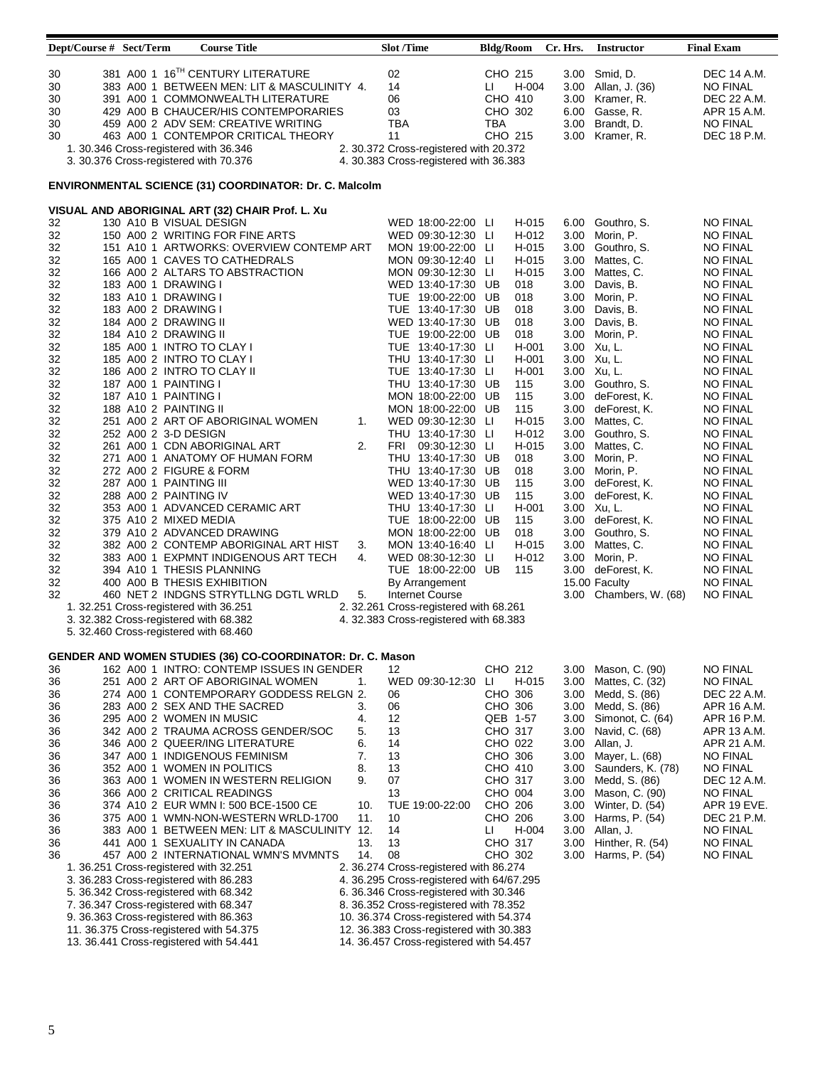|                                  | Dept/Course # Sect/Term |                                              | <b>Course Title</b>                                                                                                                                                                                                                                                                                                             |          | <b>Slot /Time</b>                        |                                                                                    | <b>Bldg/Room</b>                                     |                | Cr. Hrs.                     | <b>Instructor</b>                                                                           | <b>Final Exam</b>                                                                                     |
|----------------------------------|-------------------------|----------------------------------------------|---------------------------------------------------------------------------------------------------------------------------------------------------------------------------------------------------------------------------------------------------------------------------------------------------------------------------------|----------|------------------------------------------|------------------------------------------------------------------------------------|------------------------------------------------------|----------------|------------------------------|---------------------------------------------------------------------------------------------|-------------------------------------------------------------------------------------------------------|
| 30<br>30<br>30<br>30<br>30<br>30 |                         |                                              | 381 A00 1 16TH CENTURY LITERATURE<br>383 A00 1 BETWEEN MEN: LIT & MASCULINITY 4.<br>391 A00 1 COMMONWEALTH LITERATURE<br>429 A00 B CHAUCER/HIS CONTEMPORARIES<br>459 A00 2 ADV SEM: CREATIVE WRITING<br>463 A00 1 CONTEMPOR CRITICAL THEORY<br>1. 30.346 Cross-registered with 36.346<br>3. 30.376 Cross-registered with 70.376 |          | 02<br>14<br>06<br>03<br><b>TBA</b><br>11 | 2. 30.372 Cross-registered with 20.372<br>4. 30.383 Cross-registered with 36.383   | CHO 215<br>Ш<br>CHO 410<br>CHO 302<br>TBA<br>CHO 215 | H-004          | 3.00<br>6.00<br>3.00<br>3.00 | 3.00 Smid, D.<br>3.00 Allan, J. (36)<br>Kramer, R.<br>Gasse, R.<br>Brandt, D.<br>Kramer, R. | DEC 14 A.M.<br><b>NO FINAL</b><br>DEC 22 A.M.<br>APR 15 A.M.<br><b>NO FINAL</b><br><b>DEC 18 P.M.</b> |
|                                  |                         |                                              | ENVIRONMENTAL SCIENCE (31) COORDINATOR: Dr. C. Malcolm                                                                                                                                                                                                                                                                          |          |                                          |                                                                                    |                                                      |                |                              |                                                                                             |                                                                                                       |
| 32                               |                         |                                              | VISUAL AND ABORIGINAL ART (32) CHAIR Prof. L. Xu<br>130 A10 B VISUAL DESIGN                                                                                                                                                                                                                                                     |          |                                          | WED 18:00-22:00 LI                                                                 |                                                      | H-015          | 6.00                         | Gouthro, S.                                                                                 | <b>NO FINAL</b>                                                                                       |
| 32                               |                         |                                              | 150 A00 2 WRITING FOR FINE ARTS                                                                                                                                                                                                                                                                                                 |          |                                          | WED 09:30-12:30 LI                                                                 |                                                      | H-012          | 3.00                         | Morin, P.                                                                                   | <b>NO FINAL</b>                                                                                       |
| 32                               |                         |                                              | 151 A10 1 ARTWORKS: OVERVIEW CONTEMP ART                                                                                                                                                                                                                                                                                        |          |                                          | MON 19:00-22:00 LI                                                                 |                                                      | H-015          | 3.00                         | Gouthro, S.                                                                                 | <b>NO FINAL</b>                                                                                       |
| 32<br>32                         |                         |                                              | 165 A00 1 CAVES TO CATHEDRALS<br>166 A00 2 ALTARS TO ABSTRACTION                                                                                                                                                                                                                                                                |          |                                          | MON 09:30-12:40 LI<br>MON 09:30-12:30 LI                                           |                                                      | H-015<br>H-015 | 3.00<br>3.00                 | Mattes, C.<br>Mattes, C.                                                                    | <b>NO FINAL</b><br><b>NO FINAL</b>                                                                    |
| 32                               |                         | 183 A00 1 DRAWING I                          |                                                                                                                                                                                                                                                                                                                                 |          |                                          | WED 13:40-17:30 UB                                                                 |                                                      | 018            | 3.00                         | Davis, B.                                                                                   | <b>NO FINAL</b>                                                                                       |
| 32                               |                         | 183 A10 1 DRAWING I                          |                                                                                                                                                                                                                                                                                                                                 |          |                                          | TUE 19:00-22:00 UB                                                                 |                                                      | 018            | 3.00                         | Morin, P.                                                                                   | <b>NO FINAL</b>                                                                                       |
| 32                               |                         | 183 A00 2 DRAWING I                          |                                                                                                                                                                                                                                                                                                                                 |          |                                          | TUE 13:40-17:30 UB                                                                 |                                                      | 018            | 3.00                         | Davis, B.                                                                                   | <b>NO FINAL</b>                                                                                       |
| 32<br>32                         |                         | 184 A00 2 DRAWING II<br>184 A10 2 DRAWING II |                                                                                                                                                                                                                                                                                                                                 |          |                                          | WED 13:40-17:30 UB<br>TUE 19:00-22:00 UB                                           |                                                      | 018<br>018     | 3.00<br>3.00                 | Davis, B.<br>Morin, P.                                                                      | <b>NO FINAL</b><br><b>NO FINAL</b>                                                                    |
| 32                               |                         |                                              | 185 A00 1 INTRO TO CLAY I                                                                                                                                                                                                                                                                                                       |          |                                          | TUE 13:40-17:30 LI                                                                 |                                                      | H-001          |                              | 3.00 Xu, L.                                                                                 | <b>NO FINAL</b>                                                                                       |
| 32                               |                         |                                              | 185 A00 2 INTRO TO CLAY I                                                                                                                                                                                                                                                                                                       |          |                                          | THU 13:40-17:30 LI                                                                 |                                                      | H-001          |                              | 3.00 Xu, L.                                                                                 | <b>NO FINAL</b>                                                                                       |
| 32                               |                         |                                              | 186 A00 2 INTRO TO CLAY II                                                                                                                                                                                                                                                                                                      |          |                                          | TUE 13:40-17:30 LI                                                                 |                                                      | H-001          |                              | 3.00 Xu, L.                                                                                 | <b>NO FINAL</b>                                                                                       |
| 32<br>32                         |                         | 187 A00 1 PAINTING I<br>187 A10 1 PAINTING I |                                                                                                                                                                                                                                                                                                                                 |          |                                          | THU 13:40-17:30 UB<br>MON 18:00-22:00 UB                                           |                                                      | 115<br>115     | 3.00                         | 3.00 Gouthro, S.<br>deForest, K.                                                            | <b>NO FINAL</b><br><b>NO FINAL</b>                                                                    |
| 32                               |                         | 188 A10 2 PAINTING II                        |                                                                                                                                                                                                                                                                                                                                 |          |                                          | MON 18:00-22:00 UB                                                                 |                                                      | 115            | 3.00                         | deForest, K.                                                                                | <b>NO FINAL</b>                                                                                       |
| 32                               |                         |                                              | 251 A00 2 ART OF ABORIGINAL WOMEN                                                                                                                                                                                                                                                                                               | 1.       |                                          | WED 09:30-12:30 LI                                                                 |                                                      | H-015          | 3.00                         | Mattes, C.                                                                                  | <b>NO FINAL</b>                                                                                       |
| 32                               |                         | 252 A00 2 3-D DESIGN                         |                                                                                                                                                                                                                                                                                                                                 | 2.       | FRI                                      | THU 13:40-17:30 LI                                                                 |                                                      | H-012<br>H-015 | 3.00                         | Gouthro, S.                                                                                 | <b>NO FINAL</b>                                                                                       |
| 32<br>32                         |                         |                                              | 261 A00 1 CDN ABORIGINAL ART<br>271 A00 1 ANATOMY OF HUMAN FORM                                                                                                                                                                                                                                                                 |          |                                          | 09:30-12:30 LI<br>THU 13:40-17:30 UB                                               |                                                      | 018            | 3.00<br>3.00                 | Mattes, C.<br>Morin, P.                                                                     | <b>NO FINAL</b><br><b>NO FINAL</b>                                                                    |
| 32                               |                         |                                              | 272 A00 2 FIGURE & FORM                                                                                                                                                                                                                                                                                                         |          |                                          | THU 13:40-17:30 UB                                                                 |                                                      | 018            | 3.00                         | Morin, P.                                                                                   | <b>NO FINAL</b>                                                                                       |
| 32                               |                         | 287 A00 1 PAINTING III                       |                                                                                                                                                                                                                                                                                                                                 |          |                                          | WED 13:40-17:30 UB                                                                 |                                                      | 115            | 3.00                         | deForest, K.                                                                                | <b>NO FINAL</b>                                                                                       |
| 32<br>32                         |                         | 288 A00 2 PAINTING IV                        | 353 A00 1 ADVANCED CERAMIC ART                                                                                                                                                                                                                                                                                                  |          |                                          | WED 13:40-17:30 UB<br>THU 13:40-17:30 LI                                           |                                                      | 115<br>H-001   | 3.00                         | deForest, K.<br>3.00 Xu, L.                                                                 | <b>NO FINAL</b><br><b>NO FINAL</b>                                                                    |
| 32                               |                         | 375 A10 2 MIXED MEDIA                        |                                                                                                                                                                                                                                                                                                                                 |          |                                          | TUE 18:00-22:00 UB                                                                 |                                                      | 115            | 3.00                         | deForest, K.                                                                                | <b>NO FINAL</b>                                                                                       |
| 32                               |                         |                                              | 379 A10 2 ADVANCED DRAWING                                                                                                                                                                                                                                                                                                      |          |                                          | MON 18:00-22:00 UB                                                                 |                                                      | 018            | 3.00                         | Gouthro, S.                                                                                 | <b>NO FINAL</b>                                                                                       |
| 32                               |                         |                                              | 382 A00 2 CONTEMP ABORIGINAL ART HIST                                                                                                                                                                                                                                                                                           | 3.       |                                          | MON 13:40-16:40 LI                                                                 |                                                      | H-015          | 3.00                         | Mattes, C.                                                                                  | <b>NO FINAL</b>                                                                                       |
| 32<br>32                         |                         |                                              | 383 A00 1 EXPMNT INDIGENOUS ART TECH<br>394 A10 1 THESIS PLANNING                                                                                                                                                                                                                                                               | 4.       |                                          | WED 08:30-12:30 LI<br>TUE 18:00-22:00 UB                                           |                                                      | H-012<br>115   | 3.00                         | Morin, P.<br>3.00 deForest, K.                                                              | <b>NO FINAL</b><br><b>NO FINAL</b>                                                                    |
| 32                               |                         |                                              | 400 A00 B THESIS EXHIBITION                                                                                                                                                                                                                                                                                                     |          |                                          | By Arrangement                                                                     |                                                      |                |                              | 15.00 Faculty                                                                               | <b>NO FINAL</b>                                                                                       |
| 32                               |                         |                                              | 460 NET 2 INDGNS STRYTLLNG DGTL WRLD                                                                                                                                                                                                                                                                                            | 5.       |                                          | <b>Internet Course</b>                                                             |                                                      |                |                              | 3.00 Chambers, W. (68)                                                                      | <b>NO FINAL</b>                                                                                       |
|                                  |                         |                                              | 1. 32.251 Cross-registered with 36.251                                                                                                                                                                                                                                                                                          |          |                                          | 2. 32.261 Cross-registered with 68.261                                             |                                                      |                |                              |                                                                                             |                                                                                                       |
|                                  |                         |                                              | 3. 32.382 Cross-registered with 68.382<br>5. 32.460 Cross-registered with 68.460                                                                                                                                                                                                                                                |          |                                          | 4. 32.383 Cross-registered with 68.383                                             |                                                      |                |                              |                                                                                             |                                                                                                       |
|                                  |                         |                                              |                                                                                                                                                                                                                                                                                                                                 |          |                                          |                                                                                    |                                                      |                |                              |                                                                                             |                                                                                                       |
|                                  |                         |                                              | GENDER AND WOMEN STUDIES (36) CO-COORDINATOR: Dr. C. Mason                                                                                                                                                                                                                                                                      |          |                                          |                                                                                    |                                                      |                |                              |                                                                                             |                                                                                                       |
| 36                               |                         |                                              | 162 A00 1 INTRO: CONTEMP ISSUES IN GENDER                                                                                                                                                                                                                                                                                       |          | 12                                       |                                                                                    | CHO 212                                              |                | 3.00                         | Mason, C. (90)                                                                              | <b>NO FINAL</b>                                                                                       |
| 36<br>36                         |                         |                                              | 251 A00 2 ART OF ABORIGINAL WOMEN<br>274_A00_1_CONTEMPORARY GODDESS RELGN_2.                                                                                                                                                                                                                                                    | 1.       | 06                                       | WED 09:30-12:30                                                                    | ш<br>CHO 306                                         | H-015          | 3.00<br>3.00                 | Mattes, C. (32)<br>Medd, S. (86)                                                            | NO FINAL<br>DEC 22 A.M.                                                                               |
| 36                               |                         |                                              | 283 A00 2 SEX AND THE SACRED                                                                                                                                                                                                                                                                                                    | 3.       | 06                                       |                                                                                    | CHO 306                                              |                | 3.00                         | Medd, S. (86)                                                                               | APR 16 A.M.                                                                                           |
| 36                               |                         |                                              | 295 A00 2 WOMEN IN MUSIC                                                                                                                                                                                                                                                                                                        | 4.       | 12                                       |                                                                                    | QEB 1-57                                             |                | 3.00                         | Simonot, C. (64)                                                                            | APR 16 P.M.                                                                                           |
| 36                               |                         |                                              | 342 A00 2 TRAUMA ACROSS GENDER/SOC                                                                                                                                                                                                                                                                                              | 5.<br>6. | 13                                       |                                                                                    | CHO 317                                              |                | 3.00                         | Navid, C. (68)                                                                              | APR 13 A.M.                                                                                           |
| 36<br>36                         |                         |                                              | 346 A00 2 QUEER/ING LITERATURE<br>347 A00 1 INDIGENOUS FEMINISM                                                                                                                                                                                                                                                                 | 7.       | 14<br>13                                 |                                                                                    | CHO 022<br>CHO 306                                   |                | 3.00<br>3.00                 | Allan, J.<br>Mayer, L. (68)                                                                 | APR 21 A.M.<br><b>NO FINAL</b>                                                                        |
| 36                               |                         |                                              | 352 A00 1 WOMEN IN POLITICS                                                                                                                                                                                                                                                                                                     | 8.       | 13                                       |                                                                                    | CHO 410                                              |                | 3.00                         | Saunders, K. (78)                                                                           | <b>NO FINAL</b>                                                                                       |
| 36                               |                         |                                              | 363 A00 1 WOMEN IN WESTERN RELIGION                                                                                                                                                                                                                                                                                             | 9.       | 07                                       |                                                                                    | CHO 317                                              |                | 3.00                         | Medd, S. (86)                                                                               | DEC 12 A.M.                                                                                           |
| 36                               |                         |                                              | 366 A00 2 CRITICAL READINGS                                                                                                                                                                                                                                                                                                     | 10.      | 13                                       | TUE 19:00-22:00                                                                    | CHO 004                                              |                | 3.00                         | Mason, C. (90)                                                                              | <b>NO FINAL</b>                                                                                       |
| 36<br>36                         |                         |                                              | 374 A10 2 EUR WMN I: 500 BCE-1500 CE<br>375 A00 1 WMN-NON-WESTERN WRLD-1700                                                                                                                                                                                                                                                     | 11.      | 10                                       |                                                                                    | CHO 206<br>CHO 206                                   |                | 3.00<br>3.00                 | Winter, D. (54)<br>Harms, P. (54)                                                           | APR 19 EVE.<br>DEC 21 P.M.                                                                            |
| 36                               |                         |                                              | 383 A00 1 BETWEEN MEN: LIT & MASCULINITY 12.                                                                                                                                                                                                                                                                                    |          | 14                                       |                                                                                    | Ц                                                    | H-004          | 3.00                         | Allan, J.                                                                                   | <b>NO FINAL</b>                                                                                       |
| 36                               |                         |                                              | 441 A00 1 SEXUALITY IN CANADA                                                                                                                                                                                                                                                                                                   | 13.      | 13                                       |                                                                                    | CHO 317                                              |                | 3.00                         | Hinther, R. (54)                                                                            | <b>NO FINAL</b>                                                                                       |
| 36                               |                         |                                              | 457 A00 2 INTERNATIONAL WMN'S MVMNTS<br>1. 36.251 Cross-registered with 32.251                                                                                                                                                                                                                                                  | 14.      | 08                                       | 2. 36.274 Cross-registered with 86.274                                             | CHO 302                                              |                | 3.00                         | Harms, P. (54)                                                                              | <b>NO FINAL</b>                                                                                       |
|                                  |                         |                                              | 3. 36.283 Cross-registered with 86.283                                                                                                                                                                                                                                                                                          |          |                                          | 4. 36.295 Cross-registered with 64/67.295                                          |                                                      |                |                              |                                                                                             |                                                                                                       |
|                                  |                         |                                              | 5. 36.342 Cross-registered with 68.342                                                                                                                                                                                                                                                                                          |          |                                          | 6. 36.346 Cross-registered with 30.346                                             |                                                      |                |                              |                                                                                             |                                                                                                       |
|                                  |                         |                                              | 7. 36.347 Cross-registered with 68.347                                                                                                                                                                                                                                                                                          |          |                                          | 8. 36.352 Cross-registered with 78.352                                             |                                                      |                |                              |                                                                                             |                                                                                                       |
|                                  |                         |                                              | 9. 36.363 Cross-registered with 86.363<br>11. 36.375 Cross-registered with 54.375                                                                                                                                                                                                                                               |          |                                          | 10. 36.374 Cross-registered with 54.374<br>12. 36.383 Cross-registered with 30.383 |                                                      |                |                              |                                                                                             |                                                                                                       |
|                                  |                         |                                              | 13. 36.441 Cross-registered with 54.441                                                                                                                                                                                                                                                                                         |          |                                          | 14. 36.457 Cross-registered with 54.457                                            |                                                      |                |                              |                                                                                             |                                                                                                       |
|                                  |                         |                                              |                                                                                                                                                                                                                                                                                                                                 |          |                                          |                                                                                    |                                                      |                |                              |                                                                                             |                                                                                                       |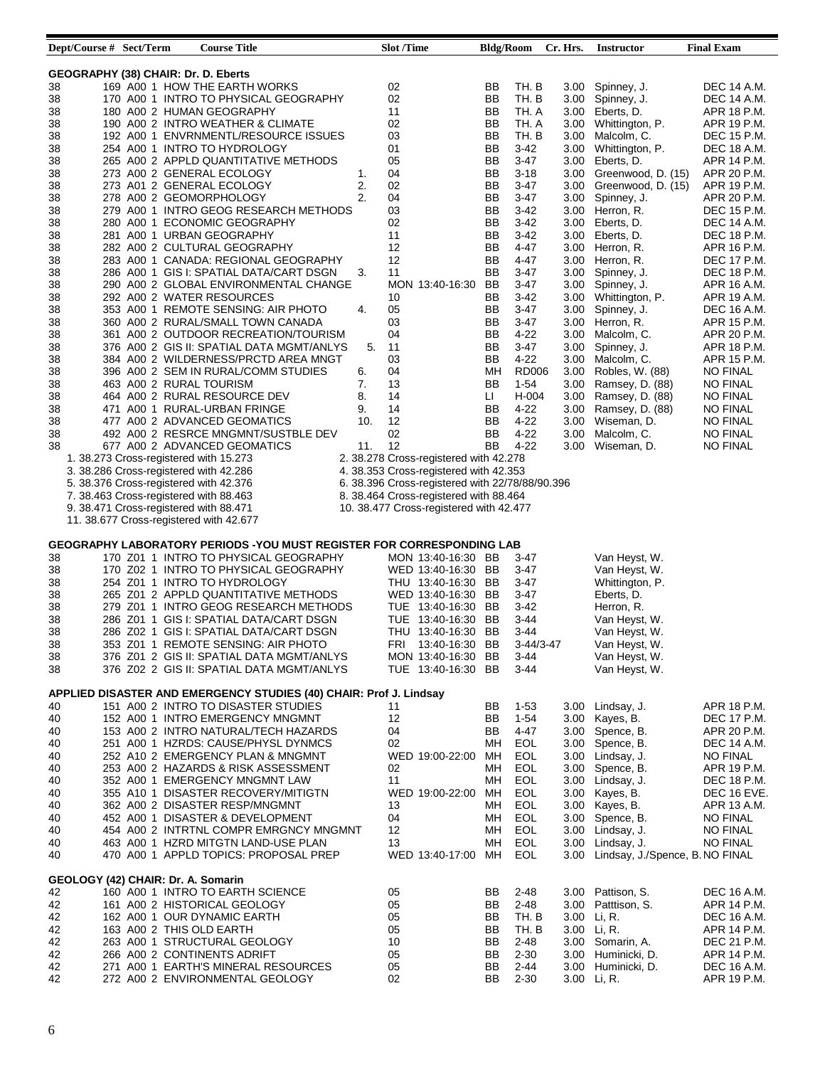| Dept/Course # Sect/Term             |  | <b>Course Title</b>                                                    |     | <b>Slot</b> /Time |                                                 | <b>Bldg/Room</b> |              | Cr. Hrs. | <b>Instructor</b>                    | <b>Final Exam</b>  |
|-------------------------------------|--|------------------------------------------------------------------------|-----|-------------------|-------------------------------------------------|------------------|--------------|----------|--------------------------------------|--------------------|
|                                     |  |                                                                        |     |                   |                                                 |                  |              |          |                                      |                    |
| GEOGRAPHY (38) CHAIR: Dr. D. Eberts |  |                                                                        |     |                   |                                                 |                  |              |          |                                      |                    |
| 38                                  |  | 169 A00 1 HOW THE EARTH WORKS                                          |     | 02                |                                                 | BB               | TH. B        | 3.00     | Spinney, J.                          | <b>DEC 14 A.M.</b> |
| 38                                  |  | 170 A00 1 INTRO TO PHYSICAL GEOGRAPHY                                  |     | 02                |                                                 | ΒB               | TH. B        | 3.00     | Spinney, J.                          | DEC 14 A.M.        |
| 38                                  |  | 180 A00 2 HUMAN GEOGRAPHY                                              |     | 11                |                                                 | BB               | TH. A        |          | 3.00 Eberts, D.                      | APR 18 P.M.        |
| 38                                  |  | 190 A00 2 INTRO WEATHER & CLIMATE                                      |     | 02                |                                                 | BB               | TH. A        |          | 3.00 Whittington, P.                 | APR 19 P.M.        |
| 38                                  |  | 192 A00 1 ENVRNMENTL/RESOURCE ISSUES                                   |     | 03                |                                                 | BB               | TH. B        |          | 3.00 Malcolm, C.                     | DEC 15 P.M.        |
| 38                                  |  | 254 A00 1 INTRO TO HYDROLOGY                                           |     | 01                |                                                 | BB               | $3-42$       | 3.00     | Whittington, P.                      | DEC 18 A.M.        |
| 38                                  |  | 265 A00 2 APPLD QUANTITATIVE METHODS                                   |     | 05                |                                                 | BB               | $3-47$       |          | 3.00 Eberts, D.                      | APR 14 P.M.        |
| 38                                  |  | 273 A00 2 GENERAL ECOLOGY                                              | 1.  | 04                |                                                 | BB               | $3 - 18$     | 3.00     | Greenwood, D. (15)                   | APR 20 P.M.        |
| 38                                  |  | 273 A01 2 GENERAL ECOLOGY                                              | 2.  | 02                |                                                 | ВB               | $3-47$       |          | 3.00 Greenwood, D. (15)              | APR 19 P.M.        |
| 38                                  |  | 278 A00 2 GEOMORPHOLOGY                                                | 2.  | 04                |                                                 | BB               | $3-47$       | 3.00     | Spinney, J.                          | APR 20 P.M.        |
| 38                                  |  | 279 A00 1 INTRO GEOG RESEARCH METHODS                                  |     | 03                |                                                 | ВB               | $3-42$       | 3.00     | Herron, R.                           | DEC 15 P.M.        |
| 38                                  |  | 280 A00 1 ECONOMIC GEOGRAPHY                                           |     | 02                |                                                 | BB               | $3-42$       | 3.00     | Eberts, D.                           | DEC 14 A.M.        |
| 38                                  |  | 281 A00 1 URBAN GEOGRAPHY                                              |     | 11                |                                                 | ВB               | $3-42$       |          | 3.00 Eberts, D.                      | <b>DEC 18 P.M.</b> |
| 38                                  |  | 282 A00 2 CULTURAL GEOGRAPHY                                           |     | 12                |                                                 | BB               | 4-47         | 3.00     | Herron, R.                           | APR 16 P.M.        |
| 38                                  |  | 283 A00 1 CANADA: REGIONAL GEOGRAPHY                                   |     | 12                |                                                 | ВB               | $4 - 47$     | 3.00     | Herron, R.                           | DEC 17 P.M.        |
| 38                                  |  | 286 A00 1 GIS I: SPATIAL DATA/CART DSGN                                | 3.  | 11                |                                                 | BB               | $3-47$       | 3.00     | Spinney, J.                          | DEC 18 P.M.        |
| 38                                  |  | 290 A00 2 GLOBAL ENVIRONMENTAL CHANGE                                  |     |                   | MON 13:40-16:30 BB                              |                  | $3-47$       | 3.00     | Spinney, J.                          | APR 16 A.M.        |
| 38                                  |  | 292 A00 2 WATER RESOURCES                                              |     | 10                |                                                 | BВ               | $3-42$       |          | 3.00 Whittington, P.                 | APR 19 A.M.        |
|                                     |  | 353 A00 1 REMOTE SENSING: AIR PHOTO                                    | 4.  | 05                |                                                 | ВB               |              |          |                                      |                    |
| 38                                  |  |                                                                        |     |                   |                                                 |                  | $3-47$       | 3.00     | Spinney, J.                          | DEC 16 A.M.        |
| 38                                  |  | 360 A00 2 RURAL/SMALL TOWN CANADA                                      |     | 03                |                                                 | ВB               | $3-47$       |          | 3.00 Herron, R.                      | APR 15 P.M.        |
| 38                                  |  | 361 A00 2 OUTDOOR RECREATION/TOURISM                                   |     | 04                |                                                 | BB               | $4 - 22$     | 3.00     | Malcolm, C.                          | APR 20 P.M.        |
| 38                                  |  | 376 A00 2 GIS II: SPATIAL DATA MGMT/ANLYS                              | 5.  | 11                |                                                 | ВB               | $3-47$       | 3.00     | Spinney, J.                          | APR 18 P.M.        |
| 38                                  |  | 384 A00 2 WILDERNESS/PRCTD AREA MNGT                                   |     | 03                |                                                 | BB               | $4 - 22$     | 3.00     | Malcolm, C.                          | APR 15 P.M.        |
| 38                                  |  | 396 A00 2 SEM IN RURAL/COMM STUDIES                                    | 6.  | 04                |                                                 | MН               | <b>RD006</b> |          | 3.00 Robles, W. (88)                 | <b>NO FINAL</b>    |
| 38                                  |  | 463 A00 2 RURAL TOURISM                                                | 7.  | 13                |                                                 | BB               | $1-54$       | 3.00     | Ramsey, D. (88)                      | <b>NO FINAL</b>    |
| 38                                  |  | 464 A00 2 RURAL RESOURCE DEV                                           | 8.  | 14                |                                                 | LI.              | H-004        |          | 3.00 Ramsey, D. (88)                 | <b>NO FINAL</b>    |
| 38                                  |  | 471 A00 1 RURAL-URBAN FRINGE                                           | 9.  | 14                |                                                 | BB               | 4-22         | 3.00     | Ramsey, D. (88)                      | <b>NO FINAL</b>    |
| 38                                  |  | 477 A00 2 ADVANCED GEOMATICS                                           | 10. | 12                |                                                 | BB               | 4-22         | 3.00     | Wiseman, D.                          | <b>NO FINAL</b>    |
| 38                                  |  | 492 A00 2 RESRCE MNGMNT/SUSTBLE DEV                                    |     | 02                |                                                 | BB               | $4 - 22$     | 3.00     | Malcolm, C.                          | <b>NO FINAL</b>    |
| 38                                  |  | 677 A00 2 ADVANCED GEOMATICS                                           | 11. | 12                |                                                 | BB               | $4 - 22$     | 3.00     | Wiseman, D.                          | <b>NO FINAL</b>    |
|                                     |  | 1. 38.273 Cross-registered with 15.273                                 |     |                   | 2. 38.278 Cross-registered with 42.278          |                  |              |          |                                      |                    |
|                                     |  | 3. 38.286 Cross-registered with 42.286                                 |     |                   | 4. 38.353 Cross-registered with 42.353          |                  |              |          |                                      |                    |
|                                     |  | 5. 38.376 Cross-registered with 42.376                                 |     |                   | 6. 38.396 Cross-registered with 22/78/88/90.396 |                  |              |          |                                      |                    |
|                                     |  | 7. 38.463 Cross-registered with 88.463                                 |     |                   | 8. 38.464 Cross-registered with 88.464          |                  |              |          |                                      |                    |
|                                     |  |                                                                        |     |                   |                                                 |                  |              |          |                                      |                    |
|                                     |  | 9. 38.471 Cross-registered with 88.471                                 |     |                   | 10. 38.477 Cross-registered with 42.477         |                  |              |          |                                      |                    |
|                                     |  | 11. 38.677 Cross-registered with 42.677                                |     |                   |                                                 |                  |              |          |                                      |                    |
|                                     |  |                                                                        |     |                   |                                                 |                  |              |          |                                      |                    |
|                                     |  | GEOGRAPHY LABORATORY PERIODS - YOU MUST REGISTER FOR CORRESPONDING LAB |     |                   |                                                 |                  |              |          |                                      |                    |
| 38                                  |  | 170 Z01 1 INTRO TO PHYSICAL GEOGRAPHY                                  |     |                   | MON 13:40-16:30 BB                              |                  | 3-47         |          | Van Heyst, W.                        |                    |
| 38                                  |  | 170 Z02 1 INTRO TO PHYSICAL GEOGRAPHY                                  |     |                   | WED 13:40-16:30 BB                              |                  | 3-47         |          | Van Heyst, W.                        |                    |
| 38                                  |  | 254 Z01 1 INTRO TO HYDROLOGY                                           |     |                   | THU 13:40-16:30 BB                              |                  | $3-47$       |          | Whittington, P.                      |                    |
| 38                                  |  | 265 Z01 2 APPLD QUANTITATIVE METHODS                                   |     |                   | WED 13:40-16:30 BB                              |                  | $3-47$       |          | Eberts, D.                           |                    |
| 38                                  |  | 279 Z01 1 INTRO GEOG RESEARCH METHODS                                  |     |                   | TUE 13:40-16:30 BB                              |                  | $3-42$       |          | Herron, R.                           |                    |
| 38                                  |  | 286 Z01 1 GIS I: SPATIAL DATA/CART DSGN                                |     |                   | TUE 13:40-16:30 BB                              |                  | $3-44$       |          | Van Heyst, W.                        |                    |
| 38                                  |  | 286 Z02 1 GIS I: SPATIAL DATA/CART DSGN                                |     |                   | THU 13:40-16:30 BB                              |                  | $3-44$       |          | Van Heyst, W.                        |                    |
| 38                                  |  | 353 Z01 1 REMOTE SENSING: AIR PHOTO                                    |     |                   | FRI 13:40-16:30 BB                              |                  | $3-44/3-47$  |          | Van Heyst, W.                        |                    |
| 38                                  |  | 376 Z01 2 GIS II: SPATIAL DATA MGMT/ANLYS                              |     |                   | MON 13:40-16:30 BB                              |                  | $3 - 44$     |          | Van Heyst, W.                        |                    |
| 38                                  |  | 376 Z02 2 GIS II: SPATIAL DATA MGMT/ANLYS                              |     |                   | TUE 13:40-16:30 BB                              |                  | $3-44$       |          | Van Heyst, W.                        |                    |
|                                     |  |                                                                        |     |                   |                                                 |                  |              |          |                                      |                    |
|                                     |  | APPLIED DISASTER AND EMERGENCY STUDIES (40) CHAIR: Prof J. Lindsay     |     |                   |                                                 |                  |              |          |                                      |                    |
| 40                                  |  | 151 A00 2 INTRO TO DISASTER STUDIES                                    |     | 11                |                                                 | BB               | $1 - 53$     |          | 3.00 Lindsay, J.                     | APR 18 P.M.        |
| 40                                  |  | 152 A00 1 INTRO EMERGENCY MNGMNT                                       |     | 12                |                                                 | BB               | $1-54$       |          | 3.00 Kayes, B.                       | DEC 17 P.M.        |
| 40                                  |  | 153 A00 2 INTRO NATURAL/TECH HAZARDS                                   |     | 04                |                                                 | ΒB               | 4-47         | 3.00     | Spence, B.                           | APR 20 P.M.        |
| 40                                  |  | 251 A00 1 HZRDS: CAUSE/PHYSL DYNMCS                                    |     | 02                |                                                 | MН               | EOL          | 3.00     | Spence, B.                           | DEC 14 A.M.        |
| 40                                  |  | 252 A10 2 EMERGENCY PLAN & MNGMNT                                      |     |                   | WED 19:00-22:00                                 | МH               | EOL          |          | 3.00 Lindsay, J.                     | <b>NO FINAL</b>    |
|                                     |  |                                                                        |     |                   |                                                 |                  |              |          |                                      |                    |
| 40                                  |  | 253 A00 2 HAZARDS & RISK ASSESSMENT                                    |     | 02                |                                                 | MН               | EOL          |          | 3.00 Spence, B.                      | APR 19 P.M.        |
| 40                                  |  | 352 A00 1 EMERGENCY MNGMNT LAW                                         |     | 11                |                                                 | MН               | EOL          |          | 3.00 Lindsay, J.                     | DEC 18 P.M.        |
| 40                                  |  | 355 A10 1 DISASTER RECOVERY/MITIGTN                                    |     |                   | WED 19:00-22:00                                 | МH               | EOL          |          | 3.00 Kayes, B.                       | DEC 16 EVE.        |
| 40                                  |  | 362 A00 2 DISASTER RESP/MNGMNT                                         |     | 13                |                                                 | MН               | EOL          |          | 3.00 Kayes, B.                       | APR 13 A.M.        |
| 40                                  |  | 452 A00 1 DISASTER & DEVELOPMENT                                       |     | 04                |                                                 | MН               | EOL          | 3.00     | Spence, B.                           | <b>NO FINAL</b>    |
| 40                                  |  | 454 A00 2 INTRTNL COMPR EMRGNCY MNGMNT                                 |     | 12                |                                                 | MН               | EOL          |          | 3.00 Lindsay, J.                     | <b>NO FINAL</b>    |
| 40                                  |  | 463 A00 1 HZRD MITGTN LAND-USE PLAN                                    |     | 13                |                                                 | MН               | EOL          |          | 3.00 Lindsay, J.                     | NO FINAL           |
| 40                                  |  | 470 A00 1 APPLD TOPICS: PROPOSAL PREP                                  |     |                   | WED 13:40-17:00                                 | MH               | EOL          |          | 3.00 Lindsay, J./Spence, B. NO FINAL |                    |
|                                     |  |                                                                        |     |                   |                                                 |                  |              |          |                                      |                    |
| GEOLOGY (42) CHAIR: Dr. A. Somarin  |  |                                                                        |     |                   |                                                 |                  |              |          |                                      |                    |
| 42                                  |  | 160 A00 1 INTRO TO EARTH SCIENCE                                       |     | 05                |                                                 | BB               | $2 - 48$     |          | 3.00 Pattison, S.                    | DEC 16 A.M.        |
| 42                                  |  | 161 A00 2 HISTORICAL GEOLOGY                                           |     | 05                |                                                 | ВB               | $2 - 48$     | 3.00     | Patttison, S.                        | APR 14 P.M.        |
| 42                                  |  | 162 A00 1 OUR DYNAMIC EARTH                                            |     | 05                |                                                 | ΒB               | TH. B        |          | 3.00 Li, R.                          | DEC 16 A.M.        |
| 42                                  |  | 163 A00 2 THIS OLD EARTH                                               |     | 05                |                                                 | ВB               | TH. B        |          | 3.00 Li, R.                          | APR 14 P.M.        |
| 42                                  |  | 263 A00 1 STRUCTURAL GEOLOGY                                           |     | 10                |                                                 | BB               | $2 - 48$     |          | 3.00 Somarin, A.                     | DEC 21 P.M.        |
| 42                                  |  | 266 A00 2 CONTINENTS ADRIFT                                            |     | 05                |                                                 | BB               | $2 - 30$     | 3.00     | Huminicki, D.                        | APR 14 P.M.        |
| 42                                  |  | 271 A00 1 EARTH'S MINERAL RESOURCES                                    |     | 05                |                                                 | BB               | $2 - 44$     | 3.00     | Huminicki, D.                        | DEC 16 A.M.        |
| 42                                  |  |                                                                        |     | 02                |                                                 | BB               | $2 - 30$     |          | 3.00 Li, R.                          | APR 19 P.M.        |
|                                     |  | 272 A00 2 ENVIRONMENTAL GEOLOGY                                        |     |                   |                                                 |                  |              |          |                                      |                    |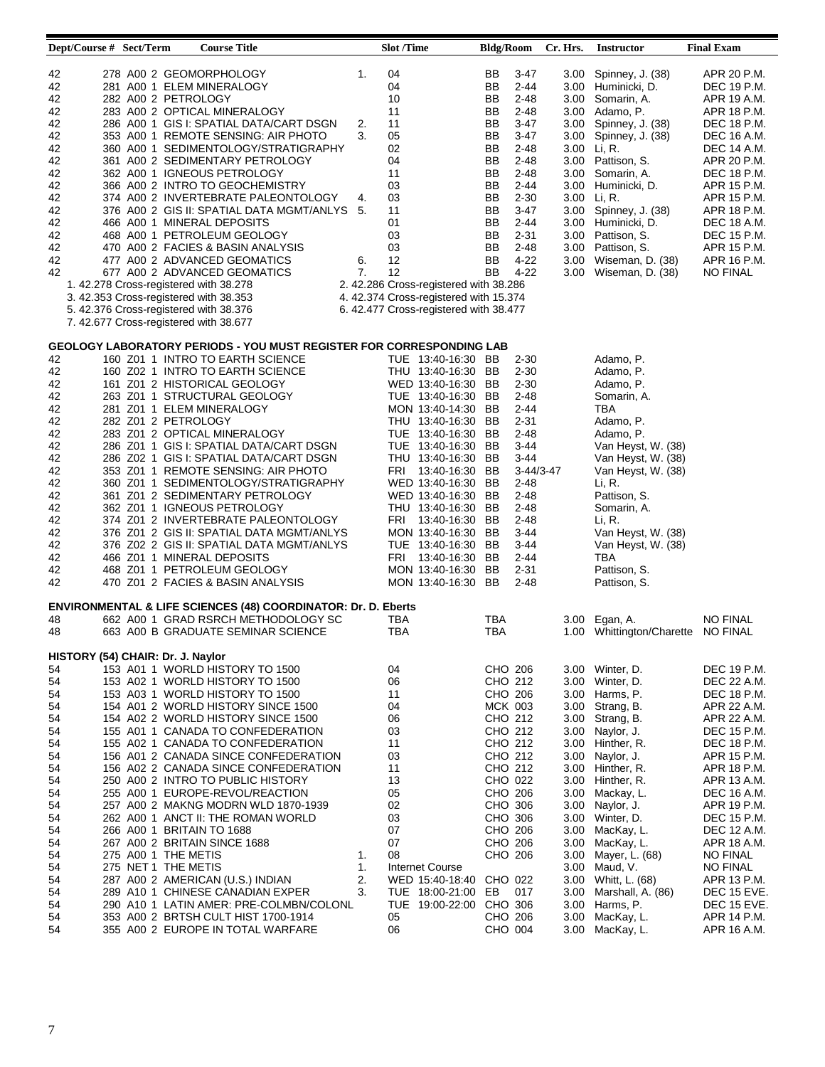| Dept/Course # Sect/Term           |  | <b>Course Title</b>                                                         |    | Slot /Time |                                        | <b>Bldg/Room</b> |           | Cr. Hrs. |                   | <b>Instructor</b>                  | <b>Final Exam</b> |
|-----------------------------------|--|-----------------------------------------------------------------------------|----|------------|----------------------------------------|------------------|-----------|----------|-------------------|------------------------------------|-------------------|
|                                   |  |                                                                             |    |            |                                        |                  |           |          |                   |                                    |                   |
| 42                                |  | 278 A00 2 GEOMORPHOLOGY                                                     | 1. | 04         |                                        | BB               | 3-47      |          | 3.00 <sub>1</sub> | Spinney, J. (38)                   | APR 20 P.M.       |
| 42                                |  | 281 A00 1 ELEM MINERALOGY                                                   |    | 04         |                                        | BB               | 2-44      |          |                   | 3.00 Huminicki, D.                 | DEC 19 P.M.       |
| 42                                |  | 282 A00 2 PETROLOGY                                                         |    | 10         |                                        | BB               | $2 - 48$  |          | 3.00              | Somarin, A.                        | APR 19 A.M.       |
| 42                                |  | 283 A00 2 OPTICAL MINERALOGY                                                |    | 11         |                                        | BB               | $2 - 48$  |          | 3.00              | Adamo, P.                          | APR 18 P.M.       |
| 42                                |  | 286 A00 1 GIS I: SPATIAL DATA/CART DSGN                                     | 2. | 11         |                                        | BB               | 3-47      | 3.00     |                   | Spinney, J. (38)                   | DEC 18 P.M.       |
| 42                                |  | 353 A00 1 REMOTE SENSING: AIR PHOTO                                         | 3. | 05         |                                        | BB               | 3-47      | 3.00     |                   | Spinney, J. (38)                   | DEC 16 A.M.       |
| 42                                |  | 360 A00 1 SEDIMENTOLOGY/STRATIGRAPHY                                        |    | 02         |                                        | BB               | $2 - 48$  |          | 3.00              | Li, R.                             | DEC 14 A.M.       |
| 42                                |  | 361 A00 2 SEDIMENTARY PETROLOGY                                             |    | 04         |                                        | BB               | $2 - 48$  |          |                   | 3.00 Pattison, S.                  | APR 20 P.M.       |
| 42                                |  | 362 A00 1 IGNEOUS PETROLOGY                                                 |    | 11         |                                        | BB               | $2 - 48$  |          | 3.00              | Somarin, A.                        | DEC 18 P.M.       |
| 42                                |  | 366 A00 2 INTRO TO GEOCHEMISTRY                                             |    | 03         |                                        | BB               | $2 - 44$  | 3.00     |                   | Huminicki, D.                      | APR 15 P.M.       |
| 42                                |  | 374 A00 2 INVERTEBRATE PALEONTOLOGY                                         | 4. | 03         |                                        | BB               | $2 - 30$  |          | 3.00              | Li, R.                             | APR 15 P.M.       |
|                                   |  |                                                                             |    |            |                                        |                  |           |          |                   |                                    |                   |
| 42                                |  | 376 A00 2 GIS II: SPATIAL DATA MGMT/ANLYS 5.                                |    | 11         |                                        | BB               | $3-47$    |          | 3.00              | Spinney, J. (38)                   | APR 18 P.M.       |
| 42                                |  | 466 A00 1 MINERAL DEPOSITS                                                  |    | 01         |                                        | BB               | 2-44      |          |                   | 3.00 Huminicki, D.                 | DEC 18 A.M.       |
| 42                                |  | 468 A00 1 PETROLEUM GEOLOGY                                                 |    | 03         |                                        | BB               | $2 - 31$  |          |                   | 3.00 Pattison, S.                  | DEC 15 P.M.       |
| 42                                |  | 470 A00 2 FACIES & BASIN ANALYSIS                                           |    | 03         |                                        | BB               | $2 - 48$  |          |                   | 3.00 Pattison, S.                  | APR 15 P.M.       |
| 42                                |  | 477 A00 2 ADVANCED GEOMATICS                                                | 6. | 12         |                                        | BB               | $4 - 22$  |          | 3.00              | Wiseman, D. (38)                   | APR 16 P.M.       |
| 42                                |  | 677 A00 2 ADVANCED GEOMATICS                                                | 7. | 12         |                                        | BB               | $4 - 22$  |          | 3.00              | Wiseman, D. (38)                   | <b>NO FINAL</b>   |
|                                   |  | 1. 42.278 Cross-registered with 38.278                                      |    |            | 2. 42.286 Cross-registered with 38.286 |                  |           |          |                   |                                    |                   |
|                                   |  | 3. 42.353 Cross-registered with 38.353                                      |    |            | 4. 42.374 Cross-registered with 15.374 |                  |           |          |                   |                                    |                   |
|                                   |  | 5. 42.376 Cross-registered with 38.376                                      |    |            | 6.42.477 Cross-registered with 38.477  |                  |           |          |                   |                                    |                   |
|                                   |  | 7.42.677 Cross-registered with 38.677                                       |    |            |                                        |                  |           |          |                   |                                    |                   |
|                                   |  |                                                                             |    |            |                                        |                  |           |          |                   |                                    |                   |
|                                   |  | <b>GEOLOGY LABORATORY PERIODS - YOU MUST REGISTER FOR CORRESPONDING LAB</b> |    |            |                                        |                  |           |          |                   |                                    |                   |
| 42                                |  | 160 Z01 1 INTRO TO EARTH SCIENCE                                            |    |            | TUE 13:40-16:30 BB                     |                  | $2 - 30$  |          |                   | Adamo, P.                          |                   |
| 42                                |  | 160 Z02 1 INTRO TO EARTH SCIENCE                                            |    |            | THU 13:40-16:30 BB                     |                  | $2 - 30$  |          |                   | Adamo, P.                          |                   |
| 42                                |  | 161 Z01 2 HISTORICAL GEOLOGY                                                |    |            | WED 13:40-16:30 BB                     |                  | $2 - 30$  |          |                   | Adamo, P.                          |                   |
| 42                                |  | 263 Z01 1 STRUCTURAL GEOLOGY                                                |    |            | TUE 13:40-16:30 BB                     |                  | $2 - 48$  |          |                   | Somarin, A.                        |                   |
| 42                                |  | 281 Z01 1 ELEM MINERALOGY                                                   |    |            | MON 13:40-14:30 BB                     |                  | $2 - 44$  |          |                   | TBA                                |                   |
| 42                                |  | 282 Z01 2 PETROLOGY                                                         |    |            | THU 13:40-16:30 BB                     |                  | $2 - 31$  |          |                   | Adamo, P.                          |                   |
|                                   |  | 283 Z01 2 OPTICAL MINERALOGY                                                |    |            |                                        |                  |           |          |                   | Adamo, P.                          |                   |
| 42                                |  |                                                                             |    |            | TUE 13:40-16:30 BB                     |                  | $2 - 48$  |          |                   |                                    |                   |
| 42                                |  | 286 Z01 1 GIS I: SPATIAL DATA/CART DSGN                                     |    |            | TUE 13:40-16:30 BB                     |                  | 3-44      |          |                   | Van Heyst, W. (38)                 |                   |
| 42                                |  | 286 Z02 1 GIS I: SPATIAL DATA/CART DSGN                                     |    |            | THU 13:40-16:30 BB                     |                  | 3-44      |          |                   | Van Heyst, W. (38)                 |                   |
| 42                                |  | 353 Z01 1 REMOTE SENSING: AIR PHOTO                                         |    |            | FRI 13:40-16:30 BB                     |                  | 3-44/3-47 |          |                   | Van Heyst, W. (38)                 |                   |
| 42                                |  | 360 Z01 1 SEDIMENTOLOGY/STRATIGRAPHY                                        |    |            | WED 13:40-16:30 BB                     |                  | 2-48      |          |                   | Li, R.                             |                   |
| 42                                |  | 361 Z01 2 SEDIMENTARY PETROLOGY                                             |    |            | WED 13:40-16:30 BB                     |                  | 2-48      |          |                   | Pattison, S.                       |                   |
| 42                                |  | 362 Z01 1 IGNEOUS PETROLOGY                                                 |    |            | THU 13:40-16:30 BB                     |                  | $2 - 48$  |          |                   | Somarin, A.                        |                   |
| 42                                |  | 374 Z01 2 INVERTEBRATE PALEONTOLOGY                                         |    |            | FRI 13:40-16:30 BB                     |                  | 2-48      |          |                   | Li, R.                             |                   |
| 42                                |  | 376 Z01 2 GIS II: SPATIAL DATA MGMT/ANLYS                                   |    |            | MON 13:40-16:30 BB                     |                  | 3-44      |          |                   | Van Heyst, W. (38)                 |                   |
| 42                                |  | 376 Z02 2 GIS II: SPATIAL DATA MGMT/ANLYS                                   |    |            | TUE 13:40-16:30 BB                     |                  | 3-44      |          |                   | Van Heyst, W. (38)                 |                   |
| 42                                |  | 466 Z01 1 MINERAL DEPOSITS                                                  |    |            | FRI 13:40-16:30 BB                     |                  | $2 - 44$  |          |                   | TBA                                |                   |
| 42                                |  | 468 Z01 1 PETROLEUM GEOLOGY                                                 |    |            | MON 13:40-16:30 BB                     |                  | 2-31      |          |                   | Pattison, S.                       |                   |
| 42                                |  | 470 Z01 2 FACIES & BASIN ANALYSIS                                           |    |            | MON 13:40-16:30 BB                     |                  | $2 - 48$  |          |                   | Pattison, S.                       |                   |
|                                   |  |                                                                             |    |            |                                        |                  |           |          |                   |                                    |                   |
|                                   |  | <b>ENVIRONMENTAL &amp; LIFE SCIENCES (48) COORDINATOR: Dr. D. Eberts</b>    |    |            |                                        |                  |           |          |                   |                                    |                   |
| 48                                |  | 662 A00 1 GRAD RSRCH METHODOLOGY SC                                         |    | TBA        |                                        | TBA              |           |          | 3.00              | Egan, A.                           | <b>NO FINAL</b>   |
| 48                                |  | 663 A00 B GRADUATE SEMINAR SCIENCE                                          |    | TBA        |                                        | <b>TBA</b>       |           |          |                   | 1.00 Whittington/Charette NO FINAL |                   |
|                                   |  |                                                                             |    |            |                                        |                  |           |          |                   |                                    |                   |
| HISTORY (54) CHAIR: Dr. J. Naylor |  |                                                                             |    |            |                                        |                  |           |          |                   |                                    |                   |
| 54                                |  | 153 A01 1 WORLD HISTORY TO 1500                                             |    | 04         |                                        | CHO 206          |           |          |                   | 3.00 Winter, D.                    | DEC 19 P.M.       |
| 54                                |  | 153 A02 1 WORLD HISTORY TO 1500                                             |    | 06         |                                        | CHO 212          |           | 3.00     |                   | Winter, D.                         | DEC 22 A.M.       |
| 54                                |  | 153 A03 1 WORLD HISTORY TO 1500                                             |    | 11         |                                        | CHO 206          |           | 3.00     |                   | Harms, P.                          | DEC 18 P.M.       |
| 54                                |  | 154 A01 2 WORLD HISTORY SINCE 1500                                          |    | 04         |                                        | <b>MCK 003</b>   |           |          | 3.00              | Strang, B.                         | APR 22 A.M.       |
| 54                                |  | 154 A02 2 WORLD HISTORY SINCE 1500                                          |    | 06         |                                        | CHO 212          |           | 3.00     |                   | Strang, B.                         | APR 22 A.M.       |
| 54                                |  |                                                                             |    | 03         |                                        | CHO 212          |           |          |                   |                                    |                   |
|                                   |  | 155 A01 1 CANADA TO CONFEDERATION                                           |    |            |                                        |                  |           | 3.00     |                   | Naylor, J.                         | DEC 15 P.M.       |
| 54                                |  | 155 A02 1 CANADA TO CONFEDERATION                                           |    | 11         |                                        | CHO 212          |           |          | 3.00              | Hinther, R.                        | DEC 18 P.M.       |
| 54                                |  | 156 A01 2 CANADA SINCE CONFEDERATION                                        |    | 03         |                                        | CHO 212          |           |          | 3.00              | Naylor, J.                         | APR 15 P.M.       |
| 54                                |  | 156 A02 2 CANADA SINCE CONFEDERATION                                        |    | 11         |                                        | CHO 212          |           |          | 3.00 <sub>1</sub> | Hinther, R.                        | APR 18 P.M.       |
| 54                                |  | 250 A00 2 INTRO TO PUBLIC HISTORY                                           |    | 13         |                                        | CHO 022          |           |          | 3.00              | Hinther, R.                        | APR 13 A.M.       |
| 54                                |  | 255 A00 1 EUROPE-REVOL/REACTION                                             |    | 05         |                                        | CHO 206          |           | 3.00     |                   | Mackay, L.                         | DEC 16 A.M.       |
| 54                                |  | 257 A00 2 MAKNG MODRN WLD 1870-1939                                         |    | 02         |                                        | CHO 306          |           |          | 3.00              | Naylor, J.                         | APR 19 P.M.       |
| 54                                |  | 262 A00 1 ANCT II: THE ROMAN WORLD                                          |    | 03         |                                        | CHO 306          |           |          |                   | 3.00 Winter, D.                    | DEC 15 P.M.       |
| 54                                |  | 266 A00 1 BRITAIN TO 1688                                                   |    | 07         |                                        | CHO 206          |           |          | 3.00              | MacKay, L.                         | DEC 12 A.M.       |
| 54                                |  | 267 A00 2 BRITAIN SINCE 1688                                                |    | 07         |                                        | CHO 206          |           |          | 3.00              | MacKay, L.                         | APR 18 A.M.       |
| 54                                |  | 275 A00 1 THE METIS                                                         | 1. | 08         |                                        | CHO 206          |           | 3.00     |                   | Mayer, L. (68)                     | <b>NO FINAL</b>   |
| 54                                |  | 275 NET 1 THE METIS                                                         | 1. |            | <b>Internet Course</b>                 |                  |           | 3.00     |                   | Maud, V.                           | <b>NO FINAL</b>   |
| 54                                |  | 287 A00 2 AMERICAN (U.S.) INDIAN                                            | 2. |            | WED 15:40-18:40 CHO 022                |                  |           | 3.00     |                   | Whitt, L. (68)                     | APR 13 P.M.       |
| 54                                |  | 289 A10 1 CHINESE CANADIAN EXPER                                            | 3. |            | TUE 18:00-21:00                        | EB               | 017       | 3.00     |                   | Marshall, A. (86)                  | DEC 15 EVE.       |
| 54                                |  | 290 A10 1 LATIN AMER: PRE-COLMBN/COLONL                                     |    |            | TUE 19:00-22:00                        | CHO 306          |           | 3.00     |                   | Harms, P.                          | DEC 15 EVE.       |
| 54                                |  | 353 A00 2 BRTSH CULT HIST 1700-1914                                         |    | 05         |                                        | CHO 206          |           | 3.00     |                   | MacKay, L.                         | APR 14 P.M.       |
| 54                                |  | 355 A00 2 EUROPE IN TOTAL WARFARE                                           |    | 06         |                                        | CHO 004          |           | 3.00     |                   | MacKay, L.                         | APR 16 A.M.       |
|                                   |  |                                                                             |    |            |                                        |                  |           |          |                   |                                    |                   |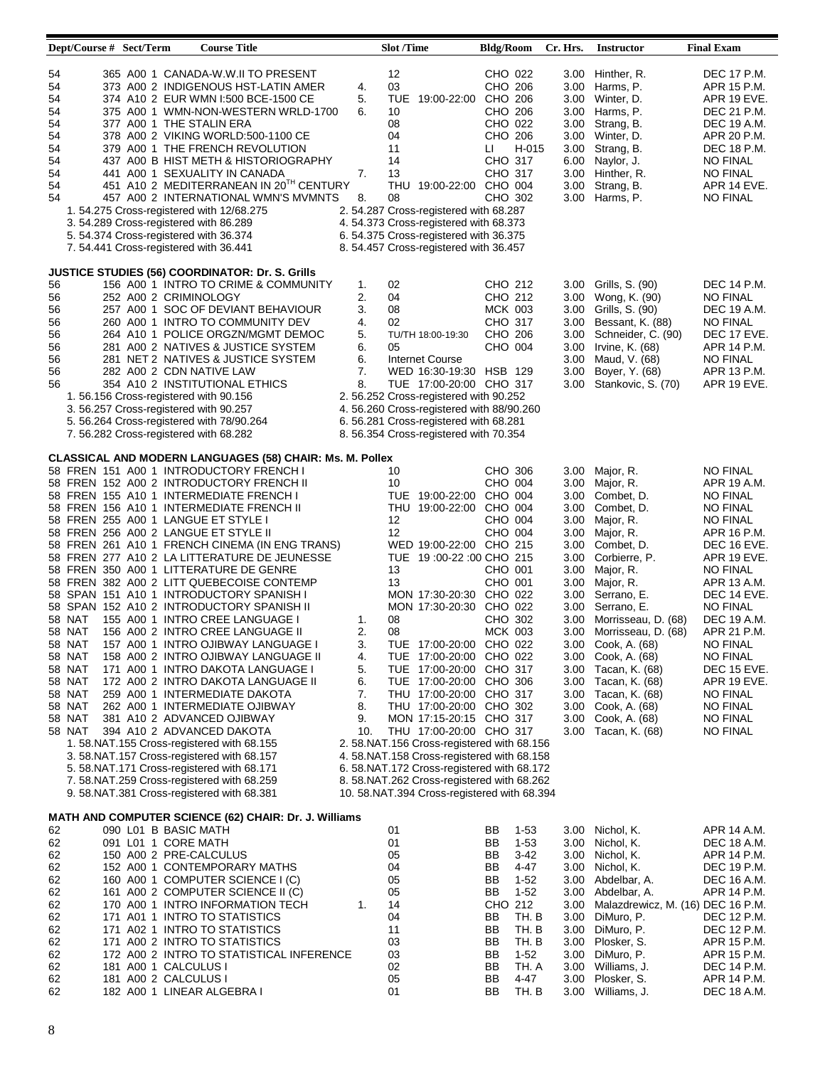| Dept/Course # Sect/Term                                                                |                                                                                             | <b>Course Title</b>                                                                                                                                                                                                                                                                                                                                                                                                                                                                                                                                                                                                                                                                                                                                                                                                                                                                                                                                                                                                                                                                                                                                                                                                    |                                                           | <b>Slot</b> /Time                                                                                                                                                                                                                                                                                                                                                                                                                                                                                                                                                                                                                                                             | <b>Bldg/Room</b>                                                                                                                                                                                               | Cr. Hrs.                                                     | <b>Instructor</b>                                                                                                                                                                                                                                                                                                                                                                                                                   | <b>Final Exam</b>                                                                                                                                                                                                                                                                                                                            |
|----------------------------------------------------------------------------------------|---------------------------------------------------------------------------------------------|------------------------------------------------------------------------------------------------------------------------------------------------------------------------------------------------------------------------------------------------------------------------------------------------------------------------------------------------------------------------------------------------------------------------------------------------------------------------------------------------------------------------------------------------------------------------------------------------------------------------------------------------------------------------------------------------------------------------------------------------------------------------------------------------------------------------------------------------------------------------------------------------------------------------------------------------------------------------------------------------------------------------------------------------------------------------------------------------------------------------------------------------------------------------------------------------------------------------|-----------------------------------------------------------|-------------------------------------------------------------------------------------------------------------------------------------------------------------------------------------------------------------------------------------------------------------------------------------------------------------------------------------------------------------------------------------------------------------------------------------------------------------------------------------------------------------------------------------------------------------------------------------------------------------------------------------------------------------------------------|----------------------------------------------------------------------------------------------------------------------------------------------------------------------------------------------------------------|--------------------------------------------------------------|-------------------------------------------------------------------------------------------------------------------------------------------------------------------------------------------------------------------------------------------------------------------------------------------------------------------------------------------------------------------------------------------------------------------------------------|----------------------------------------------------------------------------------------------------------------------------------------------------------------------------------------------------------------------------------------------------------------------------------------------------------------------------------------------|
| 54<br>54<br>54<br>54<br>54<br>54<br>54<br>54<br>54<br>54<br>54                         |                                                                                             | 365 A00 1 CANADA-W.W.II TO PRESENT<br>373 A00 2 INDIGENOUS HST-LATIN AMER<br>374 A10 2 EUR WMN I:500 BCE-1500 CE<br>375 A00 1 WMN-NON-WESTERN WRLD-1700<br>377 A00 1 THE STALIN ERA<br>378 A00 2 VIKING WORLD:500-1100 CE<br>379 A00 1 THE FRENCH REVOLUTION<br>437 A00 B HIST METH & HISTORIOGRAPHY<br>441 A00 1 SEXUALITY IN CANADA<br>451 A10 2 MEDITERRANEAN IN 20TH CENTURY<br>457 A00 2 INTERNATIONAL WMN'S MVMNTS<br>1. 54.275 Cross-registered with 12/68.275<br>3. 54.289 Cross-registered with 86.289<br>5. 54.374 Cross-registered with 36.374<br>7. 54.441 Cross-registered with 36.441                                                                                                                                                                                                                                                                                                                                                                                                                                                                                                                                                                                                                    | 4.<br>5.<br>6.<br>7.<br>8.                                | 12<br>03<br>19:00-22:00 CHO 206<br>TUE<br>10<br>08<br>04<br>11<br>14<br>13<br>THU 19:00-22:00 CHO 004<br>08<br>2. 54.287 Cross-registered with 68.287<br>4. 54.373 Cross-registered with 68.373<br>6.54.375 Cross-registered with 36.375<br>8. 54.457 Cross-registered with 36.457                                                                                                                                                                                                                                                                                                                                                                                            | CHO 022<br>CHO 206<br>CHO 206<br>CHO 022<br>CHO 206<br>H-015<br>LI.<br>CHO 317<br>CHO 317<br>CHO 302                                                                                                           | 3.00<br>3.00<br>3.00<br>3.00<br>3.00                         | 3.00 Hinther, R.<br>3.00 Harms, P.<br>3.00 Winter, D.<br>3.00 Harms, P.<br>Strang, B.<br>3.00 Winter, D.<br>Strang, B.<br>6.00 Naylor, J.<br>Hinther, R.<br>Strang, B.<br>Harms, P.                                                                                                                                                                                                                                                 | DEC 17 P.M.<br>APR 15 P.M.<br>APR 19 EVE.<br>DEC 21 P.M.<br>DEC 19 A.M.<br>APR 20 P.M.<br>DEC 18 P.M.<br><b>NO FINAL</b><br><b>NO FINAL</b><br>APR 14 EVE.<br><b>NO FINAL</b>                                                                                                                                                                |
| 56<br>56<br>56<br>56<br>56<br>56<br>56<br>56<br>56                                     |                                                                                             | <b>JUSTICE STUDIES (56) COORDINATOR: Dr. S. Grills</b><br>156 A00 1 INTRO TO CRIME & COMMUNITY<br>252 A00 2 CRIMINOLOGY<br>257 A00 1 SOC OF DEVIANT BEHAVIOUR<br>260 A00 1 INTRO TO COMMUNITY DEV<br>264 A10 1 POLICE ORGZN/MGMT DEMOC<br>281 A00 2 NATIVES & JUSTICE SYSTEM<br>281 NET 2 NATIVES & JUSTICE SYSTEM<br>282 A00 2 CDN NATIVE LAW<br>354 A10 2 INSTITUTIONAL ETHICS<br>1. 56.156 Cross-registered with 90.156<br>3. 56.257 Cross-registered with 90.257<br>5. 56.264 Cross-registered with 78/90.264<br>7. 56.282 Cross-registered with 68.282                                                                                                                                                                                                                                                                                                                                                                                                                                                                                                                                                                                                                                                            | 1.<br>2.<br>3.<br>4.<br>5.<br>6.<br>6.<br>7.<br>8.        | 02<br>04<br>08<br>02<br>TU/TH 18:00-19:30<br>05<br>Internet Course<br>WED 16:30-19:30 HSB 129<br>TUE 17:00-20:00 CHO 317<br>2. 56.252 Cross-registered with 90.252<br>4.56.260 Cross-registered with 88/90.260<br>6.56.281 Cross-registered with 68.281<br>8. 56.354 Cross-registered with 70.354                                                                                                                                                                                                                                                                                                                                                                             | CHO 212<br>CHO 212<br>MCK 003<br>CHO 317<br>CHO 206<br>CHO 004                                                                                                                                                 | 3.00<br>3.00<br>3.00<br>3.00<br>3.00                         | 3.00 Grills, S. (90)<br>3.00 Wong, K. (90)<br>3.00 Grills, S. (90)<br>3.00 Bessant, K. (88)<br>Schneider, C. (90)<br>Irvine, K. (68)<br>Maud, V. (68)<br>Boyer, Y. (68)<br>Stankovic, S. (70)                                                                                                                                                                                                                                       | DEC 14 P.M.<br>NO FINAL<br>DEC 19 A.M.<br>NO FINAL<br>DEC 17 EVE.<br>APR 14 P.M.<br><b>NO FINAL</b><br>APR 13 P.M.<br>APR 19 EVE.                                                                                                                                                                                                            |
| 58 NAT<br>58 NAT<br>58 NAT<br>58 NAT<br>58 NAT<br>58 NAT<br>58 NAT<br>58 NAT<br>58 NAT |                                                                                             | <b>CLASSICAL AND MODERN LANGUAGES (58) CHAIR: Ms. M. Pollex</b><br>58 FREN 151 A00 1 INTRODUCTORY FRENCH I<br>58 FREN 152 A00 2 INTRODUCTORY FRENCH II<br>58 FREN 155 A10 1 INTERMEDIATE FRENCH I<br>58 FREN 156 A10 1 INTERMEDIATE FRENCH II<br>58 FREN 255 A00 1 LANGUE ET STYLE I<br>58 FREN 256 A00 2 LANGUE ET STYLE II<br>58 FREN 261 A10 1 FRENCH CINEMA (IN ENG TRANS)<br>58 FREN 277 A10 2 LA LITTERATURE DE JEUNESSE<br>58 FREN 350 A00 1 LITTERATURE DE GENRE<br>58 FREN 382 A00 2 LITT QUEBECOISE CONTEMP<br>58 SPAN 151 A10 1 INTRODUCTORY SPANISH I<br>58 SPAN 152 A10 2 INTRODUCTORY SPANISH II<br>155 A00 1 INTRO CREE LANGUAGE I<br>156 A00 2 INTRO CREE LANGUAGE II<br>58 NAT 157 A00 1 INTRO OJIBWAY LANGUAGE I<br>158 A00 2 INTRO OJIBWAY LANGUAGE II<br>171 A00 1 INTRO DAKOTA LANGUAGE I<br>172 A00 2 INTRO DAKOTA LANGUAGE II<br>259 A00 1 INTERMEDIATE DAKOTA<br>262 A00 1 INTERMEDIATE OJIBWAY<br>381 A10 2 ADVANCED OJIBWAY<br>394 A10 2 ADVANCED DAKOTA<br>1.58.NAT.155 Cross-registered with 68.155<br>3.58.NAT.157 Cross-registered with 68.157<br>5. 58. NAT. 171 Cross-registered with 68.171<br>7.58.NAT.259 Cross-registered with 68.259<br>9.58.NAT.381 Cross-registered with 68.381 | 1.<br>2.<br>3.<br>4.<br>5.<br>6.<br>7.<br>8.<br>9.<br>10. | 10<br>10<br>TUE 19:00-22:00 CHO 004<br>THU<br>19:00-22:00 CHO 004<br>12<br>12<br>WED 19:00-22:00 CHO 215<br>TUE 19:00-22:00 CHO 215<br>13<br>13<br>MON 17:30-20:30 CHO 022<br>MON 17:30-20:30 CHO 022<br>08<br>08<br>TUE 17:00-20:00 CHO 022<br>TUE 17:00-20:00 CHO 022<br>TUE 17:00-20:00 CHO 317<br>TUE 17:00-20:00 CHO 306<br>THU 17:00-20:00 CHO 317<br>THU 17:00-20:00 CHO 302<br>MON 17:15-20:15 CHO 317<br>THU 17:00-20:00 CHO 317<br>2. 58.NAT.156 Cross-registered with 68.156<br>4.58.NAT.158 Cross-registered with 68.158<br>6. 58.NAT.172 Cross-registered with 68.172<br>8.58.NAT.262 Cross-registered with 68.262<br>10.58.NAT.394 Cross-registered with 68.394 | CHO 306<br>CHO 004<br>CHO 004<br>CHO 004<br>CHO 001<br>CHO 001<br>CHO 302<br><b>MCK 003</b>                                                                                                                    | 3.00<br>3.00<br>3.00<br>3.00<br>3.00<br>3.00<br>3.00<br>3.00 | Major, R.<br>3.00 Major, R.<br>Combet, D.<br>3.00 Combet, D.<br>Major, R.<br>Major, R.<br>Combet, D.<br>Corbierre, P.<br>Major, R.<br>3.00 Major, R.<br>3.00 Serrano, E.<br>3.00 Serrano, E.<br>3.00 Morrisseau, D. (68)<br>3.00 Morrisseau, D. (68)<br>3.00 Cook, A. (68)<br>3.00 Cook, A. (68)<br>3.00 Tacan, K. (68)<br>3.00 Tacan, K. (68)<br>3.00 Tacan, K. (68)<br>3.00 Cook, A. (68)<br>3.00 Cook, A. (68)<br>Tacan, K. (68) | <b>NO FINAL</b><br>APR 19 A.M.<br>NO FINAL<br><b>NO FINAL</b><br>NO FINAL<br>APR 16 P.M.<br>DEC 16 EVE.<br>APR 19 EVE.<br><b>NO FINAL</b><br>APR 13 A.M.<br>DEC 14 EVE.<br>NO FINAL<br>DEC 19 A.M.<br>APR 21 P.M.<br><b>NO FINAL</b><br><b>NO FINAL</b><br>DEC 15 EVE.<br>APR 19 EVE.<br>NO FINAL<br><b>NO FINAL</b><br>NO FINAL<br>NO FINAL |
| 62<br>62<br>62<br>62<br>62<br>62<br>62<br>62<br>62<br>62<br>62<br>62<br>62<br>62       | 090 L01 B BASIC MATH<br>091 L01 1 CORE MATH<br>181 A00 1 CALCULUS I<br>181 A00 2 CALCULUS I | MATH AND COMPUTER SCIENCE (62) CHAIR: Dr. J. Williams<br>150 A00 2 PRE-CALCULUS<br>152 A00 1 CONTEMPORARY MATHS<br>160 A00 1 COMPUTER SCIENCE I (C)<br>161 A00 2 COMPUTER SCIENCE II (C)<br>170 A00 1 INTRO INFORMATION TECH<br>171 A01 1 INTRO TO STATISTICS<br>171 A02 1 INTRO TO STATISTICS<br>171 A00 2 INTRO TO STATISTICS<br>172 A00 2 INTRO TO STATISTICAL INFERENCE<br>182 A00 1 LINEAR ALGEBRA I                                                                                                                                                                                                                                                                                                                                                                                                                                                                                                                                                                                                                                                                                                                                                                                                              | 1.                                                        | 01<br>01<br>05<br>04<br>05<br>05<br>14<br>04<br>11<br>03<br>03<br>02<br>05<br>01                                                                                                                                                                                                                                                                                                                                                                                                                                                                                                                                                                                              | $1-53$<br>BВ<br>BB<br>$1-53$<br>$3-42$<br>BВ<br>BB<br>4-47<br>BB<br>$1-52$<br>BB<br>$1-52$<br>CHO 212<br>BB<br>TH. B<br>BB<br>TH. B<br>BB<br>TH. B<br>BB<br>$1-52$<br>TH. A<br>ВB<br>4-47<br>BВ<br>TH. B<br>BВ |                                                              | 3.00 Nichol, K.<br>3.00 Nichol, K.<br>3.00 Nichol, K.<br>3.00 Nichol, K.<br>3.00 Abdelbar, A.<br>3.00 Abdelbar, A.<br>3.00 Malazdrewicz, M. (16) DEC 16 P.M.<br>3.00 DiMuro, P.<br>3.00 DiMuro, P.<br>3.00 Plosker, S.<br>3.00 DiMuro, P.<br>3.00 Williams, J.<br>3.00 Plosker, S.<br>3.00 Williams, J.                                                                                                                             | APR 14 A.M.<br>DEC 18 A.M.<br>APR 14 P.M.<br>DEC 19 P.M.<br>DEC 16 A.M.<br>APR 14 P.M.<br>DEC 12 P.M.<br>DEC 12 P.M.<br>APR 15 P.M.<br>APR 15 P.M.<br>DEC 14 P.M.<br>APR 14 P.M.<br>DEC 18 A.M.                                                                                                                                              |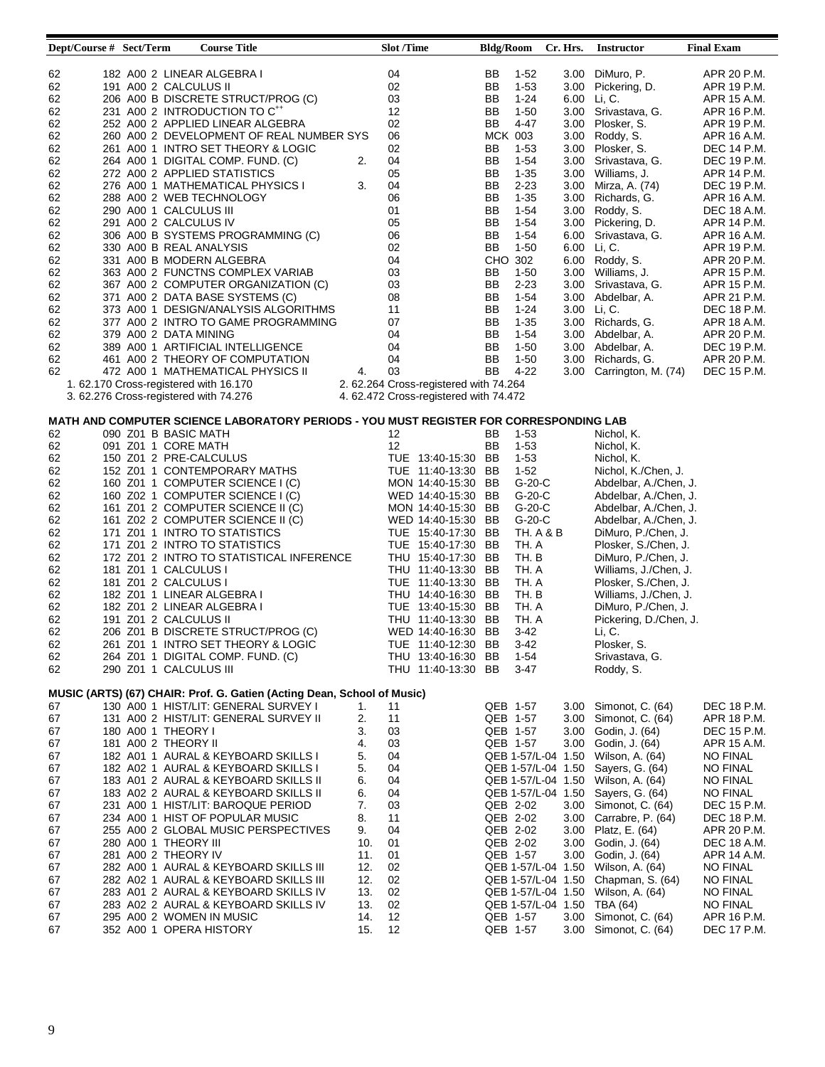| 182 A00 2 LINEAR ALGEBRA I<br>04<br>62<br>BB<br>$1-52$<br>3.00 DiMuro, P.<br>APR 20 P.M.<br>02<br>62<br>191 A00 2 CALCULUS II<br>BB<br>$1 - 53$<br>3.00 Pickering, D.<br>APR 19 P.M.<br>62<br>206 A00 B DISCRETE STRUCT/PROG (C)<br>03<br>BB<br>$1 - 24$<br>6.00 Li, C.<br>APR 15 A.M.<br>231 A00 2 INTRODUCTION TO C <sup>++</sup><br>12<br>3.00 Srivastava, G.<br>62<br>BB<br>$1-50$<br>APR 16 P.M.<br>02<br>252 A00 2 APPLIED LINEAR ALGEBRA<br>$4 - 47$<br>3.00 Plosker, S.<br>62<br>BB<br>APR 19 P.M.<br>06<br>3.00 Roddy, S.<br>62<br>260 A00 2 DEVELOPMENT OF REAL NUMBER SYS<br><b>MCK 003</b><br>APR 16 A.M.<br>62<br>261 A00 1 INTRO SET THEORY & LOGIC<br>02<br>BB<br>3.00 Plosker, S.<br>$1 - 53$<br>DEC 14 P.M.<br>62<br>04<br>BB<br>$1 - 54$<br>264 A00 1 DIGITAL COMP. FUND. (C)<br>2.<br>3.00 Srivastava, G.<br>DEC 19 P.M.<br>05<br>62<br>272 A00 2 APPLIED STATISTICS<br>BB<br>$1 - 35$<br>3.00 Williams, J.<br>APR 14 P.M.<br>62<br>3.<br>04<br>BB<br>$2 - 23$<br>276 A00 1 MATHEMATICAL PHYSICS I<br>3.00 Mirza, A. (74)<br>DEC 19 P.M.<br>62<br>06<br>BB<br>$1 - 35$<br>288 A00 2 WEB TECHNOLOGY<br>3.00 Richards, G.<br>APR 16 A.M.<br>62<br>01<br>BB<br>290 A00 1 CALCULUS III<br>$1-54$<br>3.00 Roddy, S.<br>DEC 18 A.M.<br>05<br>62<br>291 A00 2 CALCULUS IV<br>BB<br>$1-54$<br>3.00 Pickering, D.<br>APR 14 P.M.<br>06<br>62<br>306 A00 B SYSTEMS PROGRAMMING (C)<br>BB<br>$1-54$<br>6.00<br>Srivastava, G.<br>APR 16 A.M.<br>02<br>BB<br>62<br>330 A00 B REAL ANALYSIS<br>$1 - 50$<br>6.00 Li, C.<br>APR 19 P.M.<br>62<br>331 A00 B MODERN ALGEBRA<br>04<br>CHO 302<br>6.00 Roddy, S.<br>APR 20 P.M.<br>03<br>62<br>BB<br>3.00 Williams, J.<br>363 A00 2 FUNCTNS COMPLEX VARIAB<br>$1-50$<br>APR 15 P.M.<br>62<br>03<br>BB<br>$2 - 23$<br>367 A00 2 COMPUTER ORGANIZATION (C)<br>3.00 Srivastava, G.<br>APR 15 P.M.<br>62<br>08<br>371 A00 2 DATA BASE SYSTEMS (C)<br>BB<br>$1-54$<br>3.00 Abdelbar, A.<br>APR 21 P.M.<br>373 A00 1 DESIGN/ANALYSIS ALGORITHMS<br>11<br>$1 - 24$<br>3.00 Li, C.<br>62<br>BB<br>DEC 18 P.M.<br>07<br>3.00 Richards, G.<br>62<br>377 A00 2 INTRO TO GAME PROGRAMMING<br>BB<br>$1 - 35$<br>APR 18 A.M.<br>62<br>04<br>BB<br>$1 - 54$<br>3.00 Abdelbar, A.<br>379 A00 2 DATA MINING<br>APR 20 P.M.<br>62<br>04<br>BB<br>389 A00 1 ARTIFICIAL INTELLIGENCE<br>$1-50$<br>3.00 Abdelbar, A.<br>DEC 19 P.M.<br>62<br>04<br>BB<br>$1 - 50$<br>Richards, G.<br>461 A00 2 THEORY OF COMPUTATION<br>3.00<br>APR 20 P.M.<br>03<br>62<br>4.<br>BB<br>$4 - 22$<br>DEC 15 P.M.<br>472 A00 1 MATHEMATICAL PHYSICS II<br>3.00<br>Carrington, M. (74)<br>2. 62.264 Cross-registered with 74.264<br>1.62.170 Cross-registered with 16.170<br>3. 62.276 Cross-registered with 74.276<br>4. 62.472 Cross-registered with 74.472<br>MATH AND COMPUTER SCIENCE LABORATORY PERIODS - YOU MUST REGISTER FOR CORRESPONDING LAB<br>62<br>090 Z01 B BASIC MATH<br>12<br>BB<br>$1-53$<br>Nichol, K.<br>12<br>BB<br>$1 - 53$<br>62<br>091 Z01 1 CORE MATH<br>Nichol, K.<br>62<br>150 Z01 2 PRE-CALCULUS<br>$1 - 53$<br>TUE 13:40-15:30 BB<br>Nichol, K.<br>62<br>152 Z01 1 CONTEMPORARY MATHS<br>TUE 11:40-13:30 BB<br>$1-52$<br>Nichol, K./Chen, J.<br>62<br>G-20-C<br>160 Z01 1 COMPUTER SCIENCE I (C)<br>MON 14:40-15:30 BB<br>Abdelbar, A./Chen, J.<br>160 Z02 1 COMPUTER SCIENCE I (C)<br>$G-20-C$<br>62<br>WED 14:40-15:30 BB<br>Abdelbar, A./Chen, J.<br>$G-20-C$<br>62<br>161 Z01 2 COMPUTER SCIENCE II (C)<br>MON 14:40-15:30 BB<br>Abdelbar, A./Chen, J.<br>62<br>161 Z02 2 COMPUTER SCIENCE II (C)<br>WED 14:40-15:30 BB<br>$G-20-C$<br>Abdelbar, A./Chen, J.<br>62<br>171 Z01 1 INTRO TO STATISTICS<br><b>TH. A &amp; B</b><br>TUE 15:40-17:30 BB<br>DiMuro, P./Chen, J.<br>62<br>TUE 15:40-17:30 BB<br>TH. A<br>171 Z01 2 INTRO TO STATISTICS<br>Plosker, S./Chen, J.<br>62<br>172 Z01 2 INTRO TO STATISTICAL INFERENCE<br>THU 15:40-17:30 BB<br>TH. B<br>DiMuro, P./Chen, J.<br>62<br>TH. A<br>181 Z01 1 CALCULUS I<br>THU 11:40-13:30 BB<br>Williams, J./Chen, J.<br>181 Z01 2 CALCULUS I<br>TUE 11:40-13:30 BB<br>TH. A<br>62<br>Plosker, S./Chen, J.<br>TH. B<br>62<br>182 Z01 1 LINEAR ALGEBRA I<br>THU 14:40-16:30 BB<br>Williams, J./Chen, J.<br>62<br>182 Z01 2 LINEAR ALGEBRA I<br>TUE 13:40-15:30 BB<br>TH. A<br>DiMuro, P./Chen, J.<br>62<br>191 Z01 2 CALCULUS II<br>TH. A<br>THU 11:40-13:30 BB<br>Pickering, D./Chen, J.<br>62<br>206 Z01 B DISCRETE STRUCT/PROG (C)<br>WED 14:40-16:30 BB<br>3-42<br>Li, C.<br>62<br>Plosker, S.<br>261 Z01 1 INTRO SET THEORY & LOGIC<br>TUE 11:40-12:30 BB<br>$3-42$<br>264 Z01 1 DIGITAL COMP. FUND. (C)<br>62<br>THU 13:40-16:30 BB<br>$1 - 54$<br>Srivastava, G.<br>62<br>290 Z01 1 CALCULUS III<br>$3 - 47$<br>THU 11:40-13:30 BB<br>Roddy, S.<br>MUSIC (ARTS) (67) CHAIR: Prof. G. Gatien (Acting Dean, School of Music)<br>130 A00 1 HIST/LIT: GENERAL SURVEY I<br>Simonot, C. (64)<br>67<br>11<br>QEB 1-57<br>3.00<br>DEC 18 P.M.<br>1.<br>67<br>131 A00 2 HIST/LIT: GENERAL SURVEY II<br>2.<br>11<br>QEB 1-57<br>3.00<br>Simonot, C. (64)<br>APR 18 P.M.<br>03<br>67<br>180 A00 1 THEORY I<br>3.<br>QEB 1-57<br>3.00<br>Godin, J. (64)<br>DEC 15 P.M.<br>181 A00 2 THEORY II<br>03<br>67<br>QEB 1-57<br>3.00<br>Godin, J. (64)<br>APR 15 A.M.<br>4.<br>04<br>67<br>182 A01 1 AURAL & KEYBOARD SKILLS I<br>5.<br>QEB 1-57/L-04 1.50<br>Wilson, A. (64)<br><b>NO FINAL</b><br>67<br>182 A02 1 AURAL & KEYBOARD SKILLS I<br>5.<br>04<br>QEB 1-57/L-04 1.50<br>Sayers, G. (64)<br>NO FINAL<br>183 A01 2 AURAL & KEYBOARD SKILLS II<br>04<br>QEB 1-57/L-04 1.50<br>Wilson, A. (64)<br><b>NO FINAL</b><br>67<br>6.<br>183 A02 2 AURAL & KEYBOARD SKILLS II<br>04<br>QEB 1-57/L-04 1.50 Sayers, G. (64)<br>NO FINAL<br>67<br>6.<br>03<br>231 A00 1 HIST/LIT: BAROQUE PERIOD<br>7.<br>QEB 2-02<br>3.00 Simonot, C. (64)<br>DEC 15 P.M.<br>67<br>234 A00 1 HIST OF POPULAR MUSIC<br>8.<br>11<br>QEB 2-02<br>3.00 Carrabre, P. (64)<br>DEC 18 P.M.<br>67<br>QEB 2-02<br>255 A00 2 GLOBAL MUSIC PERSPECTIVES<br>9.<br>04<br>3.00 Platz, E. (64)<br>APR 20 P.M.<br>67<br>01<br>Godin, J. (64)<br>67<br>280 A00 1 THEORY III<br>10.<br>QEB 2-02<br>3.00<br>DEC 18 A.M.<br>281 A00 2 THEORY IV<br>01<br>QEB 1-57<br>3.00<br>Godin, J. (64)<br>APR 14 A.M.<br>67<br>11.<br>282 A00 1 AURAL & KEYBOARD SKILLS III<br>12.<br>02<br>67<br>QEB 1-57/L-04 1.50<br>Wilson, A. (64)<br>NO FINAL<br>282 A02 1 AURAL & KEYBOARD SKILLS III<br>12.<br>02<br>QEB 1-57/L-04 1.50<br>Chapman, S. (64)<br><b>NO FINAL</b><br>67<br>02<br>Wilson, A. (64)<br>67<br>283 A01 2 AURAL & KEYBOARD SKILLS IV<br>13.<br>QEB 1-57/L-04 1.50<br><b>NO FINAL</b><br>02<br>TBA (64)<br><b>NO FINAL</b><br>283 A02 2 AURAL & KEYBOARD SKILLS IV<br>13.<br>QEB 1-57/L-04 1.50<br>67<br>295 A00 2 WOMEN IN MUSIC<br>12<br>Simonot, C. (64)<br>QEB 1-57<br>3.00<br>APR 16 P.M.<br>67<br>14.<br>352 A00 1 OPERA HISTORY<br>15.<br>12<br>QEB 1-57<br>Simonot, C. (64)<br>DEC 17 P.M.<br>67<br>3.00 | Dept/Course # Sect/Term |  | <b>Course Title</b> | <b>Slot</b> /Time | <b>Bldg/Room</b> | Cr. Hrs. | <b>Instructor</b> | <b>Final Exam</b> |
|--------------------------------------------------------------------------------------------------------------------------------------------------------------------------------------------------------------------------------------------------------------------------------------------------------------------------------------------------------------------------------------------------------------------------------------------------------------------------------------------------------------------------------------------------------------------------------------------------------------------------------------------------------------------------------------------------------------------------------------------------------------------------------------------------------------------------------------------------------------------------------------------------------------------------------------------------------------------------------------------------------------------------------------------------------------------------------------------------------------------------------------------------------------------------------------------------------------------------------------------------------------------------------------------------------------------------------------------------------------------------------------------------------------------------------------------------------------------------------------------------------------------------------------------------------------------------------------------------------------------------------------------------------------------------------------------------------------------------------------------------------------------------------------------------------------------------------------------------------------------------------------------------------------------------------------------------------------------------------------------------------------------------------------------------------------------------------------------------------------------------------------------------------------------------------------------------------------------------------------------------------------------------------------------------------------------------------------------------------------------------------------------------------------------------------------------------------------------------------------------------------------------------------------------------------------------------------------------------------------------------------------------------------------------------------------------------------------------------------------------------------------------------------------------------------------------------------------------------------------------------------------------------------------------------------------------------------------------------------------------------------------------------------------------------------------------------------------------------------------------------------------------------------------------------------------------------------------------------------------------------------------------------------------------------------------------------------------------------------------------------------------------------------------------------------------------------------------------------------------------------------------------------------------------------------------------------------------------------------------------------------------------------------------------------------------------------------------------------------------------------------------------------------------------------------------------------------------------------------------------------------------------------------------------------------------------------------------------------------------------------------------------------------------------------------------------------------------------------------------------------------------------------------------------------------------------------------------------------------------------------------------------------------------------------------------------------------------------------------------------------------------------------------------------------------------------------------------------------------------------------------------------------------------------------------------------------------------------------------------------------------------------------------------------------------------------------------------------------------------------------------------------------------------------------------------------------------------------------------------------------------------------------------------------------------------------------------------------------------------------------------------------------------------------------------------------------------------------------------------------------------------------------------------------------------------------------------------------------------------------------------------------------------------------------------------------------------------------------------------------------------------------------------------------------------------------------------------------------------------------------------------------------------------------------------------------------------------------------------------------------------------------------------------------------------------------------------------------------------------------------------------------------------------------------------------------------------------------------------------------------------------------------------------------------------------------------------------------------------------------------------------------------------------------------------------------------------------------------------------------------------------------------------------------------------------------------------------------------------------------------------------------------------------------------------------------------------------------------------------------------------------------------------------------------------------------------------------------------------------------------------------------------------------------------------------------------------------------------------------------------------------------------------------------------------------------------------------------------------------------------------------------------------------------------------------------------------------------------------------------------------------------------------------------------------------------------------|-------------------------|--|---------------------|-------------------|------------------|----------|-------------------|-------------------|
|                                                                                                                                                                                                                                                                                                                                                                                                                                                                                                                                                                                                                                                                                                                                                                                                                                                                                                                                                                                                                                                                                                                                                                                                                                                                                                                                                                                                                                                                                                                                                                                                                                                                                                                                                                                                                                                                                                                                                                                                                                                                                                                                                                                                                                                                                                                                                                                                                                                                                                                                                                                                                                                                                                                                                                                                                                                                                                                                                                                                                                                                                                                                                                                                                                                                                                                                                                                                                                                                                                                                                                                                                                                                                                                                                                                                                                                                                                                                                                                                                                                                                                                                                                                                                                                                                                                                                                                                                                                                                                                                                                                                                                                                                                                                                                                                                                                                                                                                                                                                                                                                                                                                                                                                                                                                                                                                                                                                                                                                                                                                                                                                                                                                                                                                                                                                                                                                                                                                                                                                                                                                                                                                                                                                                                                                                                                                                                                                                                                                                                                                                                                                                                                                                                                                                                                                                                                                                                                                                        |                         |  |                     |                   |                  |          |                   |                   |
|                                                                                                                                                                                                                                                                                                                                                                                                                                                                                                                                                                                                                                                                                                                                                                                                                                                                                                                                                                                                                                                                                                                                                                                                                                                                                                                                                                                                                                                                                                                                                                                                                                                                                                                                                                                                                                                                                                                                                                                                                                                                                                                                                                                                                                                                                                                                                                                                                                                                                                                                                                                                                                                                                                                                                                                                                                                                                                                                                                                                                                                                                                                                                                                                                                                                                                                                                                                                                                                                                                                                                                                                                                                                                                                                                                                                                                                                                                                                                                                                                                                                                                                                                                                                                                                                                                                                                                                                                                                                                                                                                                                                                                                                                                                                                                                                                                                                                                                                                                                                                                                                                                                                                                                                                                                                                                                                                                                                                                                                                                                                                                                                                                                                                                                                                                                                                                                                                                                                                                                                                                                                                                                                                                                                                                                                                                                                                                                                                                                                                                                                                                                                                                                                                                                                                                                                                                                                                                                                                        |                         |  |                     |                   |                  |          |                   |                   |
|                                                                                                                                                                                                                                                                                                                                                                                                                                                                                                                                                                                                                                                                                                                                                                                                                                                                                                                                                                                                                                                                                                                                                                                                                                                                                                                                                                                                                                                                                                                                                                                                                                                                                                                                                                                                                                                                                                                                                                                                                                                                                                                                                                                                                                                                                                                                                                                                                                                                                                                                                                                                                                                                                                                                                                                                                                                                                                                                                                                                                                                                                                                                                                                                                                                                                                                                                                                                                                                                                                                                                                                                                                                                                                                                                                                                                                                                                                                                                                                                                                                                                                                                                                                                                                                                                                                                                                                                                                                                                                                                                                                                                                                                                                                                                                                                                                                                                                                                                                                                                                                                                                                                                                                                                                                                                                                                                                                                                                                                                                                                                                                                                                                                                                                                                                                                                                                                                                                                                                                                                                                                                                                                                                                                                                                                                                                                                                                                                                                                                                                                                                                                                                                                                                                                                                                                                                                                                                                                                        |                         |  |                     |                   |                  |          |                   |                   |
|                                                                                                                                                                                                                                                                                                                                                                                                                                                                                                                                                                                                                                                                                                                                                                                                                                                                                                                                                                                                                                                                                                                                                                                                                                                                                                                                                                                                                                                                                                                                                                                                                                                                                                                                                                                                                                                                                                                                                                                                                                                                                                                                                                                                                                                                                                                                                                                                                                                                                                                                                                                                                                                                                                                                                                                                                                                                                                                                                                                                                                                                                                                                                                                                                                                                                                                                                                                                                                                                                                                                                                                                                                                                                                                                                                                                                                                                                                                                                                                                                                                                                                                                                                                                                                                                                                                                                                                                                                                                                                                                                                                                                                                                                                                                                                                                                                                                                                                                                                                                                                                                                                                                                                                                                                                                                                                                                                                                                                                                                                                                                                                                                                                                                                                                                                                                                                                                                                                                                                                                                                                                                                                                                                                                                                                                                                                                                                                                                                                                                                                                                                                                                                                                                                                                                                                                                                                                                                                                                        |                         |  |                     |                   |                  |          |                   |                   |
|                                                                                                                                                                                                                                                                                                                                                                                                                                                                                                                                                                                                                                                                                                                                                                                                                                                                                                                                                                                                                                                                                                                                                                                                                                                                                                                                                                                                                                                                                                                                                                                                                                                                                                                                                                                                                                                                                                                                                                                                                                                                                                                                                                                                                                                                                                                                                                                                                                                                                                                                                                                                                                                                                                                                                                                                                                                                                                                                                                                                                                                                                                                                                                                                                                                                                                                                                                                                                                                                                                                                                                                                                                                                                                                                                                                                                                                                                                                                                                                                                                                                                                                                                                                                                                                                                                                                                                                                                                                                                                                                                                                                                                                                                                                                                                                                                                                                                                                                                                                                                                                                                                                                                                                                                                                                                                                                                                                                                                                                                                                                                                                                                                                                                                                                                                                                                                                                                                                                                                                                                                                                                                                                                                                                                                                                                                                                                                                                                                                                                                                                                                                                                                                                                                                                                                                                                                                                                                                                                        |                         |  |                     |                   |                  |          |                   |                   |
|                                                                                                                                                                                                                                                                                                                                                                                                                                                                                                                                                                                                                                                                                                                                                                                                                                                                                                                                                                                                                                                                                                                                                                                                                                                                                                                                                                                                                                                                                                                                                                                                                                                                                                                                                                                                                                                                                                                                                                                                                                                                                                                                                                                                                                                                                                                                                                                                                                                                                                                                                                                                                                                                                                                                                                                                                                                                                                                                                                                                                                                                                                                                                                                                                                                                                                                                                                                                                                                                                                                                                                                                                                                                                                                                                                                                                                                                                                                                                                                                                                                                                                                                                                                                                                                                                                                                                                                                                                                                                                                                                                                                                                                                                                                                                                                                                                                                                                                                                                                                                                                                                                                                                                                                                                                                                                                                                                                                                                                                                                                                                                                                                                                                                                                                                                                                                                                                                                                                                                                                                                                                                                                                                                                                                                                                                                                                                                                                                                                                                                                                                                                                                                                                                                                                                                                                                                                                                                                                                        |                         |  |                     |                   |                  |          |                   |                   |
|                                                                                                                                                                                                                                                                                                                                                                                                                                                                                                                                                                                                                                                                                                                                                                                                                                                                                                                                                                                                                                                                                                                                                                                                                                                                                                                                                                                                                                                                                                                                                                                                                                                                                                                                                                                                                                                                                                                                                                                                                                                                                                                                                                                                                                                                                                                                                                                                                                                                                                                                                                                                                                                                                                                                                                                                                                                                                                                                                                                                                                                                                                                                                                                                                                                                                                                                                                                                                                                                                                                                                                                                                                                                                                                                                                                                                                                                                                                                                                                                                                                                                                                                                                                                                                                                                                                                                                                                                                                                                                                                                                                                                                                                                                                                                                                                                                                                                                                                                                                                                                                                                                                                                                                                                                                                                                                                                                                                                                                                                                                                                                                                                                                                                                                                                                                                                                                                                                                                                                                                                                                                                                                                                                                                                                                                                                                                                                                                                                                                                                                                                                                                                                                                                                                                                                                                                                                                                                                                                        |                         |  |                     |                   |                  |          |                   |                   |
|                                                                                                                                                                                                                                                                                                                                                                                                                                                                                                                                                                                                                                                                                                                                                                                                                                                                                                                                                                                                                                                                                                                                                                                                                                                                                                                                                                                                                                                                                                                                                                                                                                                                                                                                                                                                                                                                                                                                                                                                                                                                                                                                                                                                                                                                                                                                                                                                                                                                                                                                                                                                                                                                                                                                                                                                                                                                                                                                                                                                                                                                                                                                                                                                                                                                                                                                                                                                                                                                                                                                                                                                                                                                                                                                                                                                                                                                                                                                                                                                                                                                                                                                                                                                                                                                                                                                                                                                                                                                                                                                                                                                                                                                                                                                                                                                                                                                                                                                                                                                                                                                                                                                                                                                                                                                                                                                                                                                                                                                                                                                                                                                                                                                                                                                                                                                                                                                                                                                                                                                                                                                                                                                                                                                                                                                                                                                                                                                                                                                                                                                                                                                                                                                                                                                                                                                                                                                                                                                                        |                         |  |                     |                   |                  |          |                   |                   |
|                                                                                                                                                                                                                                                                                                                                                                                                                                                                                                                                                                                                                                                                                                                                                                                                                                                                                                                                                                                                                                                                                                                                                                                                                                                                                                                                                                                                                                                                                                                                                                                                                                                                                                                                                                                                                                                                                                                                                                                                                                                                                                                                                                                                                                                                                                                                                                                                                                                                                                                                                                                                                                                                                                                                                                                                                                                                                                                                                                                                                                                                                                                                                                                                                                                                                                                                                                                                                                                                                                                                                                                                                                                                                                                                                                                                                                                                                                                                                                                                                                                                                                                                                                                                                                                                                                                                                                                                                                                                                                                                                                                                                                                                                                                                                                                                                                                                                                                                                                                                                                                                                                                                                                                                                                                                                                                                                                                                                                                                                                                                                                                                                                                                                                                                                                                                                                                                                                                                                                                                                                                                                                                                                                                                                                                                                                                                                                                                                                                                                                                                                                                                                                                                                                                                                                                                                                                                                                                                                        |                         |  |                     |                   |                  |          |                   |                   |
|                                                                                                                                                                                                                                                                                                                                                                                                                                                                                                                                                                                                                                                                                                                                                                                                                                                                                                                                                                                                                                                                                                                                                                                                                                                                                                                                                                                                                                                                                                                                                                                                                                                                                                                                                                                                                                                                                                                                                                                                                                                                                                                                                                                                                                                                                                                                                                                                                                                                                                                                                                                                                                                                                                                                                                                                                                                                                                                                                                                                                                                                                                                                                                                                                                                                                                                                                                                                                                                                                                                                                                                                                                                                                                                                                                                                                                                                                                                                                                                                                                                                                                                                                                                                                                                                                                                                                                                                                                                                                                                                                                                                                                                                                                                                                                                                                                                                                                                                                                                                                                                                                                                                                                                                                                                                                                                                                                                                                                                                                                                                                                                                                                                                                                                                                                                                                                                                                                                                                                                                                                                                                                                                                                                                                                                                                                                                                                                                                                                                                                                                                                                                                                                                                                                                                                                                                                                                                                                                                        |                         |  |                     |                   |                  |          |                   |                   |
|                                                                                                                                                                                                                                                                                                                                                                                                                                                                                                                                                                                                                                                                                                                                                                                                                                                                                                                                                                                                                                                                                                                                                                                                                                                                                                                                                                                                                                                                                                                                                                                                                                                                                                                                                                                                                                                                                                                                                                                                                                                                                                                                                                                                                                                                                                                                                                                                                                                                                                                                                                                                                                                                                                                                                                                                                                                                                                                                                                                                                                                                                                                                                                                                                                                                                                                                                                                                                                                                                                                                                                                                                                                                                                                                                                                                                                                                                                                                                                                                                                                                                                                                                                                                                                                                                                                                                                                                                                                                                                                                                                                                                                                                                                                                                                                                                                                                                                                                                                                                                                                                                                                                                                                                                                                                                                                                                                                                                                                                                                                                                                                                                                                                                                                                                                                                                                                                                                                                                                                                                                                                                                                                                                                                                                                                                                                                                                                                                                                                                                                                                                                                                                                                                                                                                                                                                                                                                                                                                        |                         |  |                     |                   |                  |          |                   |                   |
|                                                                                                                                                                                                                                                                                                                                                                                                                                                                                                                                                                                                                                                                                                                                                                                                                                                                                                                                                                                                                                                                                                                                                                                                                                                                                                                                                                                                                                                                                                                                                                                                                                                                                                                                                                                                                                                                                                                                                                                                                                                                                                                                                                                                                                                                                                                                                                                                                                                                                                                                                                                                                                                                                                                                                                                                                                                                                                                                                                                                                                                                                                                                                                                                                                                                                                                                                                                                                                                                                                                                                                                                                                                                                                                                                                                                                                                                                                                                                                                                                                                                                                                                                                                                                                                                                                                                                                                                                                                                                                                                                                                                                                                                                                                                                                                                                                                                                                                                                                                                                                                                                                                                                                                                                                                                                                                                                                                                                                                                                                                                                                                                                                                                                                                                                                                                                                                                                                                                                                                                                                                                                                                                                                                                                                                                                                                                                                                                                                                                                                                                                                                                                                                                                                                                                                                                                                                                                                                                                        |                         |  |                     |                   |                  |          |                   |                   |
|                                                                                                                                                                                                                                                                                                                                                                                                                                                                                                                                                                                                                                                                                                                                                                                                                                                                                                                                                                                                                                                                                                                                                                                                                                                                                                                                                                                                                                                                                                                                                                                                                                                                                                                                                                                                                                                                                                                                                                                                                                                                                                                                                                                                                                                                                                                                                                                                                                                                                                                                                                                                                                                                                                                                                                                                                                                                                                                                                                                                                                                                                                                                                                                                                                                                                                                                                                                                                                                                                                                                                                                                                                                                                                                                                                                                                                                                                                                                                                                                                                                                                                                                                                                                                                                                                                                                                                                                                                                                                                                                                                                                                                                                                                                                                                                                                                                                                                                                                                                                                                                                                                                                                                                                                                                                                                                                                                                                                                                                                                                                                                                                                                                                                                                                                                                                                                                                                                                                                                                                                                                                                                                                                                                                                                                                                                                                                                                                                                                                                                                                                                                                                                                                                                                                                                                                                                                                                                                                                        |                         |  |                     |                   |                  |          |                   |                   |
|                                                                                                                                                                                                                                                                                                                                                                                                                                                                                                                                                                                                                                                                                                                                                                                                                                                                                                                                                                                                                                                                                                                                                                                                                                                                                                                                                                                                                                                                                                                                                                                                                                                                                                                                                                                                                                                                                                                                                                                                                                                                                                                                                                                                                                                                                                                                                                                                                                                                                                                                                                                                                                                                                                                                                                                                                                                                                                                                                                                                                                                                                                                                                                                                                                                                                                                                                                                                                                                                                                                                                                                                                                                                                                                                                                                                                                                                                                                                                                                                                                                                                                                                                                                                                                                                                                                                                                                                                                                                                                                                                                                                                                                                                                                                                                                                                                                                                                                                                                                                                                                                                                                                                                                                                                                                                                                                                                                                                                                                                                                                                                                                                                                                                                                                                                                                                                                                                                                                                                                                                                                                                                                                                                                                                                                                                                                                                                                                                                                                                                                                                                                                                                                                                                                                                                                                                                                                                                                                                        |                         |  |                     |                   |                  |          |                   |                   |
|                                                                                                                                                                                                                                                                                                                                                                                                                                                                                                                                                                                                                                                                                                                                                                                                                                                                                                                                                                                                                                                                                                                                                                                                                                                                                                                                                                                                                                                                                                                                                                                                                                                                                                                                                                                                                                                                                                                                                                                                                                                                                                                                                                                                                                                                                                                                                                                                                                                                                                                                                                                                                                                                                                                                                                                                                                                                                                                                                                                                                                                                                                                                                                                                                                                                                                                                                                                                                                                                                                                                                                                                                                                                                                                                                                                                                                                                                                                                                                                                                                                                                                                                                                                                                                                                                                                                                                                                                                                                                                                                                                                                                                                                                                                                                                                                                                                                                                                                                                                                                                                                                                                                                                                                                                                                                                                                                                                                                                                                                                                                                                                                                                                                                                                                                                                                                                                                                                                                                                                                                                                                                                                                                                                                                                                                                                                                                                                                                                                                                                                                                                                                                                                                                                                                                                                                                                                                                                                                                        |                         |  |                     |                   |                  |          |                   |                   |
|                                                                                                                                                                                                                                                                                                                                                                                                                                                                                                                                                                                                                                                                                                                                                                                                                                                                                                                                                                                                                                                                                                                                                                                                                                                                                                                                                                                                                                                                                                                                                                                                                                                                                                                                                                                                                                                                                                                                                                                                                                                                                                                                                                                                                                                                                                                                                                                                                                                                                                                                                                                                                                                                                                                                                                                                                                                                                                                                                                                                                                                                                                                                                                                                                                                                                                                                                                                                                                                                                                                                                                                                                                                                                                                                                                                                                                                                                                                                                                                                                                                                                                                                                                                                                                                                                                                                                                                                                                                                                                                                                                                                                                                                                                                                                                                                                                                                                                                                                                                                                                                                                                                                                                                                                                                                                                                                                                                                                                                                                                                                                                                                                                                                                                                                                                                                                                                                                                                                                                                                                                                                                                                                                                                                                                                                                                                                                                                                                                                                                                                                                                                                                                                                                                                                                                                                                                                                                                                                                        |                         |  |                     |                   |                  |          |                   |                   |
|                                                                                                                                                                                                                                                                                                                                                                                                                                                                                                                                                                                                                                                                                                                                                                                                                                                                                                                                                                                                                                                                                                                                                                                                                                                                                                                                                                                                                                                                                                                                                                                                                                                                                                                                                                                                                                                                                                                                                                                                                                                                                                                                                                                                                                                                                                                                                                                                                                                                                                                                                                                                                                                                                                                                                                                                                                                                                                                                                                                                                                                                                                                                                                                                                                                                                                                                                                                                                                                                                                                                                                                                                                                                                                                                                                                                                                                                                                                                                                                                                                                                                                                                                                                                                                                                                                                                                                                                                                                                                                                                                                                                                                                                                                                                                                                                                                                                                                                                                                                                                                                                                                                                                                                                                                                                                                                                                                                                                                                                                                                                                                                                                                                                                                                                                                                                                                                                                                                                                                                                                                                                                                                                                                                                                                                                                                                                                                                                                                                                                                                                                                                                                                                                                                                                                                                                                                                                                                                                                        |                         |  |                     |                   |                  |          |                   |                   |
|                                                                                                                                                                                                                                                                                                                                                                                                                                                                                                                                                                                                                                                                                                                                                                                                                                                                                                                                                                                                                                                                                                                                                                                                                                                                                                                                                                                                                                                                                                                                                                                                                                                                                                                                                                                                                                                                                                                                                                                                                                                                                                                                                                                                                                                                                                                                                                                                                                                                                                                                                                                                                                                                                                                                                                                                                                                                                                                                                                                                                                                                                                                                                                                                                                                                                                                                                                                                                                                                                                                                                                                                                                                                                                                                                                                                                                                                                                                                                                                                                                                                                                                                                                                                                                                                                                                                                                                                                                                                                                                                                                                                                                                                                                                                                                                                                                                                                                                                                                                                                                                                                                                                                                                                                                                                                                                                                                                                                                                                                                                                                                                                                                                                                                                                                                                                                                                                                                                                                                                                                                                                                                                                                                                                                                                                                                                                                                                                                                                                                                                                                                                                                                                                                                                                                                                                                                                                                                                                                        |                         |  |                     |                   |                  |          |                   |                   |
|                                                                                                                                                                                                                                                                                                                                                                                                                                                                                                                                                                                                                                                                                                                                                                                                                                                                                                                                                                                                                                                                                                                                                                                                                                                                                                                                                                                                                                                                                                                                                                                                                                                                                                                                                                                                                                                                                                                                                                                                                                                                                                                                                                                                                                                                                                                                                                                                                                                                                                                                                                                                                                                                                                                                                                                                                                                                                                                                                                                                                                                                                                                                                                                                                                                                                                                                                                                                                                                                                                                                                                                                                                                                                                                                                                                                                                                                                                                                                                                                                                                                                                                                                                                                                                                                                                                                                                                                                                                                                                                                                                                                                                                                                                                                                                                                                                                                                                                                                                                                                                                                                                                                                                                                                                                                                                                                                                                                                                                                                                                                                                                                                                                                                                                                                                                                                                                                                                                                                                                                                                                                                                                                                                                                                                                                                                                                                                                                                                                                                                                                                                                                                                                                                                                                                                                                                                                                                                                                                        |                         |  |                     |                   |                  |          |                   |                   |
|                                                                                                                                                                                                                                                                                                                                                                                                                                                                                                                                                                                                                                                                                                                                                                                                                                                                                                                                                                                                                                                                                                                                                                                                                                                                                                                                                                                                                                                                                                                                                                                                                                                                                                                                                                                                                                                                                                                                                                                                                                                                                                                                                                                                                                                                                                                                                                                                                                                                                                                                                                                                                                                                                                                                                                                                                                                                                                                                                                                                                                                                                                                                                                                                                                                                                                                                                                                                                                                                                                                                                                                                                                                                                                                                                                                                                                                                                                                                                                                                                                                                                                                                                                                                                                                                                                                                                                                                                                                                                                                                                                                                                                                                                                                                                                                                                                                                                                                                                                                                                                                                                                                                                                                                                                                                                                                                                                                                                                                                                                                                                                                                                                                                                                                                                                                                                                                                                                                                                                                                                                                                                                                                                                                                                                                                                                                                                                                                                                                                                                                                                                                                                                                                                                                                                                                                                                                                                                                                                        |                         |  |                     |                   |                  |          |                   |                   |
|                                                                                                                                                                                                                                                                                                                                                                                                                                                                                                                                                                                                                                                                                                                                                                                                                                                                                                                                                                                                                                                                                                                                                                                                                                                                                                                                                                                                                                                                                                                                                                                                                                                                                                                                                                                                                                                                                                                                                                                                                                                                                                                                                                                                                                                                                                                                                                                                                                                                                                                                                                                                                                                                                                                                                                                                                                                                                                                                                                                                                                                                                                                                                                                                                                                                                                                                                                                                                                                                                                                                                                                                                                                                                                                                                                                                                                                                                                                                                                                                                                                                                                                                                                                                                                                                                                                                                                                                                                                                                                                                                                                                                                                                                                                                                                                                                                                                                                                                                                                                                                                                                                                                                                                                                                                                                                                                                                                                                                                                                                                                                                                                                                                                                                                                                                                                                                                                                                                                                                                                                                                                                                                                                                                                                                                                                                                                                                                                                                                                                                                                                                                                                                                                                                                                                                                                                                                                                                                                                        |                         |  |                     |                   |                  |          |                   |                   |
|                                                                                                                                                                                                                                                                                                                                                                                                                                                                                                                                                                                                                                                                                                                                                                                                                                                                                                                                                                                                                                                                                                                                                                                                                                                                                                                                                                                                                                                                                                                                                                                                                                                                                                                                                                                                                                                                                                                                                                                                                                                                                                                                                                                                                                                                                                                                                                                                                                                                                                                                                                                                                                                                                                                                                                                                                                                                                                                                                                                                                                                                                                                                                                                                                                                                                                                                                                                                                                                                                                                                                                                                                                                                                                                                                                                                                                                                                                                                                                                                                                                                                                                                                                                                                                                                                                                                                                                                                                                                                                                                                                                                                                                                                                                                                                                                                                                                                                                                                                                                                                                                                                                                                                                                                                                                                                                                                                                                                                                                                                                                                                                                                                                                                                                                                                                                                                                                                                                                                                                                                                                                                                                                                                                                                                                                                                                                                                                                                                                                                                                                                                                                                                                                                                                                                                                                                                                                                                                                                        |                         |  |                     |                   |                  |          |                   |                   |
|                                                                                                                                                                                                                                                                                                                                                                                                                                                                                                                                                                                                                                                                                                                                                                                                                                                                                                                                                                                                                                                                                                                                                                                                                                                                                                                                                                                                                                                                                                                                                                                                                                                                                                                                                                                                                                                                                                                                                                                                                                                                                                                                                                                                                                                                                                                                                                                                                                                                                                                                                                                                                                                                                                                                                                                                                                                                                                                                                                                                                                                                                                                                                                                                                                                                                                                                                                                                                                                                                                                                                                                                                                                                                                                                                                                                                                                                                                                                                                                                                                                                                                                                                                                                                                                                                                                                                                                                                                                                                                                                                                                                                                                                                                                                                                                                                                                                                                                                                                                                                                                                                                                                                                                                                                                                                                                                                                                                                                                                                                                                                                                                                                                                                                                                                                                                                                                                                                                                                                                                                                                                                                                                                                                                                                                                                                                                                                                                                                                                                                                                                                                                                                                                                                                                                                                                                                                                                                                                                        |                         |  |                     |                   |                  |          |                   |                   |
|                                                                                                                                                                                                                                                                                                                                                                                                                                                                                                                                                                                                                                                                                                                                                                                                                                                                                                                                                                                                                                                                                                                                                                                                                                                                                                                                                                                                                                                                                                                                                                                                                                                                                                                                                                                                                                                                                                                                                                                                                                                                                                                                                                                                                                                                                                                                                                                                                                                                                                                                                                                                                                                                                                                                                                                                                                                                                                                                                                                                                                                                                                                                                                                                                                                                                                                                                                                                                                                                                                                                                                                                                                                                                                                                                                                                                                                                                                                                                                                                                                                                                                                                                                                                                                                                                                                                                                                                                                                                                                                                                                                                                                                                                                                                                                                                                                                                                                                                                                                                                                                                                                                                                                                                                                                                                                                                                                                                                                                                                                                                                                                                                                                                                                                                                                                                                                                                                                                                                                                                                                                                                                                                                                                                                                                                                                                                                                                                                                                                                                                                                                                                                                                                                                                                                                                                                                                                                                                                                        |                         |  |                     |                   |                  |          |                   |                   |
|                                                                                                                                                                                                                                                                                                                                                                                                                                                                                                                                                                                                                                                                                                                                                                                                                                                                                                                                                                                                                                                                                                                                                                                                                                                                                                                                                                                                                                                                                                                                                                                                                                                                                                                                                                                                                                                                                                                                                                                                                                                                                                                                                                                                                                                                                                                                                                                                                                                                                                                                                                                                                                                                                                                                                                                                                                                                                                                                                                                                                                                                                                                                                                                                                                                                                                                                                                                                                                                                                                                                                                                                                                                                                                                                                                                                                                                                                                                                                                                                                                                                                                                                                                                                                                                                                                                                                                                                                                                                                                                                                                                                                                                                                                                                                                                                                                                                                                                                                                                                                                                                                                                                                                                                                                                                                                                                                                                                                                                                                                                                                                                                                                                                                                                                                                                                                                                                                                                                                                                                                                                                                                                                                                                                                                                                                                                                                                                                                                                                                                                                                                                                                                                                                                                                                                                                                                                                                                                                                        |                         |  |                     |                   |                  |          |                   |                   |
|                                                                                                                                                                                                                                                                                                                                                                                                                                                                                                                                                                                                                                                                                                                                                                                                                                                                                                                                                                                                                                                                                                                                                                                                                                                                                                                                                                                                                                                                                                                                                                                                                                                                                                                                                                                                                                                                                                                                                                                                                                                                                                                                                                                                                                                                                                                                                                                                                                                                                                                                                                                                                                                                                                                                                                                                                                                                                                                                                                                                                                                                                                                                                                                                                                                                                                                                                                                                                                                                                                                                                                                                                                                                                                                                                                                                                                                                                                                                                                                                                                                                                                                                                                                                                                                                                                                                                                                                                                                                                                                                                                                                                                                                                                                                                                                                                                                                                                                                                                                                                                                                                                                                                                                                                                                                                                                                                                                                                                                                                                                                                                                                                                                                                                                                                                                                                                                                                                                                                                                                                                                                                                                                                                                                                                                                                                                                                                                                                                                                                                                                                                                                                                                                                                                                                                                                                                                                                                                                                        |                         |  |                     |                   |                  |          |                   |                   |
|                                                                                                                                                                                                                                                                                                                                                                                                                                                                                                                                                                                                                                                                                                                                                                                                                                                                                                                                                                                                                                                                                                                                                                                                                                                                                                                                                                                                                                                                                                                                                                                                                                                                                                                                                                                                                                                                                                                                                                                                                                                                                                                                                                                                                                                                                                                                                                                                                                                                                                                                                                                                                                                                                                                                                                                                                                                                                                                                                                                                                                                                                                                                                                                                                                                                                                                                                                                                                                                                                                                                                                                                                                                                                                                                                                                                                                                                                                                                                                                                                                                                                                                                                                                                                                                                                                                                                                                                                                                                                                                                                                                                                                                                                                                                                                                                                                                                                                                                                                                                                                                                                                                                                                                                                                                                                                                                                                                                                                                                                                                                                                                                                                                                                                                                                                                                                                                                                                                                                                                                                                                                                                                                                                                                                                                                                                                                                                                                                                                                                                                                                                                                                                                                                                                                                                                                                                                                                                                                                        |                         |  |                     |                   |                  |          |                   |                   |
|                                                                                                                                                                                                                                                                                                                                                                                                                                                                                                                                                                                                                                                                                                                                                                                                                                                                                                                                                                                                                                                                                                                                                                                                                                                                                                                                                                                                                                                                                                                                                                                                                                                                                                                                                                                                                                                                                                                                                                                                                                                                                                                                                                                                                                                                                                                                                                                                                                                                                                                                                                                                                                                                                                                                                                                                                                                                                                                                                                                                                                                                                                                                                                                                                                                                                                                                                                                                                                                                                                                                                                                                                                                                                                                                                                                                                                                                                                                                                                                                                                                                                                                                                                                                                                                                                                                                                                                                                                                                                                                                                                                                                                                                                                                                                                                                                                                                                                                                                                                                                                                                                                                                                                                                                                                                                                                                                                                                                                                                                                                                                                                                                                                                                                                                                                                                                                                                                                                                                                                                                                                                                                                                                                                                                                                                                                                                                                                                                                                                                                                                                                                                                                                                                                                                                                                                                                                                                                                                                        |                         |  |                     |                   |                  |          |                   |                   |
|                                                                                                                                                                                                                                                                                                                                                                                                                                                                                                                                                                                                                                                                                                                                                                                                                                                                                                                                                                                                                                                                                                                                                                                                                                                                                                                                                                                                                                                                                                                                                                                                                                                                                                                                                                                                                                                                                                                                                                                                                                                                                                                                                                                                                                                                                                                                                                                                                                                                                                                                                                                                                                                                                                                                                                                                                                                                                                                                                                                                                                                                                                                                                                                                                                                                                                                                                                                                                                                                                                                                                                                                                                                                                                                                                                                                                                                                                                                                                                                                                                                                                                                                                                                                                                                                                                                                                                                                                                                                                                                                                                                                                                                                                                                                                                                                                                                                                                                                                                                                                                                                                                                                                                                                                                                                                                                                                                                                                                                                                                                                                                                                                                                                                                                                                                                                                                                                                                                                                                                                                                                                                                                                                                                                                                                                                                                                                                                                                                                                                                                                                                                                                                                                                                                                                                                                                                                                                                                                                        |                         |  |                     |                   |                  |          |                   |                   |
|                                                                                                                                                                                                                                                                                                                                                                                                                                                                                                                                                                                                                                                                                                                                                                                                                                                                                                                                                                                                                                                                                                                                                                                                                                                                                                                                                                                                                                                                                                                                                                                                                                                                                                                                                                                                                                                                                                                                                                                                                                                                                                                                                                                                                                                                                                                                                                                                                                                                                                                                                                                                                                                                                                                                                                                                                                                                                                                                                                                                                                                                                                                                                                                                                                                                                                                                                                                                                                                                                                                                                                                                                                                                                                                                                                                                                                                                                                                                                                                                                                                                                                                                                                                                                                                                                                                                                                                                                                                                                                                                                                                                                                                                                                                                                                                                                                                                                                                                                                                                                                                                                                                                                                                                                                                                                                                                                                                                                                                                                                                                                                                                                                                                                                                                                                                                                                                                                                                                                                                                                                                                                                                                                                                                                                                                                                                                                                                                                                                                                                                                                                                                                                                                                                                                                                                                                                                                                                                                                        |                         |  |                     |                   |                  |          |                   |                   |
|                                                                                                                                                                                                                                                                                                                                                                                                                                                                                                                                                                                                                                                                                                                                                                                                                                                                                                                                                                                                                                                                                                                                                                                                                                                                                                                                                                                                                                                                                                                                                                                                                                                                                                                                                                                                                                                                                                                                                                                                                                                                                                                                                                                                                                                                                                                                                                                                                                                                                                                                                                                                                                                                                                                                                                                                                                                                                                                                                                                                                                                                                                                                                                                                                                                                                                                                                                                                                                                                                                                                                                                                                                                                                                                                                                                                                                                                                                                                                                                                                                                                                                                                                                                                                                                                                                                                                                                                                                                                                                                                                                                                                                                                                                                                                                                                                                                                                                                                                                                                                                                                                                                                                                                                                                                                                                                                                                                                                                                                                                                                                                                                                                                                                                                                                                                                                                                                                                                                                                                                                                                                                                                                                                                                                                                                                                                                                                                                                                                                                                                                                                                                                                                                                                                                                                                                                                                                                                                                                        |                         |  |                     |                   |                  |          |                   |                   |
|                                                                                                                                                                                                                                                                                                                                                                                                                                                                                                                                                                                                                                                                                                                                                                                                                                                                                                                                                                                                                                                                                                                                                                                                                                                                                                                                                                                                                                                                                                                                                                                                                                                                                                                                                                                                                                                                                                                                                                                                                                                                                                                                                                                                                                                                                                                                                                                                                                                                                                                                                                                                                                                                                                                                                                                                                                                                                                                                                                                                                                                                                                                                                                                                                                                                                                                                                                                                                                                                                                                                                                                                                                                                                                                                                                                                                                                                                                                                                                                                                                                                                                                                                                                                                                                                                                                                                                                                                                                                                                                                                                                                                                                                                                                                                                                                                                                                                                                                                                                                                                                                                                                                                                                                                                                                                                                                                                                                                                                                                                                                                                                                                                                                                                                                                                                                                                                                                                                                                                                                                                                                                                                                                                                                                                                                                                                                                                                                                                                                                                                                                                                                                                                                                                                                                                                                                                                                                                                                                        |                         |  |                     |                   |                  |          |                   |                   |
|                                                                                                                                                                                                                                                                                                                                                                                                                                                                                                                                                                                                                                                                                                                                                                                                                                                                                                                                                                                                                                                                                                                                                                                                                                                                                                                                                                                                                                                                                                                                                                                                                                                                                                                                                                                                                                                                                                                                                                                                                                                                                                                                                                                                                                                                                                                                                                                                                                                                                                                                                                                                                                                                                                                                                                                                                                                                                                                                                                                                                                                                                                                                                                                                                                                                                                                                                                                                                                                                                                                                                                                                                                                                                                                                                                                                                                                                                                                                                                                                                                                                                                                                                                                                                                                                                                                                                                                                                                                                                                                                                                                                                                                                                                                                                                                                                                                                                                                                                                                                                                                                                                                                                                                                                                                                                                                                                                                                                                                                                                                                                                                                                                                                                                                                                                                                                                                                                                                                                                                                                                                                                                                                                                                                                                                                                                                                                                                                                                                                                                                                                                                                                                                                                                                                                                                                                                                                                                                                                        |                         |  |                     |                   |                  |          |                   |                   |
|                                                                                                                                                                                                                                                                                                                                                                                                                                                                                                                                                                                                                                                                                                                                                                                                                                                                                                                                                                                                                                                                                                                                                                                                                                                                                                                                                                                                                                                                                                                                                                                                                                                                                                                                                                                                                                                                                                                                                                                                                                                                                                                                                                                                                                                                                                                                                                                                                                                                                                                                                                                                                                                                                                                                                                                                                                                                                                                                                                                                                                                                                                                                                                                                                                                                                                                                                                                                                                                                                                                                                                                                                                                                                                                                                                                                                                                                                                                                                                                                                                                                                                                                                                                                                                                                                                                                                                                                                                                                                                                                                                                                                                                                                                                                                                                                                                                                                                                                                                                                                                                                                                                                                                                                                                                                                                                                                                                                                                                                                                                                                                                                                                                                                                                                                                                                                                                                                                                                                                                                                                                                                                                                                                                                                                                                                                                                                                                                                                                                                                                                                                                                                                                                                                                                                                                                                                                                                                                                                        |                         |  |                     |                   |                  |          |                   |                   |
|                                                                                                                                                                                                                                                                                                                                                                                                                                                                                                                                                                                                                                                                                                                                                                                                                                                                                                                                                                                                                                                                                                                                                                                                                                                                                                                                                                                                                                                                                                                                                                                                                                                                                                                                                                                                                                                                                                                                                                                                                                                                                                                                                                                                                                                                                                                                                                                                                                                                                                                                                                                                                                                                                                                                                                                                                                                                                                                                                                                                                                                                                                                                                                                                                                                                                                                                                                                                                                                                                                                                                                                                                                                                                                                                                                                                                                                                                                                                                                                                                                                                                                                                                                                                                                                                                                                                                                                                                                                                                                                                                                                                                                                                                                                                                                                                                                                                                                                                                                                                                                                                                                                                                                                                                                                                                                                                                                                                                                                                                                                                                                                                                                                                                                                                                                                                                                                                                                                                                                                                                                                                                                                                                                                                                                                                                                                                                                                                                                                                                                                                                                                                                                                                                                                                                                                                                                                                                                                                                        |                         |  |                     |                   |                  |          |                   |                   |
|                                                                                                                                                                                                                                                                                                                                                                                                                                                                                                                                                                                                                                                                                                                                                                                                                                                                                                                                                                                                                                                                                                                                                                                                                                                                                                                                                                                                                                                                                                                                                                                                                                                                                                                                                                                                                                                                                                                                                                                                                                                                                                                                                                                                                                                                                                                                                                                                                                                                                                                                                                                                                                                                                                                                                                                                                                                                                                                                                                                                                                                                                                                                                                                                                                                                                                                                                                                                                                                                                                                                                                                                                                                                                                                                                                                                                                                                                                                                                                                                                                                                                                                                                                                                                                                                                                                                                                                                                                                                                                                                                                                                                                                                                                                                                                                                                                                                                                                                                                                                                                                                                                                                                                                                                                                                                                                                                                                                                                                                                                                                                                                                                                                                                                                                                                                                                                                                                                                                                                                                                                                                                                                                                                                                                                                                                                                                                                                                                                                                                                                                                                                                                                                                                                                                                                                                                                                                                                                                                        |                         |  |                     |                   |                  |          |                   |                   |
|                                                                                                                                                                                                                                                                                                                                                                                                                                                                                                                                                                                                                                                                                                                                                                                                                                                                                                                                                                                                                                                                                                                                                                                                                                                                                                                                                                                                                                                                                                                                                                                                                                                                                                                                                                                                                                                                                                                                                                                                                                                                                                                                                                                                                                                                                                                                                                                                                                                                                                                                                                                                                                                                                                                                                                                                                                                                                                                                                                                                                                                                                                                                                                                                                                                                                                                                                                                                                                                                                                                                                                                                                                                                                                                                                                                                                                                                                                                                                                                                                                                                                                                                                                                                                                                                                                                                                                                                                                                                                                                                                                                                                                                                                                                                                                                                                                                                                                                                                                                                                                                                                                                                                                                                                                                                                                                                                                                                                                                                                                                                                                                                                                                                                                                                                                                                                                                                                                                                                                                                                                                                                                                                                                                                                                                                                                                                                                                                                                                                                                                                                                                                                                                                                                                                                                                                                                                                                                                                                        |                         |  |                     |                   |                  |          |                   |                   |
|                                                                                                                                                                                                                                                                                                                                                                                                                                                                                                                                                                                                                                                                                                                                                                                                                                                                                                                                                                                                                                                                                                                                                                                                                                                                                                                                                                                                                                                                                                                                                                                                                                                                                                                                                                                                                                                                                                                                                                                                                                                                                                                                                                                                                                                                                                                                                                                                                                                                                                                                                                                                                                                                                                                                                                                                                                                                                                                                                                                                                                                                                                                                                                                                                                                                                                                                                                                                                                                                                                                                                                                                                                                                                                                                                                                                                                                                                                                                                                                                                                                                                                                                                                                                                                                                                                                                                                                                                                                                                                                                                                                                                                                                                                                                                                                                                                                                                                                                                                                                                                                                                                                                                                                                                                                                                                                                                                                                                                                                                                                                                                                                                                                                                                                                                                                                                                                                                                                                                                                                                                                                                                                                                                                                                                                                                                                                                                                                                                                                                                                                                                                                                                                                                                                                                                                                                                                                                                                                                        |                         |  |                     |                   |                  |          |                   |                   |
|                                                                                                                                                                                                                                                                                                                                                                                                                                                                                                                                                                                                                                                                                                                                                                                                                                                                                                                                                                                                                                                                                                                                                                                                                                                                                                                                                                                                                                                                                                                                                                                                                                                                                                                                                                                                                                                                                                                                                                                                                                                                                                                                                                                                                                                                                                                                                                                                                                                                                                                                                                                                                                                                                                                                                                                                                                                                                                                                                                                                                                                                                                                                                                                                                                                                                                                                                                                                                                                                                                                                                                                                                                                                                                                                                                                                                                                                                                                                                                                                                                                                                                                                                                                                                                                                                                                                                                                                                                                                                                                                                                                                                                                                                                                                                                                                                                                                                                                                                                                                                                                                                                                                                                                                                                                                                                                                                                                                                                                                                                                                                                                                                                                                                                                                                                                                                                                                                                                                                                                                                                                                                                                                                                                                                                                                                                                                                                                                                                                                                                                                                                                                                                                                                                                                                                                                                                                                                                                                                        |                         |  |                     |                   |                  |          |                   |                   |
|                                                                                                                                                                                                                                                                                                                                                                                                                                                                                                                                                                                                                                                                                                                                                                                                                                                                                                                                                                                                                                                                                                                                                                                                                                                                                                                                                                                                                                                                                                                                                                                                                                                                                                                                                                                                                                                                                                                                                                                                                                                                                                                                                                                                                                                                                                                                                                                                                                                                                                                                                                                                                                                                                                                                                                                                                                                                                                                                                                                                                                                                                                                                                                                                                                                                                                                                                                                                                                                                                                                                                                                                                                                                                                                                                                                                                                                                                                                                                                                                                                                                                                                                                                                                                                                                                                                                                                                                                                                                                                                                                                                                                                                                                                                                                                                                                                                                                                                                                                                                                                                                                                                                                                                                                                                                                                                                                                                                                                                                                                                                                                                                                                                                                                                                                                                                                                                                                                                                                                                                                                                                                                                                                                                                                                                                                                                                                                                                                                                                                                                                                                                                                                                                                                                                                                                                                                                                                                                                                        |                         |  |                     |                   |                  |          |                   |                   |
|                                                                                                                                                                                                                                                                                                                                                                                                                                                                                                                                                                                                                                                                                                                                                                                                                                                                                                                                                                                                                                                                                                                                                                                                                                                                                                                                                                                                                                                                                                                                                                                                                                                                                                                                                                                                                                                                                                                                                                                                                                                                                                                                                                                                                                                                                                                                                                                                                                                                                                                                                                                                                                                                                                                                                                                                                                                                                                                                                                                                                                                                                                                                                                                                                                                                                                                                                                                                                                                                                                                                                                                                                                                                                                                                                                                                                                                                                                                                                                                                                                                                                                                                                                                                                                                                                                                                                                                                                                                                                                                                                                                                                                                                                                                                                                                                                                                                                                                                                                                                                                                                                                                                                                                                                                                                                                                                                                                                                                                                                                                                                                                                                                                                                                                                                                                                                                                                                                                                                                                                                                                                                                                                                                                                                                                                                                                                                                                                                                                                                                                                                                                                                                                                                                                                                                                                                                                                                                                                                        |                         |  |                     |                   |                  |          |                   |                   |
|                                                                                                                                                                                                                                                                                                                                                                                                                                                                                                                                                                                                                                                                                                                                                                                                                                                                                                                                                                                                                                                                                                                                                                                                                                                                                                                                                                                                                                                                                                                                                                                                                                                                                                                                                                                                                                                                                                                                                                                                                                                                                                                                                                                                                                                                                                                                                                                                                                                                                                                                                                                                                                                                                                                                                                                                                                                                                                                                                                                                                                                                                                                                                                                                                                                                                                                                                                                                                                                                                                                                                                                                                                                                                                                                                                                                                                                                                                                                                                                                                                                                                                                                                                                                                                                                                                                                                                                                                                                                                                                                                                                                                                                                                                                                                                                                                                                                                                                                                                                                                                                                                                                                                                                                                                                                                                                                                                                                                                                                                                                                                                                                                                                                                                                                                                                                                                                                                                                                                                                                                                                                                                                                                                                                                                                                                                                                                                                                                                                                                                                                                                                                                                                                                                                                                                                                                                                                                                                                                        |                         |  |                     |                   |                  |          |                   |                   |
|                                                                                                                                                                                                                                                                                                                                                                                                                                                                                                                                                                                                                                                                                                                                                                                                                                                                                                                                                                                                                                                                                                                                                                                                                                                                                                                                                                                                                                                                                                                                                                                                                                                                                                                                                                                                                                                                                                                                                                                                                                                                                                                                                                                                                                                                                                                                                                                                                                                                                                                                                                                                                                                                                                                                                                                                                                                                                                                                                                                                                                                                                                                                                                                                                                                                                                                                                                                                                                                                                                                                                                                                                                                                                                                                                                                                                                                                                                                                                                                                                                                                                                                                                                                                                                                                                                                                                                                                                                                                                                                                                                                                                                                                                                                                                                                                                                                                                                                                                                                                                                                                                                                                                                                                                                                                                                                                                                                                                                                                                                                                                                                                                                                                                                                                                                                                                                                                                                                                                                                                                                                                                                                                                                                                                                                                                                                                                                                                                                                                                                                                                                                                                                                                                                                                                                                                                                                                                                                                                        |                         |  |                     |                   |                  |          |                   |                   |
|                                                                                                                                                                                                                                                                                                                                                                                                                                                                                                                                                                                                                                                                                                                                                                                                                                                                                                                                                                                                                                                                                                                                                                                                                                                                                                                                                                                                                                                                                                                                                                                                                                                                                                                                                                                                                                                                                                                                                                                                                                                                                                                                                                                                                                                                                                                                                                                                                                                                                                                                                                                                                                                                                                                                                                                                                                                                                                                                                                                                                                                                                                                                                                                                                                                                                                                                                                                                                                                                                                                                                                                                                                                                                                                                                                                                                                                                                                                                                                                                                                                                                                                                                                                                                                                                                                                                                                                                                                                                                                                                                                                                                                                                                                                                                                                                                                                                                                                                                                                                                                                                                                                                                                                                                                                                                                                                                                                                                                                                                                                                                                                                                                                                                                                                                                                                                                                                                                                                                                                                                                                                                                                                                                                                                                                                                                                                                                                                                                                                                                                                                                                                                                                                                                                                                                                                                                                                                                                                                        |                         |  |                     |                   |                  |          |                   |                   |
|                                                                                                                                                                                                                                                                                                                                                                                                                                                                                                                                                                                                                                                                                                                                                                                                                                                                                                                                                                                                                                                                                                                                                                                                                                                                                                                                                                                                                                                                                                                                                                                                                                                                                                                                                                                                                                                                                                                                                                                                                                                                                                                                                                                                                                                                                                                                                                                                                                                                                                                                                                                                                                                                                                                                                                                                                                                                                                                                                                                                                                                                                                                                                                                                                                                                                                                                                                                                                                                                                                                                                                                                                                                                                                                                                                                                                                                                                                                                                                                                                                                                                                                                                                                                                                                                                                                                                                                                                                                                                                                                                                                                                                                                                                                                                                                                                                                                                                                                                                                                                                                                                                                                                                                                                                                                                                                                                                                                                                                                                                                                                                                                                                                                                                                                                                                                                                                                                                                                                                                                                                                                                                                                                                                                                                                                                                                                                                                                                                                                                                                                                                                                                                                                                                                                                                                                                                                                                                                                                        |                         |  |                     |                   |                  |          |                   |                   |
|                                                                                                                                                                                                                                                                                                                                                                                                                                                                                                                                                                                                                                                                                                                                                                                                                                                                                                                                                                                                                                                                                                                                                                                                                                                                                                                                                                                                                                                                                                                                                                                                                                                                                                                                                                                                                                                                                                                                                                                                                                                                                                                                                                                                                                                                                                                                                                                                                                                                                                                                                                                                                                                                                                                                                                                                                                                                                                                                                                                                                                                                                                                                                                                                                                                                                                                                                                                                                                                                                                                                                                                                                                                                                                                                                                                                                                                                                                                                                                                                                                                                                                                                                                                                                                                                                                                                                                                                                                                                                                                                                                                                                                                                                                                                                                                                                                                                                                                                                                                                                                                                                                                                                                                                                                                                                                                                                                                                                                                                                                                                                                                                                                                                                                                                                                                                                                                                                                                                                                                                                                                                                                                                                                                                                                                                                                                                                                                                                                                                                                                                                                                                                                                                                                                                                                                                                                                                                                                                                        |                         |  |                     |                   |                  |          |                   |                   |
|                                                                                                                                                                                                                                                                                                                                                                                                                                                                                                                                                                                                                                                                                                                                                                                                                                                                                                                                                                                                                                                                                                                                                                                                                                                                                                                                                                                                                                                                                                                                                                                                                                                                                                                                                                                                                                                                                                                                                                                                                                                                                                                                                                                                                                                                                                                                                                                                                                                                                                                                                                                                                                                                                                                                                                                                                                                                                                                                                                                                                                                                                                                                                                                                                                                                                                                                                                                                                                                                                                                                                                                                                                                                                                                                                                                                                                                                                                                                                                                                                                                                                                                                                                                                                                                                                                                                                                                                                                                                                                                                                                                                                                                                                                                                                                                                                                                                                                                                                                                                                                                                                                                                                                                                                                                                                                                                                                                                                                                                                                                                                                                                                                                                                                                                                                                                                                                                                                                                                                                                                                                                                                                                                                                                                                                                                                                                                                                                                                                                                                                                                                                                                                                                                                                                                                                                                                                                                                                                                        |                         |  |                     |                   |                  |          |                   |                   |
|                                                                                                                                                                                                                                                                                                                                                                                                                                                                                                                                                                                                                                                                                                                                                                                                                                                                                                                                                                                                                                                                                                                                                                                                                                                                                                                                                                                                                                                                                                                                                                                                                                                                                                                                                                                                                                                                                                                                                                                                                                                                                                                                                                                                                                                                                                                                                                                                                                                                                                                                                                                                                                                                                                                                                                                                                                                                                                                                                                                                                                                                                                                                                                                                                                                                                                                                                                                                                                                                                                                                                                                                                                                                                                                                                                                                                                                                                                                                                                                                                                                                                                                                                                                                                                                                                                                                                                                                                                                                                                                                                                                                                                                                                                                                                                                                                                                                                                                                                                                                                                                                                                                                                                                                                                                                                                                                                                                                                                                                                                                                                                                                                                                                                                                                                                                                                                                                                                                                                                                                                                                                                                                                                                                                                                                                                                                                                                                                                                                                                                                                                                                                                                                                                                                                                                                                                                                                                                                                                        |                         |  |                     |                   |                  |          |                   |                   |
|                                                                                                                                                                                                                                                                                                                                                                                                                                                                                                                                                                                                                                                                                                                                                                                                                                                                                                                                                                                                                                                                                                                                                                                                                                                                                                                                                                                                                                                                                                                                                                                                                                                                                                                                                                                                                                                                                                                                                                                                                                                                                                                                                                                                                                                                                                                                                                                                                                                                                                                                                                                                                                                                                                                                                                                                                                                                                                                                                                                                                                                                                                                                                                                                                                                                                                                                                                                                                                                                                                                                                                                                                                                                                                                                                                                                                                                                                                                                                                                                                                                                                                                                                                                                                                                                                                                                                                                                                                                                                                                                                                                                                                                                                                                                                                                                                                                                                                                                                                                                                                                                                                                                                                                                                                                                                                                                                                                                                                                                                                                                                                                                                                                                                                                                                                                                                                                                                                                                                                                                                                                                                                                                                                                                                                                                                                                                                                                                                                                                                                                                                                                                                                                                                                                                                                                                                                                                                                                                                        |                         |  |                     |                   |                  |          |                   |                   |
|                                                                                                                                                                                                                                                                                                                                                                                                                                                                                                                                                                                                                                                                                                                                                                                                                                                                                                                                                                                                                                                                                                                                                                                                                                                                                                                                                                                                                                                                                                                                                                                                                                                                                                                                                                                                                                                                                                                                                                                                                                                                                                                                                                                                                                                                                                                                                                                                                                                                                                                                                                                                                                                                                                                                                                                                                                                                                                                                                                                                                                                                                                                                                                                                                                                                                                                                                                                                                                                                                                                                                                                                                                                                                                                                                                                                                                                                                                                                                                                                                                                                                                                                                                                                                                                                                                                                                                                                                                                                                                                                                                                                                                                                                                                                                                                                                                                                                                                                                                                                                                                                                                                                                                                                                                                                                                                                                                                                                                                                                                                                                                                                                                                                                                                                                                                                                                                                                                                                                                                                                                                                                                                                                                                                                                                                                                                                                                                                                                                                                                                                                                                                                                                                                                                                                                                                                                                                                                                                                        |                         |  |                     |                   |                  |          |                   |                   |
|                                                                                                                                                                                                                                                                                                                                                                                                                                                                                                                                                                                                                                                                                                                                                                                                                                                                                                                                                                                                                                                                                                                                                                                                                                                                                                                                                                                                                                                                                                                                                                                                                                                                                                                                                                                                                                                                                                                                                                                                                                                                                                                                                                                                                                                                                                                                                                                                                                                                                                                                                                                                                                                                                                                                                                                                                                                                                                                                                                                                                                                                                                                                                                                                                                                                                                                                                                                                                                                                                                                                                                                                                                                                                                                                                                                                                                                                                                                                                                                                                                                                                                                                                                                                                                                                                                                                                                                                                                                                                                                                                                                                                                                                                                                                                                                                                                                                                                                                                                                                                                                                                                                                                                                                                                                                                                                                                                                                                                                                                                                                                                                                                                                                                                                                                                                                                                                                                                                                                                                                                                                                                                                                                                                                                                                                                                                                                                                                                                                                                                                                                                                                                                                                                                                                                                                                                                                                                                                                                        |                         |  |                     |                   |                  |          |                   |                   |
|                                                                                                                                                                                                                                                                                                                                                                                                                                                                                                                                                                                                                                                                                                                                                                                                                                                                                                                                                                                                                                                                                                                                                                                                                                                                                                                                                                                                                                                                                                                                                                                                                                                                                                                                                                                                                                                                                                                                                                                                                                                                                                                                                                                                                                                                                                                                                                                                                                                                                                                                                                                                                                                                                                                                                                                                                                                                                                                                                                                                                                                                                                                                                                                                                                                                                                                                                                                                                                                                                                                                                                                                                                                                                                                                                                                                                                                                                                                                                                                                                                                                                                                                                                                                                                                                                                                                                                                                                                                                                                                                                                                                                                                                                                                                                                                                                                                                                                                                                                                                                                                                                                                                                                                                                                                                                                                                                                                                                                                                                                                                                                                                                                                                                                                                                                                                                                                                                                                                                                                                                                                                                                                                                                                                                                                                                                                                                                                                                                                                                                                                                                                                                                                                                                                                                                                                                                                                                                                                                        |                         |  |                     |                   |                  |          |                   |                   |
|                                                                                                                                                                                                                                                                                                                                                                                                                                                                                                                                                                                                                                                                                                                                                                                                                                                                                                                                                                                                                                                                                                                                                                                                                                                                                                                                                                                                                                                                                                                                                                                                                                                                                                                                                                                                                                                                                                                                                                                                                                                                                                                                                                                                                                                                                                                                                                                                                                                                                                                                                                                                                                                                                                                                                                                                                                                                                                                                                                                                                                                                                                                                                                                                                                                                                                                                                                                                                                                                                                                                                                                                                                                                                                                                                                                                                                                                                                                                                                                                                                                                                                                                                                                                                                                                                                                                                                                                                                                                                                                                                                                                                                                                                                                                                                                                                                                                                                                                                                                                                                                                                                                                                                                                                                                                                                                                                                                                                                                                                                                                                                                                                                                                                                                                                                                                                                                                                                                                                                                                                                                                                                                                                                                                                                                                                                                                                                                                                                                                                                                                                                                                                                                                                                                                                                                                                                                                                                                                                        |                         |  |                     |                   |                  |          |                   |                   |
|                                                                                                                                                                                                                                                                                                                                                                                                                                                                                                                                                                                                                                                                                                                                                                                                                                                                                                                                                                                                                                                                                                                                                                                                                                                                                                                                                                                                                                                                                                                                                                                                                                                                                                                                                                                                                                                                                                                                                                                                                                                                                                                                                                                                                                                                                                                                                                                                                                                                                                                                                                                                                                                                                                                                                                                                                                                                                                                                                                                                                                                                                                                                                                                                                                                                                                                                                                                                                                                                                                                                                                                                                                                                                                                                                                                                                                                                                                                                                                                                                                                                                                                                                                                                                                                                                                                                                                                                                                                                                                                                                                                                                                                                                                                                                                                                                                                                                                                                                                                                                                                                                                                                                                                                                                                                                                                                                                                                                                                                                                                                                                                                                                                                                                                                                                                                                                                                                                                                                                                                                                                                                                                                                                                                                                                                                                                                                                                                                                                                                                                                                                                                                                                                                                                                                                                                                                                                                                                                                        |                         |  |                     |                   |                  |          |                   |                   |
|                                                                                                                                                                                                                                                                                                                                                                                                                                                                                                                                                                                                                                                                                                                                                                                                                                                                                                                                                                                                                                                                                                                                                                                                                                                                                                                                                                                                                                                                                                                                                                                                                                                                                                                                                                                                                                                                                                                                                                                                                                                                                                                                                                                                                                                                                                                                                                                                                                                                                                                                                                                                                                                                                                                                                                                                                                                                                                                                                                                                                                                                                                                                                                                                                                                                                                                                                                                                                                                                                                                                                                                                                                                                                                                                                                                                                                                                                                                                                                                                                                                                                                                                                                                                                                                                                                                                                                                                                                                                                                                                                                                                                                                                                                                                                                                                                                                                                                                                                                                                                                                                                                                                                                                                                                                                                                                                                                                                                                                                                                                                                                                                                                                                                                                                                                                                                                                                                                                                                                                                                                                                                                                                                                                                                                                                                                                                                                                                                                                                                                                                                                                                                                                                                                                                                                                                                                                                                                                                                        |                         |  |                     |                   |                  |          |                   |                   |
|                                                                                                                                                                                                                                                                                                                                                                                                                                                                                                                                                                                                                                                                                                                                                                                                                                                                                                                                                                                                                                                                                                                                                                                                                                                                                                                                                                                                                                                                                                                                                                                                                                                                                                                                                                                                                                                                                                                                                                                                                                                                                                                                                                                                                                                                                                                                                                                                                                                                                                                                                                                                                                                                                                                                                                                                                                                                                                                                                                                                                                                                                                                                                                                                                                                                                                                                                                                                                                                                                                                                                                                                                                                                                                                                                                                                                                                                                                                                                                                                                                                                                                                                                                                                                                                                                                                                                                                                                                                                                                                                                                                                                                                                                                                                                                                                                                                                                                                                                                                                                                                                                                                                                                                                                                                                                                                                                                                                                                                                                                                                                                                                                                                                                                                                                                                                                                                                                                                                                                                                                                                                                                                                                                                                                                                                                                                                                                                                                                                                                                                                                                                                                                                                                                                                                                                                                                                                                                                                                        |                         |  |                     |                   |                  |          |                   |                   |
|                                                                                                                                                                                                                                                                                                                                                                                                                                                                                                                                                                                                                                                                                                                                                                                                                                                                                                                                                                                                                                                                                                                                                                                                                                                                                                                                                                                                                                                                                                                                                                                                                                                                                                                                                                                                                                                                                                                                                                                                                                                                                                                                                                                                                                                                                                                                                                                                                                                                                                                                                                                                                                                                                                                                                                                                                                                                                                                                                                                                                                                                                                                                                                                                                                                                                                                                                                                                                                                                                                                                                                                                                                                                                                                                                                                                                                                                                                                                                                                                                                                                                                                                                                                                                                                                                                                                                                                                                                                                                                                                                                                                                                                                                                                                                                                                                                                                                                                                                                                                                                                                                                                                                                                                                                                                                                                                                                                                                                                                                                                                                                                                                                                                                                                                                                                                                                                                                                                                                                                                                                                                                                                                                                                                                                                                                                                                                                                                                                                                                                                                                                                                                                                                                                                                                                                                                                                                                                                                                        |                         |  |                     |                   |                  |          |                   |                   |
|                                                                                                                                                                                                                                                                                                                                                                                                                                                                                                                                                                                                                                                                                                                                                                                                                                                                                                                                                                                                                                                                                                                                                                                                                                                                                                                                                                                                                                                                                                                                                                                                                                                                                                                                                                                                                                                                                                                                                                                                                                                                                                                                                                                                                                                                                                                                                                                                                                                                                                                                                                                                                                                                                                                                                                                                                                                                                                                                                                                                                                                                                                                                                                                                                                                                                                                                                                                                                                                                                                                                                                                                                                                                                                                                                                                                                                                                                                                                                                                                                                                                                                                                                                                                                                                                                                                                                                                                                                                                                                                                                                                                                                                                                                                                                                                                                                                                                                                                                                                                                                                                                                                                                                                                                                                                                                                                                                                                                                                                                                                                                                                                                                                                                                                                                                                                                                                                                                                                                                                                                                                                                                                                                                                                                                                                                                                                                                                                                                                                                                                                                                                                                                                                                                                                                                                                                                                                                                                                                        |                         |  |                     |                   |                  |          |                   |                   |
|                                                                                                                                                                                                                                                                                                                                                                                                                                                                                                                                                                                                                                                                                                                                                                                                                                                                                                                                                                                                                                                                                                                                                                                                                                                                                                                                                                                                                                                                                                                                                                                                                                                                                                                                                                                                                                                                                                                                                                                                                                                                                                                                                                                                                                                                                                                                                                                                                                                                                                                                                                                                                                                                                                                                                                                                                                                                                                                                                                                                                                                                                                                                                                                                                                                                                                                                                                                                                                                                                                                                                                                                                                                                                                                                                                                                                                                                                                                                                                                                                                                                                                                                                                                                                                                                                                                                                                                                                                                                                                                                                                                                                                                                                                                                                                                                                                                                                                                                                                                                                                                                                                                                                                                                                                                                                                                                                                                                                                                                                                                                                                                                                                                                                                                                                                                                                                                                                                                                                                                                                                                                                                                                                                                                                                                                                                                                                                                                                                                                                                                                                                                                                                                                                                                                                                                                                                                                                                                                                        |                         |  |                     |                   |                  |          |                   |                   |
|                                                                                                                                                                                                                                                                                                                                                                                                                                                                                                                                                                                                                                                                                                                                                                                                                                                                                                                                                                                                                                                                                                                                                                                                                                                                                                                                                                                                                                                                                                                                                                                                                                                                                                                                                                                                                                                                                                                                                                                                                                                                                                                                                                                                                                                                                                                                                                                                                                                                                                                                                                                                                                                                                                                                                                                                                                                                                                                                                                                                                                                                                                                                                                                                                                                                                                                                                                                                                                                                                                                                                                                                                                                                                                                                                                                                                                                                                                                                                                                                                                                                                                                                                                                                                                                                                                                                                                                                                                                                                                                                                                                                                                                                                                                                                                                                                                                                                                                                                                                                                                                                                                                                                                                                                                                                                                                                                                                                                                                                                                                                                                                                                                                                                                                                                                                                                                                                                                                                                                                                                                                                                                                                                                                                                                                                                                                                                                                                                                                                                                                                                                                                                                                                                                                                                                                                                                                                                                                                                        |                         |  |                     |                   |                  |          |                   |                   |
|                                                                                                                                                                                                                                                                                                                                                                                                                                                                                                                                                                                                                                                                                                                                                                                                                                                                                                                                                                                                                                                                                                                                                                                                                                                                                                                                                                                                                                                                                                                                                                                                                                                                                                                                                                                                                                                                                                                                                                                                                                                                                                                                                                                                                                                                                                                                                                                                                                                                                                                                                                                                                                                                                                                                                                                                                                                                                                                                                                                                                                                                                                                                                                                                                                                                                                                                                                                                                                                                                                                                                                                                                                                                                                                                                                                                                                                                                                                                                                                                                                                                                                                                                                                                                                                                                                                                                                                                                                                                                                                                                                                                                                                                                                                                                                                                                                                                                                                                                                                                                                                                                                                                                                                                                                                                                                                                                                                                                                                                                                                                                                                                                                                                                                                                                                                                                                                                                                                                                                                                                                                                                                                                                                                                                                                                                                                                                                                                                                                                                                                                                                                                                                                                                                                                                                                                                                                                                                                                                        |                         |  |                     |                   |                  |          |                   |                   |
|                                                                                                                                                                                                                                                                                                                                                                                                                                                                                                                                                                                                                                                                                                                                                                                                                                                                                                                                                                                                                                                                                                                                                                                                                                                                                                                                                                                                                                                                                                                                                                                                                                                                                                                                                                                                                                                                                                                                                                                                                                                                                                                                                                                                                                                                                                                                                                                                                                                                                                                                                                                                                                                                                                                                                                                                                                                                                                                                                                                                                                                                                                                                                                                                                                                                                                                                                                                                                                                                                                                                                                                                                                                                                                                                                                                                                                                                                                                                                                                                                                                                                                                                                                                                                                                                                                                                                                                                                                                                                                                                                                                                                                                                                                                                                                                                                                                                                                                                                                                                                                                                                                                                                                                                                                                                                                                                                                                                                                                                                                                                                                                                                                                                                                                                                                                                                                                                                                                                                                                                                                                                                                                                                                                                                                                                                                                                                                                                                                                                                                                                                                                                                                                                                                                                                                                                                                                                                                                                                        |                         |  |                     |                   |                  |          |                   |                   |
|                                                                                                                                                                                                                                                                                                                                                                                                                                                                                                                                                                                                                                                                                                                                                                                                                                                                                                                                                                                                                                                                                                                                                                                                                                                                                                                                                                                                                                                                                                                                                                                                                                                                                                                                                                                                                                                                                                                                                                                                                                                                                                                                                                                                                                                                                                                                                                                                                                                                                                                                                                                                                                                                                                                                                                                                                                                                                                                                                                                                                                                                                                                                                                                                                                                                                                                                                                                                                                                                                                                                                                                                                                                                                                                                                                                                                                                                                                                                                                                                                                                                                                                                                                                                                                                                                                                                                                                                                                                                                                                                                                                                                                                                                                                                                                                                                                                                                                                                                                                                                                                                                                                                                                                                                                                                                                                                                                                                                                                                                                                                                                                                                                                                                                                                                                                                                                                                                                                                                                                                                                                                                                                                                                                                                                                                                                                                                                                                                                                                                                                                                                                                                                                                                                                                                                                                                                                                                                                                                        |                         |  |                     |                   |                  |          |                   |                   |
|                                                                                                                                                                                                                                                                                                                                                                                                                                                                                                                                                                                                                                                                                                                                                                                                                                                                                                                                                                                                                                                                                                                                                                                                                                                                                                                                                                                                                                                                                                                                                                                                                                                                                                                                                                                                                                                                                                                                                                                                                                                                                                                                                                                                                                                                                                                                                                                                                                                                                                                                                                                                                                                                                                                                                                                                                                                                                                                                                                                                                                                                                                                                                                                                                                                                                                                                                                                                                                                                                                                                                                                                                                                                                                                                                                                                                                                                                                                                                                                                                                                                                                                                                                                                                                                                                                                                                                                                                                                                                                                                                                                                                                                                                                                                                                                                                                                                                                                                                                                                                                                                                                                                                                                                                                                                                                                                                                                                                                                                                                                                                                                                                                                                                                                                                                                                                                                                                                                                                                                                                                                                                                                                                                                                                                                                                                                                                                                                                                                                                                                                                                                                                                                                                                                                                                                                                                                                                                                                                        |                         |  |                     |                   |                  |          |                   |                   |
|                                                                                                                                                                                                                                                                                                                                                                                                                                                                                                                                                                                                                                                                                                                                                                                                                                                                                                                                                                                                                                                                                                                                                                                                                                                                                                                                                                                                                                                                                                                                                                                                                                                                                                                                                                                                                                                                                                                                                                                                                                                                                                                                                                                                                                                                                                                                                                                                                                                                                                                                                                                                                                                                                                                                                                                                                                                                                                                                                                                                                                                                                                                                                                                                                                                                                                                                                                                                                                                                                                                                                                                                                                                                                                                                                                                                                                                                                                                                                                                                                                                                                                                                                                                                                                                                                                                                                                                                                                                                                                                                                                                                                                                                                                                                                                                                                                                                                                                                                                                                                                                                                                                                                                                                                                                                                                                                                                                                                                                                                                                                                                                                                                                                                                                                                                                                                                                                                                                                                                                                                                                                                                                                                                                                                                                                                                                                                                                                                                                                                                                                                                                                                                                                                                                                                                                                                                                                                                                                                        |                         |  |                     |                   |                  |          |                   |                   |
|                                                                                                                                                                                                                                                                                                                                                                                                                                                                                                                                                                                                                                                                                                                                                                                                                                                                                                                                                                                                                                                                                                                                                                                                                                                                                                                                                                                                                                                                                                                                                                                                                                                                                                                                                                                                                                                                                                                                                                                                                                                                                                                                                                                                                                                                                                                                                                                                                                                                                                                                                                                                                                                                                                                                                                                                                                                                                                                                                                                                                                                                                                                                                                                                                                                                                                                                                                                                                                                                                                                                                                                                                                                                                                                                                                                                                                                                                                                                                                                                                                                                                                                                                                                                                                                                                                                                                                                                                                                                                                                                                                                                                                                                                                                                                                                                                                                                                                                                                                                                                                                                                                                                                                                                                                                                                                                                                                                                                                                                                                                                                                                                                                                                                                                                                                                                                                                                                                                                                                                                                                                                                                                                                                                                                                                                                                                                                                                                                                                                                                                                                                                                                                                                                                                                                                                                                                                                                                                                                        |                         |  |                     |                   |                  |          |                   |                   |
|                                                                                                                                                                                                                                                                                                                                                                                                                                                                                                                                                                                                                                                                                                                                                                                                                                                                                                                                                                                                                                                                                                                                                                                                                                                                                                                                                                                                                                                                                                                                                                                                                                                                                                                                                                                                                                                                                                                                                                                                                                                                                                                                                                                                                                                                                                                                                                                                                                                                                                                                                                                                                                                                                                                                                                                                                                                                                                                                                                                                                                                                                                                                                                                                                                                                                                                                                                                                                                                                                                                                                                                                                                                                                                                                                                                                                                                                                                                                                                                                                                                                                                                                                                                                                                                                                                                                                                                                                                                                                                                                                                                                                                                                                                                                                                                                                                                                                                                                                                                                                                                                                                                                                                                                                                                                                                                                                                                                                                                                                                                                                                                                                                                                                                                                                                                                                                                                                                                                                                                                                                                                                                                                                                                                                                                                                                                                                                                                                                                                                                                                                                                                                                                                                                                                                                                                                                                                                                                                                        |                         |  |                     |                   |                  |          |                   |                   |
|                                                                                                                                                                                                                                                                                                                                                                                                                                                                                                                                                                                                                                                                                                                                                                                                                                                                                                                                                                                                                                                                                                                                                                                                                                                                                                                                                                                                                                                                                                                                                                                                                                                                                                                                                                                                                                                                                                                                                                                                                                                                                                                                                                                                                                                                                                                                                                                                                                                                                                                                                                                                                                                                                                                                                                                                                                                                                                                                                                                                                                                                                                                                                                                                                                                                                                                                                                                                                                                                                                                                                                                                                                                                                                                                                                                                                                                                                                                                                                                                                                                                                                                                                                                                                                                                                                                                                                                                                                                                                                                                                                                                                                                                                                                                                                                                                                                                                                                                                                                                                                                                                                                                                                                                                                                                                                                                                                                                                                                                                                                                                                                                                                                                                                                                                                                                                                                                                                                                                                                                                                                                                                                                                                                                                                                                                                                                                                                                                                                                                                                                                                                                                                                                                                                                                                                                                                                                                                                                                        |                         |  |                     |                   |                  |          |                   |                   |
|                                                                                                                                                                                                                                                                                                                                                                                                                                                                                                                                                                                                                                                                                                                                                                                                                                                                                                                                                                                                                                                                                                                                                                                                                                                                                                                                                                                                                                                                                                                                                                                                                                                                                                                                                                                                                                                                                                                                                                                                                                                                                                                                                                                                                                                                                                                                                                                                                                                                                                                                                                                                                                                                                                                                                                                                                                                                                                                                                                                                                                                                                                                                                                                                                                                                                                                                                                                                                                                                                                                                                                                                                                                                                                                                                                                                                                                                                                                                                                                                                                                                                                                                                                                                                                                                                                                                                                                                                                                                                                                                                                                                                                                                                                                                                                                                                                                                                                                                                                                                                                                                                                                                                                                                                                                                                                                                                                                                                                                                                                                                                                                                                                                                                                                                                                                                                                                                                                                                                                                                                                                                                                                                                                                                                                                                                                                                                                                                                                                                                                                                                                                                                                                                                                                                                                                                                                                                                                                                                        |                         |  |                     |                   |                  |          |                   |                   |
|                                                                                                                                                                                                                                                                                                                                                                                                                                                                                                                                                                                                                                                                                                                                                                                                                                                                                                                                                                                                                                                                                                                                                                                                                                                                                                                                                                                                                                                                                                                                                                                                                                                                                                                                                                                                                                                                                                                                                                                                                                                                                                                                                                                                                                                                                                                                                                                                                                                                                                                                                                                                                                                                                                                                                                                                                                                                                                                                                                                                                                                                                                                                                                                                                                                                                                                                                                                                                                                                                                                                                                                                                                                                                                                                                                                                                                                                                                                                                                                                                                                                                                                                                                                                                                                                                                                                                                                                                                                                                                                                                                                                                                                                                                                                                                                                                                                                                                                                                                                                                                                                                                                                                                                                                                                                                                                                                                                                                                                                                                                                                                                                                                                                                                                                                                                                                                                                                                                                                                                                                                                                                                                                                                                                                                                                                                                                                                                                                                                                                                                                                                                                                                                                                                                                                                                                                                                                                                                                                        |                         |  |                     |                   |                  |          |                   |                   |
|                                                                                                                                                                                                                                                                                                                                                                                                                                                                                                                                                                                                                                                                                                                                                                                                                                                                                                                                                                                                                                                                                                                                                                                                                                                                                                                                                                                                                                                                                                                                                                                                                                                                                                                                                                                                                                                                                                                                                                                                                                                                                                                                                                                                                                                                                                                                                                                                                                                                                                                                                                                                                                                                                                                                                                                                                                                                                                                                                                                                                                                                                                                                                                                                                                                                                                                                                                                                                                                                                                                                                                                                                                                                                                                                                                                                                                                                                                                                                                                                                                                                                                                                                                                                                                                                                                                                                                                                                                                                                                                                                                                                                                                                                                                                                                                                                                                                                                                                                                                                                                                                                                                                                                                                                                                                                                                                                                                                                                                                                                                                                                                                                                                                                                                                                                                                                                                                                                                                                                                                                                                                                                                                                                                                                                                                                                                                                                                                                                                                                                                                                                                                                                                                                                                                                                                                                                                                                                                                                        |                         |  |                     |                   |                  |          |                   |                   |
|                                                                                                                                                                                                                                                                                                                                                                                                                                                                                                                                                                                                                                                                                                                                                                                                                                                                                                                                                                                                                                                                                                                                                                                                                                                                                                                                                                                                                                                                                                                                                                                                                                                                                                                                                                                                                                                                                                                                                                                                                                                                                                                                                                                                                                                                                                                                                                                                                                                                                                                                                                                                                                                                                                                                                                                                                                                                                                                                                                                                                                                                                                                                                                                                                                                                                                                                                                                                                                                                                                                                                                                                                                                                                                                                                                                                                                                                                                                                                                                                                                                                                                                                                                                                                                                                                                                                                                                                                                                                                                                                                                                                                                                                                                                                                                                                                                                                                                                                                                                                                                                                                                                                                                                                                                                                                                                                                                                                                                                                                                                                                                                                                                                                                                                                                                                                                                                                                                                                                                                                                                                                                                                                                                                                                                                                                                                                                                                                                                                                                                                                                                                                                                                                                                                                                                                                                                                                                                                                                        |                         |  |                     |                   |                  |          |                   |                   |
|                                                                                                                                                                                                                                                                                                                                                                                                                                                                                                                                                                                                                                                                                                                                                                                                                                                                                                                                                                                                                                                                                                                                                                                                                                                                                                                                                                                                                                                                                                                                                                                                                                                                                                                                                                                                                                                                                                                                                                                                                                                                                                                                                                                                                                                                                                                                                                                                                                                                                                                                                                                                                                                                                                                                                                                                                                                                                                                                                                                                                                                                                                                                                                                                                                                                                                                                                                                                                                                                                                                                                                                                                                                                                                                                                                                                                                                                                                                                                                                                                                                                                                                                                                                                                                                                                                                                                                                                                                                                                                                                                                                                                                                                                                                                                                                                                                                                                                                                                                                                                                                                                                                                                                                                                                                                                                                                                                                                                                                                                                                                                                                                                                                                                                                                                                                                                                                                                                                                                                                                                                                                                                                                                                                                                                                                                                                                                                                                                                                                                                                                                                                                                                                                                                                                                                                                                                                                                                                                                        |                         |  |                     |                   |                  |          |                   |                   |
|                                                                                                                                                                                                                                                                                                                                                                                                                                                                                                                                                                                                                                                                                                                                                                                                                                                                                                                                                                                                                                                                                                                                                                                                                                                                                                                                                                                                                                                                                                                                                                                                                                                                                                                                                                                                                                                                                                                                                                                                                                                                                                                                                                                                                                                                                                                                                                                                                                                                                                                                                                                                                                                                                                                                                                                                                                                                                                                                                                                                                                                                                                                                                                                                                                                                                                                                                                                                                                                                                                                                                                                                                                                                                                                                                                                                                                                                                                                                                                                                                                                                                                                                                                                                                                                                                                                                                                                                                                                                                                                                                                                                                                                                                                                                                                                                                                                                                                                                                                                                                                                                                                                                                                                                                                                                                                                                                                                                                                                                                                                                                                                                                                                                                                                                                                                                                                                                                                                                                                                                                                                                                                                                                                                                                                                                                                                                                                                                                                                                                                                                                                                                                                                                                                                                                                                                                                                                                                                                                        |                         |  |                     |                   |                  |          |                   |                   |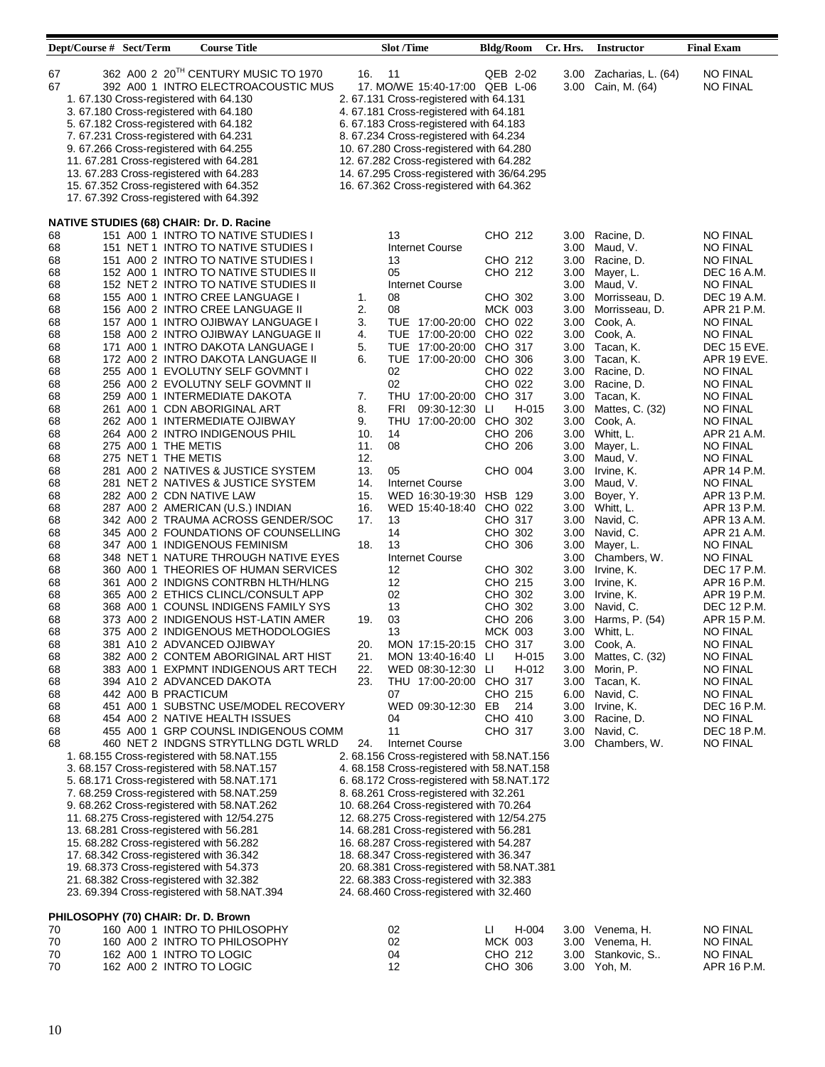|          | Dept/Course # Sect/Term                    | <b>Course Title</b>                                                                                                                                                                                                                                                                                                                                                                                                                                                   |            | <b>Slot</b> /Time                                                                                                                                                                                                                                                                                                                                                                           | <b>Bldg/Room</b>      | Cr. Hrs.     | <b>Instructor</b>                   | <b>Final Exam</b>                  |
|----------|--------------------------------------------|-----------------------------------------------------------------------------------------------------------------------------------------------------------------------------------------------------------------------------------------------------------------------------------------------------------------------------------------------------------------------------------------------------------------------------------------------------------------------|------------|---------------------------------------------------------------------------------------------------------------------------------------------------------------------------------------------------------------------------------------------------------------------------------------------------------------------------------------------------------------------------------------------|-----------------------|--------------|-------------------------------------|------------------------------------|
| 67<br>67 |                                            | 362 A00 2 20TH CENTURY MUSIC TO 1970<br>392 A00 1 INTRO ELECTROACOUSTIC MUS<br>1.67.130 Cross-registered with 64.130<br>3. 67.180 Cross-registered with 64.180<br>5. 67.182 Cross-registered with 64.182<br>7.67.231 Cross-registered with 64.231<br>9.67.266 Cross-registered with 64.255<br>11.67.281 Cross-registered with 64.281<br>13. 67.283 Cross-registered with 64.283<br>15. 67.352 Cross-registered with 64.352<br>17. 67.392 Cross-registered with 64.392 | 16.        | 11<br>17. MO/WE 15:40-17:00 QEB L-06<br>2. 67.131 Cross-registered with 64.131<br>4. 67.181 Cross-registered with 64.181<br>6. 67.183 Cross-registered with 64.183<br>8. 67.234 Cross-registered with 64.234<br>10. 67.280 Cross-registered with 64.280<br>12. 67.282 Cross-registered with 64.282<br>14. 67.295 Cross-registered with 36/64.295<br>16. 67.362 Cross-registered with 64.362 | QEB 2-02              | 3.00<br>3.00 | Zacharias, L. (64)<br>Cain, M. (64) | <b>NO FINAL</b><br><b>NO FINAL</b> |
| 68       |                                            | <b>NATIVE STUDIES (68) CHAIR: Dr. D. Racine</b><br>151 A00 1 INTRO TO NATIVE STUDIES I                                                                                                                                                                                                                                                                                                                                                                                |            | 13                                                                                                                                                                                                                                                                                                                                                                                          | CHO 212               | 3.00         | Racine, D.                          | <b>NO FINAL</b>                    |
| 68       |                                            | 151 NET 1 INTRO TO NATIVE STUDIES I                                                                                                                                                                                                                                                                                                                                                                                                                                   |            | Internet Course                                                                                                                                                                                                                                                                                                                                                                             |                       | 3.00         | Maud, V.                            | <b>NO FINAL</b>                    |
| 68       |                                            | 151 A00 2 INTRO TO NATIVE STUDIES I                                                                                                                                                                                                                                                                                                                                                                                                                                   |            | 13                                                                                                                                                                                                                                                                                                                                                                                          | CHO 212               | 3.00         | Racine, D.                          | <b>NO FINAL</b>                    |
| 68       |                                            | 152 A00 1 INTRO TO NATIVE STUDIES II                                                                                                                                                                                                                                                                                                                                                                                                                                  |            | 05                                                                                                                                                                                                                                                                                                                                                                                          | CHO 212               | 3.00         | Mayer, L.                           | DEC 16 A.M.                        |
| 68<br>68 |                                            | 152 NET 2 INTRO TO NATIVE STUDIES II<br>155 A00 1 INTRO CREE LANGUAGE I                                                                                                                                                                                                                                                                                                                                                                                               | 1.         | Internet Course<br>08                                                                                                                                                                                                                                                                                                                                                                       | CHO 302               | 3.00         | 3.00 Maud, V.<br>Morrisseau, D.     | <b>NO FINAL</b><br>DEC 19 A.M.     |
| 68       |                                            | 156 A00 2 INTRO CREE LANGUAGE II                                                                                                                                                                                                                                                                                                                                                                                                                                      | 2.         | 08                                                                                                                                                                                                                                                                                                                                                                                          | <b>MCK 003</b>        | 3.00         | Morrisseau, D.                      | APR 21 P.M.                        |
| 68       |                                            | 157 A00 1 INTRO OJIBWAY LANGUAGE I                                                                                                                                                                                                                                                                                                                                                                                                                                    | 3.         | TUE 17:00-20:00                                                                                                                                                                                                                                                                                                                                                                             | CHO 022               | 3.00         | Cook, A.                            | <b>NO FINAL</b>                    |
| 68       |                                            | 158 A00 2 INTRO OJIBWAY LANGUAGE II                                                                                                                                                                                                                                                                                                                                                                                                                                   | 4.         | TUE 17:00-20:00<br>TUE 17:00-20:00                                                                                                                                                                                                                                                                                                                                                          | CHO 022               | 3.00         | Cook, A.                            | <b>NO FINAL</b><br>DEC 15 EVE.     |
| 68<br>68 |                                            | 171 A00 1 INTRO DAKOTA LANGUAGE I<br>172 A00 2 INTRO DAKOTA LANGUAGE II                                                                                                                                                                                                                                                                                                                                                                                               | 5.<br>6.   | TUE 17:00-20:00                                                                                                                                                                                                                                                                                                                                                                             | CHO 317<br>CHO 306    | 3.00<br>3.00 | Tacan, K.<br>Tacan, K.              | APR 19 EVE.                        |
| 68       |                                            | 255 A00 1 EVOLUTNY SELF GOVMNT I                                                                                                                                                                                                                                                                                                                                                                                                                                      |            | 02                                                                                                                                                                                                                                                                                                                                                                                          | CHO 022               | 3.00         | Racine, D.                          | <b>NO FINAL</b>                    |
| 68       |                                            | 256 A00 2 EVOLUTNY SELF GOVMNT II                                                                                                                                                                                                                                                                                                                                                                                                                                     |            | 02                                                                                                                                                                                                                                                                                                                                                                                          | CHO 022               | 3.00         | Racine, D.                          | <b>NO FINAL</b>                    |
| 68<br>68 |                                            | 259 A00 1 INTERMEDIATE DAKOTA<br>261 A00 1 CDN ABORIGINAL ART                                                                                                                                                                                                                                                                                                                                                                                                         | 7.<br>8.   | THU 17:00-20:00<br>FRI<br>09:30-12:30                                                                                                                                                                                                                                                                                                                                                       | CHO 317<br>H-015<br>Ш | 3.00<br>3.00 | Tacan, K.<br>Mattes, C. (32)        | <b>NO FINAL</b><br><b>NO FINAL</b> |
| 68       |                                            | 262 A00 1 INTERMEDIATE OJIBWAY                                                                                                                                                                                                                                                                                                                                                                                                                                        | 9.         | THU 17:00-20:00                                                                                                                                                                                                                                                                                                                                                                             | CHO 302               | 3.00         | Cook, A.                            | <b>NO FINAL</b>                    |
| 68       |                                            | 264 A00 2 INTRO INDIGENOUS PHIL                                                                                                                                                                                                                                                                                                                                                                                                                                       | 10.        | 14<br>08                                                                                                                                                                                                                                                                                                                                                                                    | CHO 206<br>CHO 206    |              | 3.00 Whitt, L.                      | APR 21 A.M.                        |
| 68<br>68 | 275 A00 1 THE METIS<br>275 NET 1 THE METIS |                                                                                                                                                                                                                                                                                                                                                                                                                                                                       | 11.<br>12. |                                                                                                                                                                                                                                                                                                                                                                                             |                       | 3.00<br>3.00 | Mayer, L.<br>Maud, V.               | <b>NO FINAL</b><br><b>NO FINAL</b> |
| 68       |                                            | 281 A00 2 NATIVES & JUSTICE SYSTEM                                                                                                                                                                                                                                                                                                                                                                                                                                    | 13.        | 05                                                                                                                                                                                                                                                                                                                                                                                          | CHO 004               | 3.00         | Irvine, K.                          | APR 14 P.M.                        |
| 68<br>68 |                                            | 281 NET 2 NATIVES & JUSTICE SYSTEM<br>282 A00 2 CDN NATIVE LAW                                                                                                                                                                                                                                                                                                                                                                                                        | 14.<br>15. | <b>Internet Course</b><br>WED 16:30-19:30                                                                                                                                                                                                                                                                                                                                                   | <b>HSB 129</b>        | 3.00<br>3.00 | Maud, V.<br>Boyer, Y.               | <b>NO FINAL</b><br>APR 13 P.M.     |
| 68       |                                            | 287 A00 2 AMERICAN (U.S.) INDIAN                                                                                                                                                                                                                                                                                                                                                                                                                                      | 16.        | WED 15:40-18:40 CHO 022                                                                                                                                                                                                                                                                                                                                                                     |                       |              | 3.00 Whitt, L.                      | APR 13 P.M.                        |
| 68       |                                            | 342 A00 2 TRAUMA ACROSS GENDER/SOC                                                                                                                                                                                                                                                                                                                                                                                                                                    | 17.        | 13                                                                                                                                                                                                                                                                                                                                                                                          | CHO 317               | 3.00         | Navid, C.                           | APR 13 A.M.                        |
| 68<br>68 |                                            | 345 A00 2 FOUNDATIONS OF COUNSELLING<br>347 A00 1 INDIGENOUS FEMINISM                                                                                                                                                                                                                                                                                                                                                                                                 | 18.        | 14<br>13                                                                                                                                                                                                                                                                                                                                                                                    | CHO 302<br>CHO 306    | 3.00<br>3.00 | Navid, C.<br>Mayer, L.              | APR 21 A.M.<br><b>NO FINAL</b>     |
| 68       |                                            | 348 NET 1 NATURE THROUGH NATIVE EYES                                                                                                                                                                                                                                                                                                                                                                                                                                  |            | Internet Course                                                                                                                                                                                                                                                                                                                                                                             |                       | 3.00         | Chambers, W.                        | NO FINAL                           |
| 68       |                                            | 360 A00 1 THEORIES OF HUMAN SERVICES                                                                                                                                                                                                                                                                                                                                                                                                                                  |            | 12                                                                                                                                                                                                                                                                                                                                                                                          | CHO 302               | 3.00         | Irvine, K.                          | DEC 17 P.M.                        |
| 68<br>68 |                                            | 361 A00 2 INDIGNS CONTRBN HLTH/HLNG<br>365 A00 2 ETHICS CLINCL/CONSULT APP                                                                                                                                                                                                                                                                                                                                                                                            |            | 12<br>02                                                                                                                                                                                                                                                                                                                                                                                    | CHO 215<br>CHO 302    | 3.00<br>3.00 | Irvine, K.<br>Irvine, K.            | APR 16 P.M.<br>APR 19 P.M.         |
| 68       |                                            | 368 A00 1 COUNSL INDIGENS FAMILY SYS                                                                                                                                                                                                                                                                                                                                                                                                                                  |            | 13                                                                                                                                                                                                                                                                                                                                                                                          | CHO 302               | 3.00         | Navid, C.                           | DEC 12 P.M.                        |
| 68       |                                            | 373 A00 2 INDIGENOUS HST-LATIN AMER                                                                                                                                                                                                                                                                                                                                                                                                                                   | 19.        | 03                                                                                                                                                                                                                                                                                                                                                                                          | CHO 206               | 3.00         | Harms, P. (54)                      | APR 15 P.M.                        |
| 68<br>68 |                                            | 375 A00 2 INDIGENOUS METHODOLOGIES<br>381 A10 2 ADVANCED OJIBWAY                                                                                                                                                                                                                                                                                                                                                                                                      | 20.        | 13<br>MON 17:15-20:15 CHO 317                                                                                                                                                                                                                                                                                                                                                               | <b>MCK 003</b>        |              | 3.00 Whitt, L.<br>3.00 Cook, A.     | <b>NO FINAL</b><br><b>NO FINAL</b> |
| 68       |                                            | 382 A00 2 CONTEM ABORIGINAL ART HIST                                                                                                                                                                                                                                                                                                                                                                                                                                  | 21.        | MON 13:40-16:40 LI                                                                                                                                                                                                                                                                                                                                                                          | H-015                 |              | 3.00 Mattes, C. (32)                | <b>NO FINAL</b>                    |
| 68       |                                            | 383 A00 1 EXPMNT INDIGENOUS ART TECH                                                                                                                                                                                                                                                                                                                                                                                                                                  | 22.        | WED 08:30-12:30 LI                                                                                                                                                                                                                                                                                                                                                                          | H-012                 |              | 3.00 Morin, P.                      | <b>NO FINAL</b>                    |
| 68<br>68 | 442 A00 B PRACTICUM                        | 394  A10  2  ADVANCED DAKOTA                                                                                                                                                                                                                                                                                                                                                                                                                                          | 23.        | THU 17:00-20:00 CHO 317<br>07                                                                                                                                                                                                                                                                                                                                                               | CHO 215               | 6.00         | 3.00 Tacan, K.<br>Navid, C.         | NO FINAL<br>NO FINAL               |
| 68       |                                            | 451 A00 1 SUBSTNC USE/MODEL RECOVERY                                                                                                                                                                                                                                                                                                                                                                                                                                  |            | WED 09:30-12:30                                                                                                                                                                                                                                                                                                                                                                             | EB<br>214             | 3.00         | Irvine, K.                          | DEC 16 P.M.                        |
| 68       |                                            | 454 A00 2 NATIVE HEALTH ISSUES                                                                                                                                                                                                                                                                                                                                                                                                                                        |            | 04                                                                                                                                                                                                                                                                                                                                                                                          | CHO 410               | 3.00         | Racine, D.                          | NO FINAL                           |
| 68<br>68 |                                            | 455 A00 1 GRP COUNSL INDIGENOUS COMM<br>460 NET 2 INDGNS STRYTLLNG DGTL WRLD                                                                                                                                                                                                                                                                                                                                                                                          | 24.        | 11<br>Internet Course                                                                                                                                                                                                                                                                                                                                                                       | CHO 317               | 3.00<br>3.00 | Navid, C.<br>Chambers, W.           | DEC 18 P.M.<br><b>NO FINAL</b>     |
|          |                                            | 1.68.155 Cross-registered with 58.NAT.155                                                                                                                                                                                                                                                                                                                                                                                                                             |            | 2. 68.156 Cross-registered with 58.NAT.156                                                                                                                                                                                                                                                                                                                                                  |                       |              |                                     |                                    |
|          |                                            | 3. 68.157 Cross-registered with 58.NAT.157<br>5. 68.171 Cross-registered with 58.NAT.171                                                                                                                                                                                                                                                                                                                                                                              |            | 4. 68.158 Cross-registered with 58.NAT.158<br>6.68.172 Cross-registered with 58.NAT.172                                                                                                                                                                                                                                                                                                     |                       |              |                                     |                                    |
|          |                                            | 7. 68.259 Cross-registered with 58.NAT.259                                                                                                                                                                                                                                                                                                                                                                                                                            |            | 8. 68.261 Cross-registered with 32.261                                                                                                                                                                                                                                                                                                                                                      |                       |              |                                     |                                    |
|          |                                            | 9.68.262 Cross-registered with 58.NAT.262                                                                                                                                                                                                                                                                                                                                                                                                                             |            | 10. 68.264 Cross-registered with 70.264                                                                                                                                                                                                                                                                                                                                                     |                       |              |                                     |                                    |
|          |                                            | 11. 68.275 Cross-registered with 12/54.275<br>13.68.281 Cross-registered with 56.281                                                                                                                                                                                                                                                                                                                                                                                  |            | 12. 68.275 Cross-registered with 12/54.275<br>14. 68.281 Cross-registered with 56.281                                                                                                                                                                                                                                                                                                       |                       |              |                                     |                                    |
|          |                                            | 15. 68.282 Cross-registered with 56.282                                                                                                                                                                                                                                                                                                                                                                                                                               |            | 16. 68.287 Cross-registered with 54.287                                                                                                                                                                                                                                                                                                                                                     |                       |              |                                     |                                    |
|          |                                            | 17. 68.342 Cross-registered with 36.342                                                                                                                                                                                                                                                                                                                                                                                                                               |            | 18. 68.347 Cross-registered with 36.347                                                                                                                                                                                                                                                                                                                                                     |                       |              |                                     |                                    |
|          |                                            | 19. 68.373 Cross-registered with 54.373<br>21. 68.382 Cross-registered with 32.382                                                                                                                                                                                                                                                                                                                                                                                    |            | 20. 68.381 Cross-registered with 58.NAT.381<br>22. 68.383 Cross-registered with 32.383                                                                                                                                                                                                                                                                                                      |                       |              |                                     |                                    |
|          |                                            | 23. 69.394 Cross-registered with 58.NAT.394                                                                                                                                                                                                                                                                                                                                                                                                                           |            | 24. 68.460 Cross-registered with 32.460                                                                                                                                                                                                                                                                                                                                                     |                       |              |                                     |                                    |
|          | PHILOSOPHY (70) CHAIR: Dr. D. Brown        |                                                                                                                                                                                                                                                                                                                                                                                                                                                                       |            |                                                                                                                                                                                                                                                                                                                                                                                             |                       |              |                                     |                                    |
| 70       |                                            | 160 A00 1 INTRO TO PHILOSOPHY                                                                                                                                                                                                                                                                                                                                                                                                                                         |            | 02                                                                                                                                                                                                                                                                                                                                                                                          | H-004<br>Ц            |              | 3.00 Venema, H.                     | <b>NO FINAL</b>                    |
| 70       |                                            | 160 A00 2 INTRO TO PHILOSOPHY                                                                                                                                                                                                                                                                                                                                                                                                                                         |            | 02                                                                                                                                                                                                                                                                                                                                                                                          | MCK 003               |              | 3.00 Venema, H.                     | NO FINAL                           |
| 70       | 162 A00 1 INTRO TO LOGIC                   |                                                                                                                                                                                                                                                                                                                                                                                                                                                                       |            | 04                                                                                                                                                                                                                                                                                                                                                                                          | CHO 212               |              | 3.00 Stankovic, S                   | <b>NO FINAL</b>                    |

<u> 1989 - De Brasilia e Santa Carlo II a Carlo II a Carlo II a Carlo II a Carlo II a Carlo II a Carlo II a Carlo</u>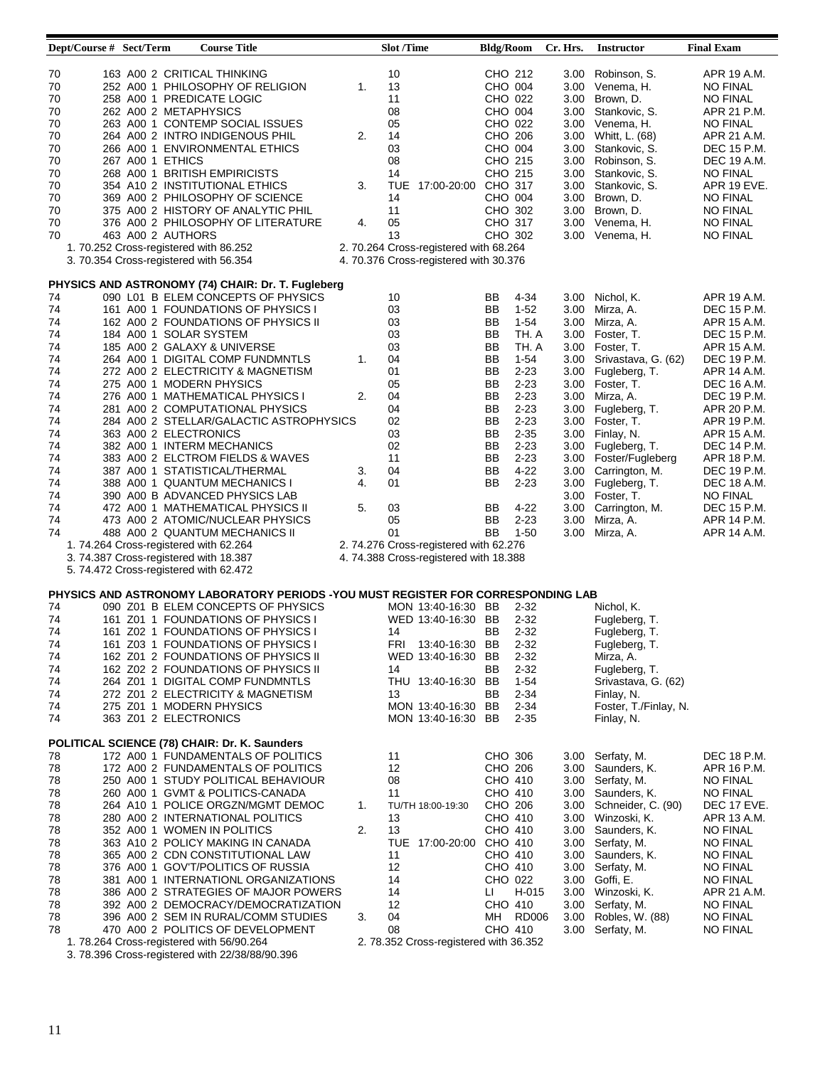| Dept/Course # Sect/Term                                                                                              |                                                                                                                                                                                                          | <b>Course Title</b>                                                                                                                                                                                                                                                                                                                                                                                                                                                                                                                                                                                                                                                                                                           |                            | <b>Slot</b> /Time                                                                                                                                                                                 | <b>Bldg/Room</b>                                                                                                                                                                                                                                                                                                                         | Cr. Hrs.     | <b>Instructor</b>                                                                                                                                                                                                                                                                                                                                                                                            | <b>Final Exam</b>                                                                                                                                                                                                                                                                                     |
|----------------------------------------------------------------------------------------------------------------------|----------------------------------------------------------------------------------------------------------------------------------------------------------------------------------------------------------|-------------------------------------------------------------------------------------------------------------------------------------------------------------------------------------------------------------------------------------------------------------------------------------------------------------------------------------------------------------------------------------------------------------------------------------------------------------------------------------------------------------------------------------------------------------------------------------------------------------------------------------------------------------------------------------------------------------------------------|----------------------------|---------------------------------------------------------------------------------------------------------------------------------------------------------------------------------------------------|------------------------------------------------------------------------------------------------------------------------------------------------------------------------------------------------------------------------------------------------------------------------------------------------------------------------------------------|--------------|--------------------------------------------------------------------------------------------------------------------------------------------------------------------------------------------------------------------------------------------------------------------------------------------------------------------------------------------------------------------------------------------------------------|-------------------------------------------------------------------------------------------------------------------------------------------------------------------------------------------------------------------------------------------------------------------------------------------------------|
| 70<br>70<br>70<br>70<br>70<br>70<br>70<br>70<br>70<br>70<br>70<br>70<br>70<br>70                                     | 258 A00 1 PREDICATE LOGIC<br>262 A00 2 METAPHYSICS<br>267 A00 1 ETHICS<br>463 A00 2 AUTHORS<br>1. 70.252 Cross-registered with 86.252<br>3. 70.354 Cross-registered with 56.354                          | 163 A00 2 CRITICAL THINKING<br>252 A00 1 PHILOSOPHY OF RELIGION<br>263 A00 1 CONTEMP SOCIAL ISSUES<br>264 A00 2 INTRO INDIGENOUS PHIL<br>266 A00 1 ENVIRONMENTAL ETHICS<br>268 A00 1 BRITISH EMPIRICISTS<br>354 A10 2 INSTITUTIONAL ETHICS<br>369 A00 2 PHILOSOPHY OF SCIENCE<br>375 A00 2 HISTORY OF ANALYTIC PHIL<br>376 A00 2 PHILOSOPHY OF LITERATURE                                                                                                                                                                                                                                                                                                                                                                     | 1.<br>2.<br>3.<br>4.       | 10<br>13<br>11<br>08<br>05<br>14<br>03<br>08<br>14<br>TUE 17:00-20:00 CHO 317<br>14<br>11<br>05<br>13<br>2. 70.264 Cross-registered with 68.264<br>4. 70.376 Cross-registered with 30.376         | CHO 212<br>CHO 004<br>CHO 022<br>CHO 004<br>CHO 022<br>CHO 206<br>CHO 004<br>CHO 215<br>CHO 215<br>CHO 004<br>CHO 302<br>CHO 317<br>CHO 302                                                                                                                                                                                              | 3.00         | Robinson, S.<br>3.00 Venema, H.<br>3.00 Brown, D.<br>3.00 Stankovic, S.<br>3.00 Venema, H.<br>3.00 Whitt, L. (68)<br>3.00 Stankovic, S.<br>3.00 Robinson, S.<br>3.00 Stankovic, S.<br>3.00 Stankovic, S.<br>3.00 Brown, D.<br>3.00 Brown, D.<br>3.00 Venema, H.<br>3.00 Venema, H.                                                                                                                           | APR 19 A.M.<br><b>NO FINAL</b><br><b>NO FINAL</b><br>APR 21 P.M.<br><b>NO FINAL</b><br>APR 21 A.M.<br>DEC 15 P.M.<br>DEC 19 A.M.<br><b>NO FINAL</b><br>APR 19 EVE.<br><b>NO FINAL</b><br><b>NO FINAL</b><br><b>NO FINAL</b><br><b>NO FINAL</b>                                                        |
|                                                                                                                      |                                                                                                                                                                                                          |                                                                                                                                                                                                                                                                                                                                                                                                                                                                                                                                                                                                                                                                                                                               |                            |                                                                                                                                                                                                   |                                                                                                                                                                                                                                                                                                                                          |              |                                                                                                                                                                                                                                                                                                                                                                                                              |                                                                                                                                                                                                                                                                                                       |
| 74<br>74<br>74<br>74<br>74<br>74<br>74<br>74<br>74<br>74<br>74<br>74<br>74<br>74<br>74<br>74<br>74<br>74<br>74<br>74 | 184 A00 1 SOLAR SYSTEM<br>275 A00 1 MODERN PHYSICS<br>363 A00 2 ELECTRONICS<br>1.74.264 Cross-registered with 62.264<br>3. 74.387 Cross-registered with 18.387<br>5. 74.472 Cross-registered with 62.472 | PHYSICS AND ASTRONOMY (74) CHAIR: Dr. T. Fugleberg<br>090 L01 B ELEM CONCEPTS OF PHYSICS<br>161 A00 1 FOUNDATIONS OF PHYSICS I<br>162 A00 2 FOUNDATIONS OF PHYSICS II<br>185 A00 2 GALAXY & UNIVERSE<br>264 A00 1 DIGITAL COMP FUNDMNTLS<br>272 A00 2 ELECTRICITY & MAGNETISM<br>276 A00 1 MATHEMATICAL PHYSICS I<br>281 A00 2 COMPUTATIONAL PHYSICS<br>284 A00 2 STELLAR/GALACTIC ASTROPHYSICS<br>382 A00 1 INTERM MECHANICS<br>383 A00 2 ELCTROM FIELDS & WAVES<br>387 A00 1 STATISTICAL/THERMAL<br>388 A00 1 QUANTUM MECHANICS I<br>390 A00 B ADVANCED PHYSICS LAB<br>472 A00 1 MATHEMATICAL PHYSICS II<br>473 A00 2 ATOMIC/NUCLEAR PHYSICS<br>488 A00 2 QUANTUM MECHANICS II                                              | 1.<br>2.<br>3.<br>4.<br>5. | 10<br>03<br>03<br>03<br>03<br>04<br>01<br>05<br>04<br>04<br>02<br>03<br>02<br>11<br>04<br>01<br>03<br>05<br>01<br>2. 74.276 Cross-registered with 62.276<br>4.74.388 Cross-registered with 18.388 | BB<br>4-34<br>$1 - 52$<br>BB<br>$1 - 54$<br>BB<br>BB<br>TH. A<br>BB<br>TH. A<br>BB<br>$1 - 54$<br>BB<br>$2 - 23$<br>$2 - 23$<br>BB<br>$2 - 23$<br>BB<br>BB<br>$2 - 23$<br>BB<br>$2 - 23$<br>BB<br>$2 - 35$<br>BB<br>$2 - 23$<br>BB<br>$2 - 23$<br>$4 - 22$<br>BB<br>BB<br>$2 - 23$<br>BB<br>$4 - 22$<br>$2 - 23$<br>BB<br>BB<br>$1 - 50$ | 3.00<br>3.00 | 3.00 Nichol, K.<br>Mirza, A.<br>3.00 Mirza, A.<br>3.00 Foster, T.<br>3.00 Foster, T.<br>3.00 Srivastava, G. (62)<br>3.00 Fugleberg, T.<br>3.00 Foster, T.<br>3.00 Mirza, A.<br>3.00 Fugleberg, T.<br>3.00 Foster, T.<br>3.00 Finlay, N.<br>3.00 Fugleberg, T.<br>3.00 Foster/Fugleberg<br>3.00 Carrington, M.<br>3.00 Fugleberg, T.<br>3.00 Foster, T.<br>3.00 Carrington, M.<br>Mirza, A.<br>3.00 Mirza, A. | APR 19 A.M.<br>DEC 15 P.M.<br>APR 15 A.M.<br>DEC 15 P.M.<br>APR 15 A.M.<br>DEC 19 P.M.<br>APR 14 A.M.<br>DEC 16 A.M.<br>DEC 19 P.M.<br>APR 20 P.M.<br>APR 19 P.M.<br>APR 15 A.M.<br>DEC 14 P.M.<br>APR 18 P.M.<br>DEC 19 P.M.<br>DEC 18 A.M.<br>NO FINAL<br>DEC 15 P.M.<br>APR 14 P.M.<br>APR 14 A.M. |
|                                                                                                                      |                                                                                                                                                                                                          |                                                                                                                                                                                                                                                                                                                                                                                                                                                                                                                                                                                                                                                                                                                               |                            |                                                                                                                                                                                                   |                                                                                                                                                                                                                                                                                                                                          |              |                                                                                                                                                                                                                                                                                                                                                                                                              |                                                                                                                                                                                                                                                                                                       |
| 74<br>74<br>74<br>74<br>74<br>74<br>74<br>74<br>74<br>74                                                             | 275 Z01 1 MODERN PHYSICS<br>363 Z01 2 ELECTRONICS                                                                                                                                                        | PHYSICS AND ASTRONOMY LABORATORY PERIODS -YOU MUST REGISTER FOR CORRESPONDING LAB<br>090 Z01 B ELEM CONCEPTS OF PHYSICS<br>161 Z01 1 FOUNDATIONS OF PHYSICS I<br>161 Z02 1 FOUNDATIONS OF PHYSICS I<br>161 Z03 1 FOUNDATIONS OF PHYSICS I<br>162 Z01 2 FOUNDATIONS OF PHYSICS II<br>162 Z02 2 FOUNDATIONS OF PHYSICS II<br>264 Z01 1 DIGITAL COMP FUNDMNTLS<br>272 Z01 2 ELECTRICITY & MAGNETISM                                                                                                                                                                                                                                                                                                                              |                            | MON 13:40-16:30 BB<br>WED 13:40-16:30 BB<br>14<br>FRI 13:40-16:30 BB<br>WED 13:40-16:30 BB<br>14<br>THU 13:40-16:30 BB<br>13<br>MON 13:40-16:30 BB<br>MON 13:40-16:30 BB                          | $2 - 32$<br>$2 - 32$<br>BB<br>$2 - 32$<br>$2 - 32$<br>$2 - 32$<br>BB<br>$2 - 32$<br>$1-54$<br>BB<br>$2 - 34$<br>$2 - 34$<br>$2 - 35$                                                                                                                                                                                                     |              | Nichol, K.<br>Fugleberg, T.<br>Fugleberg, T.<br>Fugleberg, T.<br>Mirza, A.<br>Fugleberg, T.<br>Srivastava, G. (62)<br>Finlay, N.<br>Foster, T./Finlay, N.<br>Finlay, N.                                                                                                                                                                                                                                      |                                                                                                                                                                                                                                                                                                       |
| 78<br>78<br>78<br>78<br>78<br>78<br>78<br>78<br>78<br>78<br>78<br>78<br>78<br>78<br>78                               |                                                                                                                                                                                                          | POLITICAL SCIENCE (78) CHAIR: Dr. K. Saunders<br>172 A00 1 FUNDAMENTALS OF POLITICS<br>172 A00 2 FUNDAMENTALS OF POLITICS<br>250 A00 1 STUDY POLITICAL BEHAVIOUR<br>260 A00 1 GVMT & POLITICS-CANADA<br>264 A10 1 POLICE ORGZN/MGMT DEMOC<br>280 A00 2 INTERNATIONAL POLITICS<br>352 A00 1 WOMEN IN POLITICS<br>363 A10 2 POLICY MAKING IN CANADA<br>365 A00 2 CDN CONSTITUTIONAL LAW<br>376 A00 1 GOV'T/POLITICS OF RUSSIA<br>381 A00 1 INTERNATIONL ORGANIZATIONS<br>386 A00 2 STRATEGIES OF MAJOR POWERS<br>392 A00 2 DEMOCRACY/DEMOCRATIZATION<br>396 A00 2 SEM IN RURAL/COMM STUDIES<br>470 A00 2 POLITICS OF DEVELOPMENT<br>1.78.264 Cross-registered with 56/90.264<br>3. 78.396 Cross-registered with 22/38/88/90.396 | 1.<br>2.<br>3.             | 11<br>12<br>08<br>11<br>TU/TH 18:00-19:30<br>13<br>13<br>TUE 17:00-20:00 CHO 410<br>11<br>12<br>14<br>14<br>12<br>04<br>08<br>2. 78.352 Cross-registered with 36.352                              | CHO 306<br>CHO 206<br>CHO 410<br>CHO 410<br>CHO 206<br>CHO 410<br>CHO 410<br>CHO 410<br>CHO 410<br>CHO 022<br>H-015<br>Ц<br>CHO 410<br>MH RD006<br>CHO 410                                                                                                                                                                               |              | 3.00 Serfaty, M.<br>3.00 Saunders, K.<br>3.00 Serfaty, M.<br>3.00 Saunders, K.<br>3.00 Schneider, C. (90)<br>3.00 Winzoski, K.<br>3.00 Saunders, K.<br>3.00 Serfaty, M.<br>3.00 Saunders, K.<br>3.00 Serfaty, M.<br>3.00 Goffi, E.<br>3.00 Winzoski, K.<br>3.00 Serfaty, M.<br>3.00 Robles, W. (88)<br>3.00 Serfaty, M.                                                                                      | DEC 18 P.M.<br>APR 16 P.M.<br><b>NO FINAL</b><br><b>NO FINAL</b><br>DEC 17 EVE.<br>APR 13 A.M.<br><b>NO FINAL</b><br><b>NO FINAL</b><br><b>NO FINAL</b><br><b>NO FINAL</b><br><b>NO FINAL</b><br>APR 21 A.M.<br><b>NO FINAL</b><br><b>NO FINAL</b><br><b>NO FINAL</b>                                 |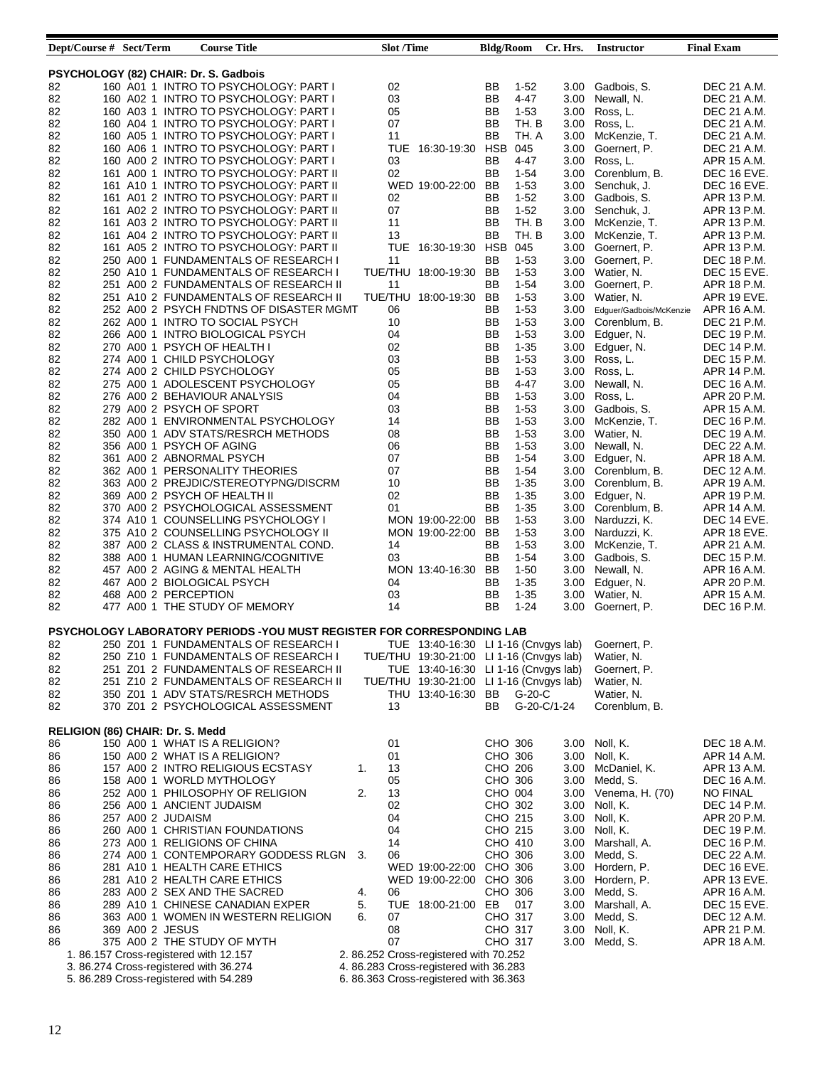| Dept/Course # Sect/Term                 |                      | <b>Course Title</b>                                                                    |    | <b>Slot /Time</b> |                                          | <b>Bldg/Room</b> |          | Cr. Hrs.          | <b>Instructor</b>       | <b>Final Exam</b>  |
|-----------------------------------------|----------------------|----------------------------------------------------------------------------------------|----|-------------------|------------------------------------------|------------------|----------|-------------------|-------------------------|--------------------|
|                                         |                      |                                                                                        |    |                   |                                          |                  |          |                   |                         |                    |
| PSYCHOLOGY (82) CHAIR: Dr. S. Gadbois   |                      |                                                                                        |    |                   |                                          |                  |          |                   |                         |                    |
| 82                                      |                      | 160 A01 1 INTRO TO PSYCHOLOGY: PART I                                                  |    | 02                |                                          | BB               | $1-52$   | 3.00              | Gadbois, S.             | DEC 21 A.M.        |
| 82                                      |                      | 160 A02 1 INTRO TO PSYCHOLOGY: PART I                                                  |    | 03                |                                          | BB               | 4-47     | 3.00              | Newall, N.              | DEC 21 A.M.        |
| 82                                      |                      | 160 A03 1 INTRO TO PSYCHOLOGY: PART I                                                  |    | 05                |                                          | BB               | $1 - 53$ | 3.00              | Ross, L.                | DEC 21 A.M.        |
| 82                                      |                      | 160 A04 1 INTRO TO PSYCHOLOGY: PART I                                                  |    | 07                |                                          | BB               | TH. B    | 3.00              | Ross, L.                | DEC 21 A.M.        |
| 82                                      |                      | 160 A05 1 INTRO TO PSYCHOLOGY: PART I                                                  |    | 11                |                                          | BB               | TH. A    | 3.00              | McKenzie, T.            | DEC 21 A.M.        |
| 82                                      |                      | 160 A06 1 INTRO TO PSYCHOLOGY: PART I                                                  |    |                   | TUE 16:30-19:30 HSB                      |                  | 045      | 3.00              | Goernert, P.            | DEC 21 A.M.        |
| 82                                      |                      | 160 A00 2 INTRO TO PSYCHOLOGY: PART I                                                  |    | 03                |                                          | BB               | $4 - 47$ | 3.00              | Ross, L.                | APR 15 A.M.        |
| 82                                      |                      | 161 A00 1 INTRO TO PSYCHOLOGY: PART II                                                 |    | 02                |                                          | BB               | $1 - 54$ | 3.00              | Corenblum, B.           | DEC 16 EVE.        |
| 82                                      |                      | 161 A10 1 INTRO TO PSYCHOLOGY: PART II                                                 |    |                   | WED 19:00-22:00                          | BB               | $1 - 53$ | 3.00              | Senchuk, J.             | DEC 16 EVE.        |
| 82                                      |                      | 161 A01 2 INTRO TO PSYCHOLOGY: PART II                                                 |    | 02                |                                          | BB               | $1 - 52$ | 3.00              | Gadbois, S.             | APR 13 P.M.        |
| 82                                      |                      | 161 A02 2 INTRO TO PSYCHOLOGY: PART II                                                 |    | 07                |                                          | BB               | $1 - 52$ | 3.00              | Senchuk, J.             | APR 13 P.M.        |
| 82                                      |                      | 161 A03 2 INTRO TO PSYCHOLOGY: PART II                                                 |    | 11                |                                          | BB               | TH. B    | 3.00              | McKenzie, T.            | APR 13 P.M.        |
| 82                                      |                      | 161 A04 2 INTRO TO PSYCHOLOGY: PART II                                                 |    | 13                |                                          | BB               | TH. B    | 3.00              | McKenzie, T.            | APR 13 P.M.        |
| 82                                      |                      | 161 A05 2 INTRO TO PSYCHOLOGY: PART II                                                 |    |                   | TUE 16:30-19:30                          | <b>HSB 045</b>   |          | 3.00              | Goernert, P.            | APR 13 P.M.        |
| 82                                      |                      | 250 A00 1 FUNDAMENTALS OF RESEARCH I                                                   |    | 11                |                                          | <b>BB</b>        | $1 - 53$ | 3.00              | Goernert, P.            | DEC 18 P.M.        |
| 82                                      |                      | 250 A10 1 FUNDAMENTALS OF RESEARCH I                                                   |    |                   | TUE/THU 18:00-19:30                      | BB               | $1 - 53$ | 3.00              | Watier, N.              | DEC 15 EVE.        |
| 82                                      |                      | 251 A00 2 FUNDAMENTALS OF RESEARCH II                                                  |    | 11                |                                          | BB               | $1 - 54$ | 3.00              | Goernert, P.            | APR 18 P.M.        |
| 82                                      |                      | 251 A10 2 FUNDAMENTALS OF RESEARCH II                                                  |    |                   | TUE/THU 18:00-19:30                      | BB               | $1 - 53$ | 3.00              | Watier, N.              | APR 19 EVE.        |
| 82                                      |                      | 252 A00 2 PSYCH FNDTNS OF DISASTER MGMT                                                |    | 06                |                                          | BB               | $1-53$   | 3.00              | Edguer/Gadbois/McKenzie | APR 16 A.M.        |
| 82                                      |                      | 262 A00 1 INTRO TO SOCIAL PSYCH                                                        |    | 10                |                                          | BB               | $1-53$   | 3.00              | Corenblum, B.           | DEC 21 P.M.        |
| 82                                      |                      | 266 A00 1 INTRO BIOLOGICAL PSYCH                                                       |    | 04                |                                          | BB               | $1 - 53$ | 3.00              | Edguer, N.              | DEC 19 P.M.        |
| 82                                      |                      | 270 A00 1 PSYCH OF HEALTH I                                                            |    | 02                |                                          | BB               | $1 - 35$ | 3.00              | Edguer, N.              | DEC 14 P.M.        |
| 82                                      |                      | 274 A00 1 CHILD PSYCHOLOGY                                                             |    | 03                |                                          | BB               | $1 - 53$ | 3.00              | Ross, L.                | <b>DEC 15 P.M.</b> |
| 82                                      |                      | 274 A00 2 CHILD PSYCHOLOGY                                                             |    | 05                |                                          | BB               | $1 - 53$ | 3.00              | Ross, L.                | APR 14 P.M.        |
| 82                                      |                      | 275 A00 1 ADOLESCENT PSYCHOLOGY                                                        |    | 05                |                                          | BB               | $4 - 47$ | 3.00              | Newall, N.              | <b>DEC 16 A.M.</b> |
| 82                                      |                      | 276 A00 2 BEHAVIOUR ANALYSIS                                                           |    | 04                |                                          | BB               | $1 - 53$ | 3.00              | Ross, L.                | APR 20 P.M.        |
| 82                                      |                      | 279 A00 2 PSYCH OF SPORT                                                               |    | 03                |                                          | BB               | $1 - 53$ | 3.00              | Gadbois, S.             | APR 15 A.M.        |
| 82                                      |                      | 282 A00 1 ENVIRONMENTAL PSYCHOLOGY                                                     |    | 14                |                                          | BB               | $1 - 53$ | 3.00              | McKenzie, T.            | DEC 16 P.M.        |
| 82                                      |                      | 350 A00 1 ADV STATS/RESRCH METHODS                                                     |    | 08                |                                          | BB               | $1 - 53$ | 3.00              | Watier, N.              | DEC 19 A.M.        |
| 82                                      |                      | 356 A00 1 PSYCH OF AGING                                                               |    | 06                |                                          | BB               | $1 - 53$ | 3.00              | Newall, N.              | DEC 22 A.M.        |
| 82                                      |                      | 361 A00 2 ABNORMAL PSYCH                                                               |    | 07                |                                          | BB               | $1 - 54$ |                   |                         | APR 18 A.M.        |
|                                         |                      |                                                                                        |    | 07                |                                          |                  |          | 3.00              | Edguer, N.              |                    |
| 82                                      |                      | 362 A00 1 PERSONALITY THEORIES                                                         |    |                   |                                          | BB               | $1 - 54$ |                   | 3.00 Corenblum, B.      | DEC 12 A.M.        |
| 82                                      |                      | 363 A00 2 PREJDIC/STEREOTYPNG/DISCRM                                                   |    | 10                |                                          | BB               | $1 - 35$ | 3.00              | Corenblum, B.           | APR 19 A.M.        |
| 82                                      |                      | 369 A00 2 PSYCH OF HEALTH II                                                           |    | 02                |                                          | BB               | $1 - 35$ | 3.00              | Edguer, N.              | APR 19 P.M.        |
| 82                                      |                      | 370 A00 2 PSYCHOLOGICAL ASSESSMENT                                                     |    | 01                |                                          | BB               | $1 - 35$ | 3.00              | Corenblum, B.           | APR 14 A.M.        |
| 82                                      |                      | 374 A10 1 COUNSELLING PSYCHOLOGY I                                                     |    |                   | MON 19:00-22:00                          | BB               | $1 - 53$ | 3.00              | Narduzzi, K.            | DEC 14 EVE.        |
| 82                                      |                      | 375 A10 2 COUNSELLING PSYCHOLOGY II                                                    |    |                   | MON 19:00-22:00 BB                       |                  | $1 - 53$ | 3.00              | Narduzzi, K.            | APR 18 EVE.        |
| 82                                      |                      | 387 A00 2 CLASS & INSTRUMENTAL COND.                                                   |    | 14                |                                          | BB               | $1 - 53$ | 3.00              | McKenzie, T.            | APR 21 A.M.        |
| 82                                      |                      | 388 A00 1 HUMAN LEARNING/COGNITIVE                                                     |    | 03                |                                          | BB               | $1 - 54$ | 3.00              | Gadbois, S.             | DEC 15 P.M.        |
| 82                                      |                      | 457 A00 2 AGING & MENTAL HEALTH                                                        |    |                   | MON 13:40-16:30                          | BB               | $1 - 50$ | 3.00              | Newall, N.              | APR 16 A.M.        |
| 82                                      |                      | 467 A00 2 BIOLOGICAL PSYCH                                                             |    | 04                |                                          | BB               | $1 - 35$ | 3.00              | Edguer, N.              | APR 20 P.M.        |
| 82                                      | 468 A00 2 PERCEPTION |                                                                                        |    | 03                |                                          | BB               | $1 - 35$ | 3.00              | Watier, N.              | APR 15 A.M.        |
| 82                                      |                      | 477 A00 1 THE STUDY OF MEMORY                                                          |    | 14                |                                          | BB               | $1 - 24$ | 3.00              | Goernert, P.            | DEC 16 P.M.        |
|                                         |                      |                                                                                        |    |                   |                                          |                  |          |                   |                         |                    |
|                                         |                      | PSYCHOLOGY LABORATORY PERIODS - YOU MUST REGISTER FOR CORRESPONDING LAB                |    |                   |                                          |                  |          |                   |                         |                    |
| 82                                      |                      | 250 Z01 1 FUNDAMENTALS OF RESEARCH   TUE 13:40-16:30 LI 1-16 (Cnvgys lab) Goernert, P. |    |                   |                                          |                  |          |                   |                         |                    |
| 82                                      |                      | 250 Z10 1 FUNDAMENTALS OF RESEARCH I                                                   |    |                   | TUE/THU 19:30-21:00 LI 1-16 (Cnvgys lab) |                  |          |                   | Watier, N.              |                    |
| 82                                      |                      | 251 Z01 2 FUNDAMENTALS OF RESEARCH II                                                  |    |                   | TUE 13:40-16:30 LI 1-16 (Cnvgys lab)     |                  |          |                   | Goernert, P.            |                    |
| 82                                      |                      | 251 Z10 2 FUNDAMENTALS OF RESEARCH II                                                  |    |                   | TUE/THU 19:30-21:00 LI 1-16 (Cnvgys lab) |                  |          |                   | Watier, N.              |                    |
| 82                                      |                      | 350 Z01 1 ADV STATS/RESRCH METHODS                                                     |    |                   | THU 13:40-16:30 BB                       |                  | G-20-C   |                   | Watier, N.              |                    |
| 82                                      |                      | 370 Z01 2 PSYCHOLOGICAL ASSESSMENT                                                     |    | 13                |                                          | BB.              |          | G-20-C/1-24       | Corenblum, B.           |                    |
|                                         |                      |                                                                                        |    |                   |                                          |                  |          |                   |                         |                    |
| <b>RELIGION (86) CHAIR: Dr. S. Medd</b> |                      |                                                                                        |    |                   |                                          |                  |          |                   |                         |                    |
| 86                                      |                      | 150 A00 1 WHAT IS A RELIGION?                                                          |    | 01                |                                          | CHO 306          |          |                   | 3.00 Noll, K.           | DEC 18 A.M.        |
| 86                                      |                      | 150 A00 2 WHAT IS A RELIGION?                                                          |    | 01                |                                          | CHO 306          |          |                   | 3.00 Noll, K.           | APR 14 A.M.        |
| 86                                      |                      | 157 A00 2 INTRO RELIGIOUS ECSTASY                                                      | 1. | 13                |                                          | CHO 206          |          |                   | 3.00 McDaniel, K.       | APR 13 A.M.        |
| 86                                      |                      | 158 A00 1 WORLD MYTHOLOGY                                                              |    | 05                |                                          | CHO 306          |          |                   | 3.00 Medd, S.           | DEC 16 A.M.        |
| 86                                      |                      | 252 A00 1 PHILOSOPHY OF RELIGION                                                       | 2. | 13                |                                          | CHO 004          |          |                   | 3.00 Venema, H. (70)    | NO FINAL           |
| 86                                      |                      | 256 A00 1 ANCIENT JUDAISM                                                              |    | 02                |                                          | CHO 302          |          |                   | 3.00 Noll, K.           | DEC 14 P.M.        |
| 86                                      | 257 A00 2 JUDAISM    |                                                                                        |    | 04                |                                          | CHO 215          |          | 3.00              | Noll, K.                | APR 20 P.M.        |
| 86                                      |                      | 260 A00 1 CHRISTIAN FOUNDATIONS                                                        |    | 04                |                                          | CHO 215          |          |                   | 3.00 Noll, K.           | DEC 19 P.M.        |
| 86                                      |                      | 273 A00 1 RELIGIONS OF CHINA                                                           |    | 14                |                                          | CHO 410          |          | 3.00              | Marshall, A.            | DEC 16 P.M.        |
| 86                                      |                      | 274 A00 1 CONTEMPORARY GODDESS RLGN 3.                                                 |    | 06                |                                          | CHO 306          |          |                   | 3.00 Medd, S.           | DEC 22 A.M.        |
| 86                                      |                      | 281 A10 1 HEALTH CARE ETHICS                                                           |    |                   | WED 19:00-22:00 CHO 306                  |                  |          |                   | 3.00 Hordern, P.        | DEC 16 EVE.        |
| 86                                      |                      | 281 A10 2 HEALTH CARE ETHICS                                                           |    |                   | WED 19:00-22:00 CHO 306                  |                  |          |                   | 3.00 Hordern, P.        | APR 13 EVE.        |
|                                         |                      |                                                                                        |    |                   |                                          |                  |          |                   |                         |                    |
| 86                                      |                      | 283 A00 2 SEX AND THE SACRED                                                           | 4. | 06                |                                          | CHO 306          |          | 3.00              | Medd, S.                | APR 16 A.M.        |
| 86                                      |                      | 289 A10 1 CHINESE CANADIAN EXPER                                                       | 5. |                   | TUE 18:00-21:00 EB                       |                  | 017      |                   | 3.00 Marshall, A.       | DEC 15 EVE.        |
| 86                                      |                      | 363 A00 1 WOMEN IN WESTERN RELIGION                                                    | 6. | 07                |                                          | CHO 317          |          | 3.00 <sub>1</sub> | Medd, S.                | DEC 12 A.M.        |
| 86                                      | 369 A00 2 JESUS      |                                                                                        |    | 08                |                                          | CHO 317          |          |                   | 3.00 Noll, K.           | APR 21 P.M.        |
| 86                                      |                      | 375 A00 2 THE STUDY OF MYTH                                                            |    | 07                |                                          | CHO 317          |          | 3.00              | Medd, S.                | APR 18 A.M.        |
|                                         |                      | 1.86.157 Cross-registered with 12.157                                                  |    |                   | 2.86.252 Cross-registered with 70.252    |                  |          |                   |                         |                    |
|                                         |                      | 3.86.274 Cross-registered with 36.274                                                  |    |                   | 4.86.283 Cross-registered with 36.283    |                  |          |                   |                         |                    |
|                                         |                      | 5. 86.289 Cross-registered with 54.289                                                 |    |                   | 6.86.363 Cross-registered with 36.363    |                  |          |                   |                         |                    |